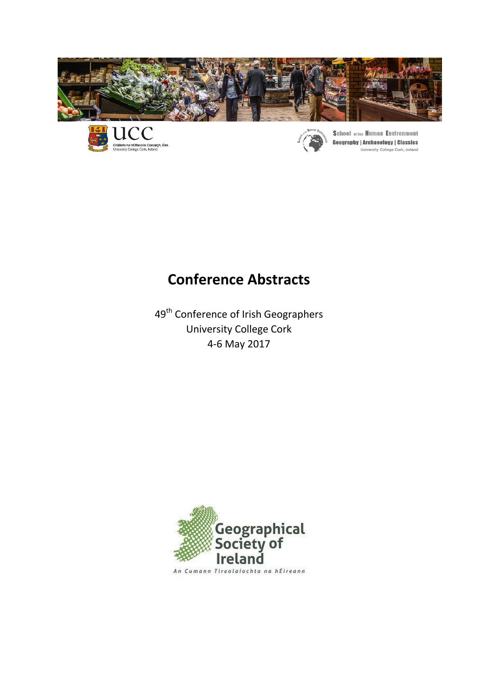





**School of the Human Environment Geography | Archaeology | Classics** University College Cork, Ireland

# **Conference Abstracts**

49<sup>th</sup> Conference of Irish Geographers University College Cork 4-6 May 2017

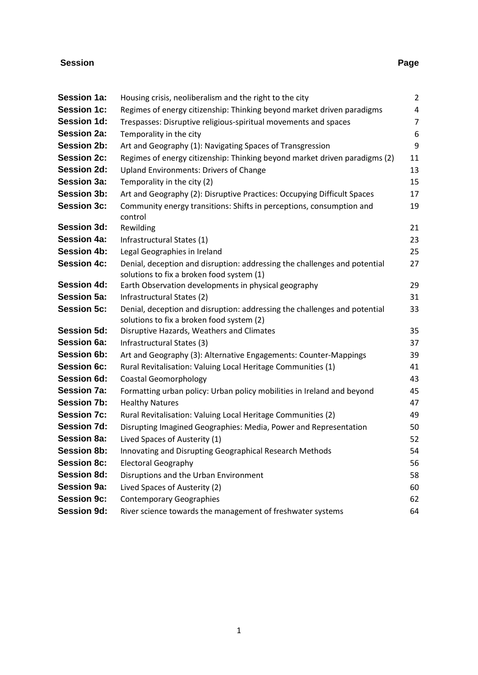# **Session Page**

| <b>Session 1a:</b> | Housing crisis, neoliberalism and the right to the city                                                                | $\overline{2}$ |
|--------------------|------------------------------------------------------------------------------------------------------------------------|----------------|
| <b>Session 1c:</b> | Regimes of energy citizenship: Thinking beyond market driven paradigms                                                 | 4              |
| <b>Session 1d:</b> | Trespasses: Disruptive religious-spiritual movements and spaces                                                        | $\overline{7}$ |
| <b>Session 2a:</b> | Temporality in the city                                                                                                | 6              |
| <b>Session 2b:</b> | Art and Geography (1): Navigating Spaces of Transgression                                                              | 9              |
| <b>Session 2c:</b> | Regimes of energy citizenship: Thinking beyond market driven paradigms (2)                                             | 11             |
| <b>Session 2d:</b> | <b>Upland Environments: Drivers of Change</b>                                                                          | 13             |
| <b>Session 3a:</b> | Temporality in the city (2)                                                                                            | 15             |
| <b>Session 3b:</b> | Art and Geography (2): Disruptive Practices: Occupying Difficult Spaces                                                | 17             |
| <b>Session 3c:</b> | Community energy transitions: Shifts in perceptions, consumption and                                                   | 19             |
|                    | control                                                                                                                |                |
| <b>Session 3d:</b> | Rewilding                                                                                                              | 21             |
| <b>Session 4a:</b> | Infrastructural States (1)                                                                                             | 23             |
| <b>Session 4b:</b> | Legal Geographies in Ireland                                                                                           | 25             |
| <b>Session 4c:</b> | Denial, deception and disruption: addressing the challenges and potential                                              | 27             |
|                    | solutions to fix a broken food system (1)                                                                              |                |
| <b>Session 4d:</b> | Earth Observation developments in physical geography                                                                   | 29             |
| <b>Session 5a:</b> | Infrastructural States (2)                                                                                             | 31             |
| <b>Session 5c:</b> | Denial, deception and disruption: addressing the challenges and potential<br>solutions to fix a broken food system (2) | 33             |
| <b>Session 5d:</b> | Disruptive Hazards, Weathers and Climates                                                                              | 35             |
| <b>Session 6a:</b> | Infrastructural States (3)                                                                                             | 37             |
| <b>Session 6b:</b> | Art and Geography (3): Alternative Engagements: Counter-Mappings                                                       | 39             |
| <b>Session 6c:</b> | Rural Revitalisation: Valuing Local Heritage Communities (1)                                                           | 41             |
| <b>Session 6d:</b> | <b>Coastal Geomorphology</b>                                                                                           | 43             |
| <b>Session 7a:</b> | Formatting urban policy: Urban policy mobilities in Ireland and beyond                                                 | 45             |
| <b>Session 7b:</b> | <b>Healthy Natures</b>                                                                                                 | 47             |
| <b>Session 7c:</b> | Rural Revitalisation: Valuing Local Heritage Communities (2)                                                           | 49             |
| <b>Session 7d:</b> | Disrupting Imagined Geographies: Media, Power and Representation                                                       | 50             |
| <b>Session 8a:</b> | Lived Spaces of Austerity (1)                                                                                          | 52             |
| <b>Session 8b:</b> | Innovating and Disrupting Geographical Research Methods                                                                | 54             |
| <b>Session 8c:</b> | <b>Electoral Geography</b>                                                                                             | 56             |
| <b>Session 8d:</b> | Disruptions and the Urban Environment                                                                                  | 58             |
| <b>Session 9a:</b> | Lived Spaces of Austerity (2)                                                                                          | 60             |
| <b>Session 9c:</b> | <b>Contemporary Geographies</b>                                                                                        | 62             |
| <b>Session 9d:</b> | River science towards the management of freshwater systems                                                             | 64             |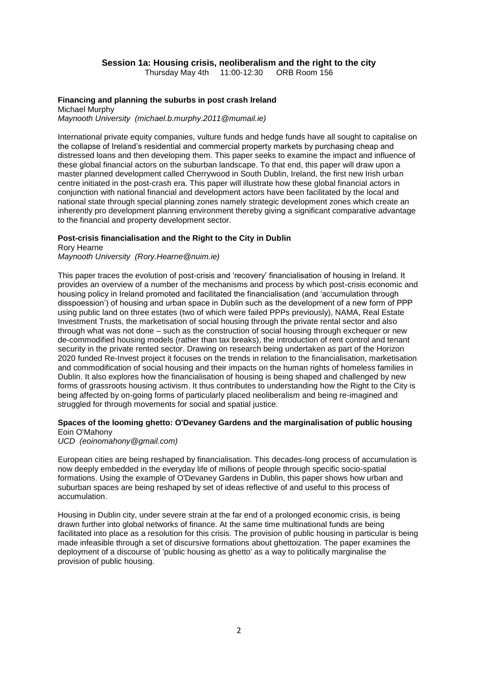### **Session 1a: Housing crisis, neoliberalism and the right to the city**

Thursday May 4th 11:00-12:30 ORB Room 156

### **Financing and planning the suburbs in post crash Ireland**

Michael Murphy *Maynooth University (michael.b.murphy.2011@mumail.ie)*

International private equity companies, vulture funds and hedge funds have all sought to capitalise on the collapse of Ireland's residential and commercial property markets by purchasing cheap and distressed loans and then developing them. This paper seeks to examine the impact and influence of these global financial actors on the suburban landscape. To that end, this paper will draw upon a master planned development called Cherrywood in South Dublin, Ireland, the first new Irish urban centre initiated in the post-crash era. This paper will illustrate how these global financial actors in conjunction with national financial and development actors have been facilitated by the local and national state through special planning zones namely strategic development zones which create an inherently pro development planning environment thereby giving a significant comparative advantage to the financial and property development sector.

#### **Post-crisis financialisation and the Right to the City in Dublin**

Rory Hearne

*Maynooth University (Rory.Hearne@nuim.ie)*

This paper traces the evolution of post-crisis and 'recovery' financialisation of housing in Ireland. It provides an overview of a number of the mechanisms and process by which post-crisis economic and housing policy in Ireland promoted and facilitated the financialisation (and 'accumulation through disspoession') of housing and urban space in Dublin such as the development of a new form of PPP using public land on three estates (two of which were failed PPPs previously), NAMA, Real Estate Investment Trusts, the marketisation of social housing through the private rental sector and also through what was not done – such as the construction of social housing through exchequer or new de-commodified housing models (rather than tax breaks), the introduction of rent control and tenant security in the private rented sector. Drawing on research being undertaken as part of the Horizon 2020 funded Re-Invest project it focuses on the trends in relation to the financialisation, marketisation and commodification of social housing and their impacts on the human rights of homeless families in Dublin. It also explores how the financialisation of housing is being shaped and challenged by new forms of grassroots housing activism. It thus contributes to understanding how the Right to the City is being affected by on-going forms of particularly placed neoliberalism and being re-imagined and struggled for through movements for social and spatial justice.

#### **Spaces of the looming ghetto: O'Devaney Gardens and the marginalisation of public housing** Eoin O'Mahony

*UCD (eoinomahony@gmail.com)*

European cities are being reshaped by financialisation. This decades-long process of accumulation is now deeply embedded in the everyday life of millions of people through specific socio-spatial formations. Using the example of O'Devaney Gardens in Dublin, this paper shows how urban and suburban spaces are being reshaped by set of ideas reflective of and useful to this process of accumulation.

Housing in Dublin city, under severe strain at the far end of a prolonged economic crisis, is being drawn further into global networks of finance. At the same time multinational funds are being facilitated into place as a resolution for this crisis. The provision of public housing in particular is being made infeasible through a set of discursive formations about ghettoization. The paper examines the deployment of a discourse of 'public housing as ghetto' as a way to politically marginalise the provision of public housing.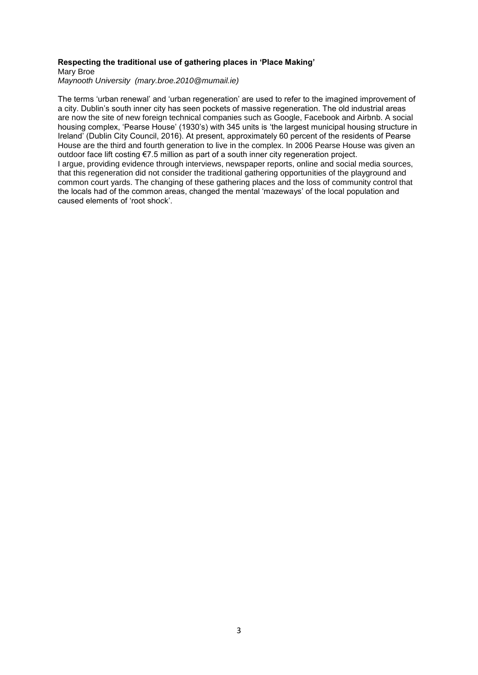#### **Respecting the traditional use of gathering places in 'Place Making'**

Mary Broe

*Maynooth University (mary.broe.2010@mumail.ie)*

The terms 'urban renewal' and 'urban regeneration' are used to refer to the imagined improvement of a city. Dublin's south inner city has seen pockets of massive regeneration. The old industrial areas are now the site of new foreign technical companies such as Google, Facebook and Airbnb. A social housing complex, 'Pearse House' (1930's) with 345 units is 'the largest municipal housing structure in Ireland' (Dublin City Council, 2016). At present, approximately 60 percent of the residents of Pearse House are the third and fourth generation to live in the complex. In 2006 Pearse House was given an outdoor face lift costing €7.5 million as part of a south inner city regeneration project. I argue, providing evidence through interviews, newspaper reports, online and social media sources, that this regeneration did not consider the traditional gathering opportunities of the playground and common court yards. The changing of these gathering places and the loss of community control that the locals had of the common areas, changed the mental 'mazeways' of the local population and caused elements of 'root shock'.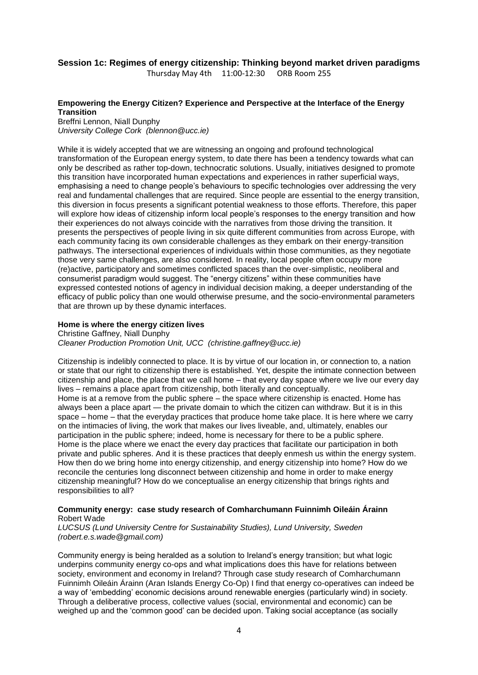### **Session 1c: Regimes of energy citizenship: Thinking beyond market driven paradigms**

Thursday May 4th 11:00-12:30 ORB Room 255

### **Empowering the Energy Citizen? Experience and Perspective at the Interface of the Energy Transition**

Breffni Lennon, Niall Dunphy *University College Cork (blennon@ucc.ie)*

While it is widely accepted that we are witnessing an ongoing and profound technological transformation of the European energy system, to date there has been a tendency towards what can only be described as rather top-down, technocratic solutions. Usually, initiatives designed to promote this transition have incorporated human expectations and experiences in rather superficial ways, emphasising a need to change people's behaviours to specific technologies over addressing the very real and fundamental challenges that are required. Since people are essential to the energy transition, this diversion in focus presents a significant potential weakness to those efforts. Therefore, this paper will explore how ideas of citizenship inform local people's responses to the energy transition and how their experiences do not always coincide with the narratives from those driving the transition. It presents the perspectives of people living in six quite different communities from across Europe, with each community facing its own considerable challenges as they embark on their energy-transition pathways. The intersectional experiences of individuals within those communities, as they negotiate those very same challenges, are also considered. In reality, local people often occupy more (re)active, participatory and sometimes conflicted spaces than the over-simplistic, neoliberal and consumerist paradigm would suggest. The "energy citizens" within these communities have expressed contested notions of agency in individual decision making, a deeper understanding of the efficacy of public policy than one would otherwise presume, and the socio-environmental parameters that are thrown up by these dynamic interfaces.

#### **Home is where the energy citizen lives**

Christine Gaffney, Niall Dunphy

*Cleaner Production Promotion Unit, UCC (christine.gaffney@ucc.ie)*

Citizenship is indelibly connected to place. It is by virtue of our location in, or connection to, a nation or state that our right to citizenship there is established. Yet, despite the intimate connection between citizenship and place, the place that we call home – that every day space where we live our every day lives – remains a place apart from citizenship, both literally and conceptually.

Home is at a remove from the public sphere – the space where citizenship is enacted. Home has always been a place apart — the private domain to which the citizen can withdraw. But it is in this space – home – that the everyday practices that produce home take place. It is here where we carry on the intimacies of living, the work that makes our lives liveable, and, ultimately, enables our participation in the public sphere; indeed, home is necessary for there to be a public sphere. Home is the place where we enact the every day practices that facilitate our participation in both private and public spheres. And it is these practices that deeply enmesh us within the energy system. How then do we bring home into energy citizenship, and energy citizenship into home? How do we reconcile the centuries long disconnect between citizenship and home in order to make energy citizenship meaningful? How do we conceptualise an energy citizenship that brings rights and responsibilities to all?

#### **Community energy: case study research of Comharchumann Fuinnimh Oileáin Árainn** Robert Wade

*LUCSUS (Lund University Centre for Sustainability Studies), Lund University, Sweden (robert.e.s.wade@gmail.com)*

Community energy is being heralded as a solution to Ireland's energy transition; but what logic underpins community energy co-ops and what implications does this have for relations between society, environment and economy in Ireland? Through case study research of Comharchumann Fuinnimh Oileáin Árainn (Aran Islands Energy Co-Op) I find that energy co-operatives can indeed be a way of 'embedding' economic decisions around renewable energies (particularly wind) in society. Through a deliberative process, collective values (social, environmental and economic) can be weighed up and the 'common good' can be decided upon. Taking social acceptance (as socially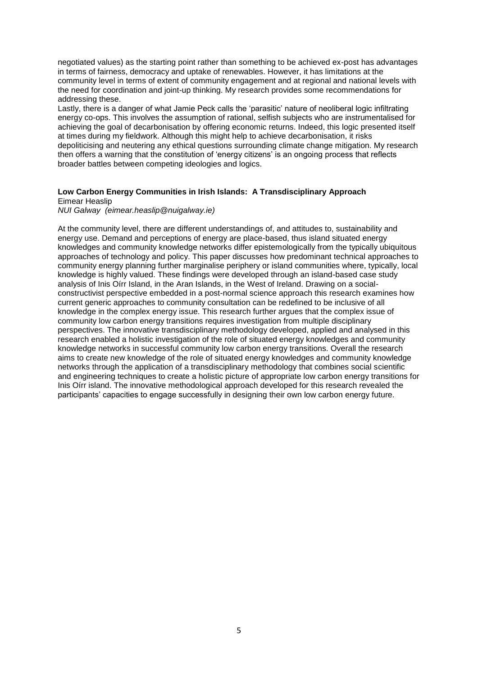negotiated values) as the starting point rather than something to be achieved ex-post has advantages in terms of fairness, democracy and uptake of renewables. However, it has limitations at the community level in terms of extent of community engagement and at regional and national levels with the need for coordination and joint-up thinking. My research provides some recommendations for addressing these.

Lastly, there is a danger of what Jamie Peck calls the 'parasitic' nature of neoliberal logic infiltrating energy co-ops. This involves the assumption of rational, selfish subjects who are instrumentalised for achieving the goal of decarbonisation by offering economic returns. Indeed, this logic presented itself at times during my fieldwork. Although this might help to achieve decarbonisation, it risks depoliticising and neutering any ethical questions surrounding climate change mitigation. My research then offers a warning that the constitution of 'energy citizens' is an ongoing process that reflects broader battles between competing ideologies and logics.

### **Low Carbon Energy Communities in Irish Islands: A Transdisciplinary Approach** Eimear Heaslip

#### *NUI Galway (eimear.heaslip@nuigalway.ie)*

At the community level, there are different understandings of, and attitudes to, sustainability and energy use. Demand and perceptions of energy are place-based, thus island situated energy knowledges and community knowledge networks differ epistemologically from the typically ubiquitous approaches of technology and policy. This paper discusses how predominant technical approaches to community energy planning further marginalise periphery or island communities where, typically, local knowledge is highly valued. These findings were developed through an island-based case study analysis of Inis Oírr Island, in the Aran Islands, in the West of Ireland. Drawing on a socialconstructivist perspective embedded in a post-normal science approach this research examines how current generic approaches to community consultation can be redefined to be inclusive of all knowledge in the complex energy issue. This research further argues that the complex issue of community low carbon energy transitions requires investigation from multiple disciplinary perspectives. The innovative transdisciplinary methodology developed, applied and analysed in this research enabled a holistic investigation of the role of situated energy knowledges and community knowledge networks in successful community low carbon energy transitions. Overall the research aims to create new knowledge of the role of situated energy knowledges and community knowledge networks through the application of a transdisciplinary methodology that combines social scientific and engineering techniques to create a holistic picture of appropriate low carbon energy transitions for Inis Oírr island. The innovative methodological approach developed for this research revealed the participants' capacities to engage successfully in designing their own low carbon energy future.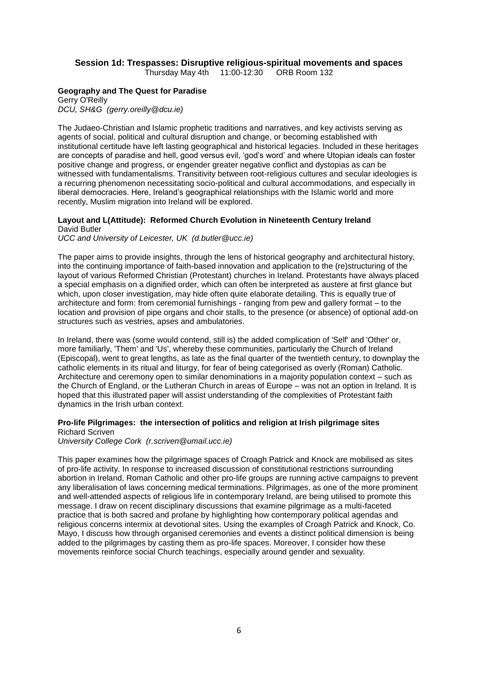### **Session 1d: Trespasses: Disruptive religious-spiritual movements and spaces**

Thursday May 4th 11:00-12:30 ORB Room 132

### **Geography and The Quest for Paradise**

Gerry O'Reilly *DCU, SH&G (gerry.oreilly@dcu.ie)*

The Judaeo-Christian and Islamic prophetic traditions and narratives, and key activists serving as agents of social, political and cultural disruption and change, or becoming established with institutional certitude have left lasting geographical and historical legacies. Included in these heritages are concepts of paradise and hell, good versus evil, 'god's word' and where Utopian ideals can foster positive change and progress, or engender greater negative conflict and dystopias as can be witnessed with fundamentalisms. Transitivity between root-religious cultures and secular ideologies is a recurring phenomenon necessitating socio-political and cultural accommodations, and especially in liberal democracies. Here, Ireland's geographical relationships with the Islamic world and more recently, Muslim migration into Ireland will be explored.

#### **Layout and L(Attitude): Reformed Church Evolution in Nineteenth Century Ireland** David Butler

*UCC and University of Leicester, UK (d.butler@ucc.ie)*

The paper aims to provide insights, through the lens of historical geography and architectural history, into the continuing importance of faith-based innovation and application to the (re)structuring of the layout of various Reformed Christian (Protestant) churches in Ireland. Protestants have always placed a special emphasis on a dignified order, which can often be interpreted as austere at first glance but which, upon closer investigation, may hide often quite elaborate detailing. This is equally true of architecture and form: from ceremonial furnishings - ranging from pew and gallery format – to the location and provision of pipe organs and choir stalls, to the presence (or absence) of optional add-on structures such as vestries, apses and ambulatories.

In Ireland, there was (some would contend, still is) the added complication of 'Self' and 'Other' or, more familiarly, 'Them' and 'Us', whereby these communities, particularly the Church of Ireland (Episcopal), went to great lengths, as late as the final quarter of the twentieth century, to downplay the catholic elements in its ritual and liturgy, for fear of being categorised as overly (Roman) Catholic. Architecture and ceremony open to similar denominations in a majority population context – such as the Church of England, or the Lutheran Church in areas of Europe – was not an option in Ireland. It is hoped that this illustrated paper will assist understanding of the complexities of Protestant faith dynamics in the Irish urban context.

### **Pro-life Pilgrimages: the intersection of politics and religion at Irish pilgrimage sites**

Richard Scriven *University College Cork (r.scriven@umail.ucc.ie)*

This paper examines how the pilgrimage spaces of Croagh Patrick and Knock are mobilised as sites of pro-life activity. In response to increased discussion of constitutional restrictions surrounding abortion in Ireland, Roman Catholic and other pro-life groups are running active campaigns to prevent any liberalisation of laws concerning medical terminations. Pilgrimages, as one of the more prominent and well-attended aspects of religious life in contemporary Ireland, are being utilised to promote this message. I draw on recent disciplinary discussions that examine pilgrimage as a multi-faceted practice that is both sacred and profane by highlighting how contemporary political agendas and religious concerns intermix at devotional sites. Using the examples of Croagh Patrick and Knock, Co. Mayo, I discuss how through organised ceremonies and events a distinct political dimension is being added to the pilgrimages by casting them as pro-life spaces. Moreover, I consider how these movements reinforce social Church teachings, especially around gender and sexuality.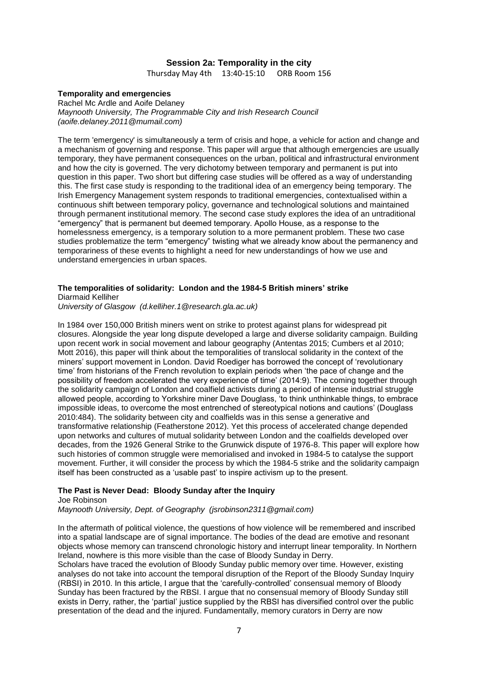### **Session 2a: Temporality in the city**

Thursday May 4th 13:40-15:10 ORB Room 156

#### **Temporality and emergencies**

Rachel Mc Ardle and Aoife Delaney *Maynooth University, The Programmable City and Irish Research Council (aoife.delaney.2011@mumail.com)*

The term 'emergency' is simultaneously a term of crisis and hope, a vehicle for action and change and a mechanism of governing and response. This paper will argue that although emergencies are usually temporary, they have permanent consequences on the urban, political and infrastructural environment and how the city is governed. The very dichotomy between temporary and permanent is put into question in this paper. Two short but differing case studies will be offered as a way of understanding this. The first case study is responding to the traditional idea of an emergency being temporary. The Irish Emergency Management system responds to traditional emergencies, contextualised within a continuous shift between temporary policy, governance and technological solutions and maintained through permanent institutional memory. The second case study explores the idea of an untraditional "emergency" that is permanent but deemed temporary. Apollo House, as a response to the homelessness emergency, is a temporary solution to a more permanent problem. These two case studies problematize the term "emergency" twisting what we already know about the permanency and temporariness of these events to highlight a need for new understandings of how we use and understand emergencies in urban spaces.

#### **The temporalities of solidarity: London and the 1984-5 British miners' strike**

Diarmaid Kelliher

*University of Glasgow (d.kelliher.1@research.gla.ac.uk)*

In 1984 over 150,000 British miners went on strike to protest against plans for widespread pit closures. Alongside the year long dispute developed a large and diverse solidarity campaign. Building upon recent work in social movement and labour geography (Antentas 2015; Cumbers et al 2010; Mott 2016), this paper will think about the temporalities of translocal solidarity in the context of the miners' support movement in London. David Roediger has borrowed the concept of 'revolutionary time' from historians of the French revolution to explain periods when 'the pace of change and the possibility of freedom accelerated the very experience of time' (2014:9). The coming together through the solidarity campaign of London and coalfield activists during a period of intense industrial struggle allowed people, according to Yorkshire miner Dave Douglass, 'to think unthinkable things, to embrace impossible ideas, to overcome the most entrenched of stereotypical notions and cautions' (Douglass 2010:484). The solidarity between city and coalfields was in this sense a generative and transformative relationship (Featherstone 2012). Yet this process of accelerated change depended upon networks and cultures of mutual solidarity between London and the coalfields developed over decades, from the 1926 General Strike to the Grunwick dispute of 1976-8. This paper will explore how such histories of common struggle were memorialised and invoked in 1984-5 to catalyse the support movement. Further, it will consider the process by which the 1984-5 strike and the solidarity campaign itself has been constructed as a 'usable past' to inspire activism up to the present.

#### **The Past is Never Dead: Bloody Sunday after the Inquiry**

Joe Robinson *Maynooth University, Dept. of Geography (jsrobinson2311@gmail.com)*

In the aftermath of political violence, the questions of how violence will be remembered and inscribed into a spatial landscape are of signal importance. The bodies of the dead are emotive and resonant objects whose memory can transcend chronologic history and interrupt linear temporality. In Northern Ireland, nowhere is this more visible than the case of Bloody Sunday in Derry.

Scholars have traced the evolution of Bloody Sunday public memory over time. However, existing analyses do not take into account the temporal disruption of the Report of the Bloody Sunday Inquiry (RBSI) in 2010. In this article, I argue that the 'carefully-controlled' consensual memory of Bloody Sunday has been fractured by the RBSI. I argue that no consensual memory of Bloody Sunday still exists in Derry, rather, the 'partial' justice supplied by the RBSI has diversified control over the public presentation of the dead and the injured. Fundamentally, memory curators in Derry are now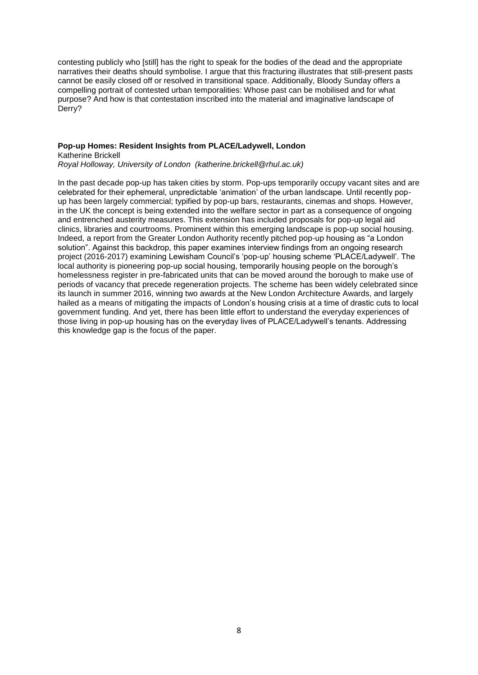contesting publicly who [still] has the right to speak for the bodies of the dead and the appropriate narratives their deaths should symbolise. I argue that this fracturing illustrates that still-present pasts cannot be easily closed off or resolved in transitional space. Additionally, Bloody Sunday offers a compelling portrait of contested urban temporalities: Whose past can be mobilised and for what purpose? And how is that contestation inscribed into the material and imaginative landscape of Derry?

### **Pop-up Homes: Resident Insights from PLACE/Ladywell, London** Katherine Brickell

*Royal Holloway, University of London (katherine.brickell@rhul.ac.uk)*

In the past decade pop-up has taken cities by storm. Pop-ups temporarily occupy vacant sites and are celebrated for their ephemeral, unpredictable 'animation' of the urban landscape. Until recently popup has been largely commercial; typified by pop-up bars, restaurants, cinemas and shops. However, in the UK the concept is being extended into the welfare sector in part as a consequence of ongoing and entrenched austerity measures. This extension has included proposals for pop-up legal aid clinics, libraries and courtrooms. Prominent within this emerging landscape is pop-up social housing. Indeed, a report from the Greater London Authority recently pitched pop-up housing as "a London solution". Against this backdrop, this paper examines interview findings from an ongoing research project (2016-2017) examining Lewisham Council's 'pop-up' housing scheme 'PLACE/Ladywell'. The local authority is pioneering pop-up social housing, temporarily housing people on the borough's homelessness register in pre-fabricated units that can be moved around the borough to make use of periods of vacancy that precede regeneration projects. The scheme has been widely celebrated since its launch in summer 2016, winning two awards at the New London Architecture Awards, and largely hailed as a means of mitigating the impacts of London's housing crisis at a time of drastic cuts to local government funding. And yet, there has been little effort to understand the everyday experiences of those living in pop-up housing has on the everyday lives of PLACE/Ladywell's tenants. Addressing this knowledge gap is the focus of the paper.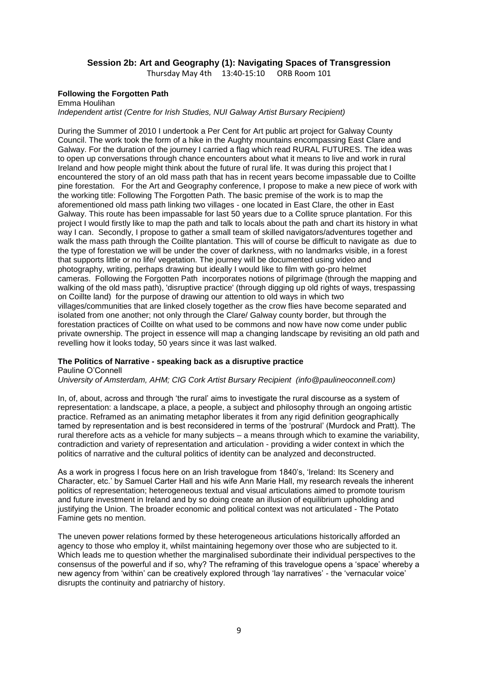### **Session 2b: Art and Geography (1): Navigating Spaces of Transgression**

Thursday May 4th 13:40-15:10 ORB Room 101

### **Following the Forgotten Path**

Emma Houlihan *Independent artist (Centre for Irish Studies, NUI Galway Artist Bursary Recipient)* 

During the Summer of 2010 I undertook a Per Cent for Art public art project for Galway County Council. The work took the form of a hike in the Aughty mountains encompassing East Clare and Galway. For the duration of the journey I carried a flag which read RURAL FUTURES. The idea was to open up conversations through chance encounters about what it means to live and work in rural Ireland and how people might think about the future of rural life. It was during this project that I encountered the story of an old mass path that has in recent years become impassable due to Coillte pine forestation. For the Art and Geography conference, I propose to make a new piece of work with the working title: Following The Forgotten Path. The basic premise of the work is to map the aforementioned old mass path linking two villages - one located in East Clare, the other in East Galway. This route has been impassable for last 50 years due to a Collite spruce plantation. For this project I would firstly like to map the path and talk to locals about the path and chart its history in what way I can. Secondly, I propose to gather a small team of skilled navigators/adventures together and walk the mass path through the Coillte plantation. This will of course be difficult to navigate as due to the type of forestation we will be under the cover of darkness, with no landmarks visible, in a forest that supports little or no life/ vegetation. The journey will be documented using video and photography, writing, perhaps drawing but ideally I would like to film with go-pro helmet cameras. Following the Forgotten Path incorporates notions of pilgrimage (through the mapping and walking of the old mass path), 'disruptive practice' (through digging up old rights of ways, trespassing on Coillte land) for the purpose of drawing our attention to old ways in which two villages/communities that are linked closely together as the crow flies have become separated and isolated from one another; not only through the Clare/ Galway county border, but through the forestation practices of Coillte on what used to be commons and now have now come under public private ownership. The project in essence will map a changing landscape by revisiting an old path and revelling how it looks today, 50 years since it was last walked.

### **The Politics of Narrative - speaking back as a disruptive practice**

Pauline O'Connell

*University of Amsterdam, AHM; CIG Cork Artist Bursary Recipient (info@paulineoconnell.com)*

In, of, about, across and through 'the rural' aims to investigate the rural discourse as a system of representation: a landscape, a place, a people, a subject and philosophy through an ongoing artistic practice. Reframed as an animating metaphor liberates it from any rigid definition geographically tamed by representation and is best reconsidered in terms of the 'postrural' (Murdock and Pratt). The rural therefore acts as a vehicle for many subjects – a means through which to examine the variability, contradiction and variety of representation and articulation - providing a wider context in which the politics of narrative and the cultural politics of identity can be analyzed and deconstructed.

As a work in progress I focus here on an Irish travelogue from 1840's, 'Ireland: Its Scenery and Character, etc.' by Samuel Carter Hall and his wife Ann Marie Hall, my research reveals the inherent politics of representation; heterogeneous textual and visual articulations aimed to promote tourism and future investment in Ireland and by so doing create an illusion of equilibrium upholding and justifying the Union. The broader economic and political context was not articulated - The Potato Famine gets no mention.

The uneven power relations formed by these heterogeneous articulations historically afforded an agency to those who employ it, whilst maintaining hegemony over those who are subjected to it. Which leads me to question whether the marginalised subordinate their individual perspectives to the consensus of the powerful and if so, why? The reframing of this travelogue opens a 'space' whereby a new agency from 'within' can be creatively explored through 'lay narratives' - the 'vernacular voice' disrupts the continuity and patriarchy of history.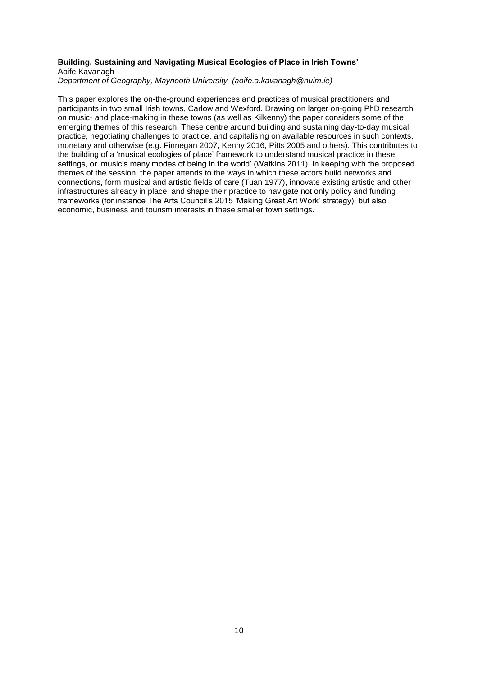#### **Building, Sustaining and Navigating Musical Ecologies of Place in Irish Towns'** Aoife Kavanagh

*Department of Geography, Maynooth University (aoife.a.kavanagh@nuim.ie)*

This paper explores the on-the-ground experiences and practices of musical practitioners and participants in two small Irish towns, Carlow and Wexford. Drawing on larger on-going PhD research on music- and place-making in these towns (as well as Kilkenny) the paper considers some of the emerging themes of this research. These centre around building and sustaining day-to-day musical practice, negotiating challenges to practice, and capitalising on available resources in such contexts, monetary and otherwise (e.g. Finnegan 2007, Kenny 2016, Pitts 2005 and others). This contributes to the building of a 'musical ecologies of place' framework to understand musical practice in these settings, or 'music's many modes of being in the world' (Watkins 2011). In keeping with the proposed themes of the session, the paper attends to the ways in which these actors build networks and connections, form musical and artistic fields of care (Tuan 1977), innovate existing artistic and other infrastructures already in place, and shape their practice to navigate not only policy and funding frameworks (for instance The Arts Council's 2015 'Making Great Art Work' strategy), but also economic, business and tourism interests in these smaller town settings.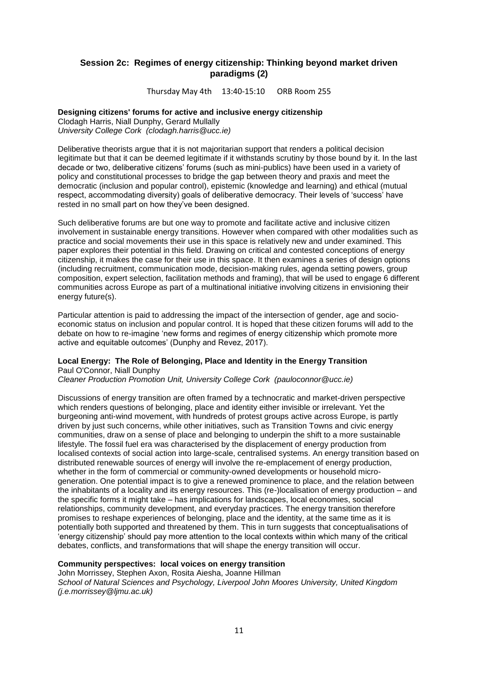### **Session 2c: Regimes of energy citizenship: Thinking beyond market driven paradigms (2)**

Thursday May 4th 13:40-15:10 ORB Room 255

#### **Designing citizens' forums for active and inclusive energy citizenship**

Clodagh Harris, Niall Dunphy, Gerard Mullally *University College Cork (clodagh.harris@ucc.ie)*

Deliberative theorists argue that it is not majoritarian support that renders a political decision legitimate but that it can be deemed legitimate if it withstands scrutiny by those bound by it. In the last decade or two, deliberative citizens' forums (such as mini-publics) have been used in a variety of policy and constitutional processes to bridge the gap between theory and praxis and meet the democratic (inclusion and popular control), epistemic (knowledge and learning) and ethical (mutual respect, accommodating diversity) goals of deliberative democracy. Their levels of 'success' have rested in no small part on how they've been designed.

Such deliberative forums are but one way to promote and facilitate active and inclusive citizen involvement in sustainable energy transitions. However when compared with other modalities such as practice and social movements their use in this space is relatively new and under examined. This paper explores their potential in this field. Drawing on critical and contested conceptions of energy citizenship, it makes the case for their use in this space. It then examines a series of design options (including recruitment, communication mode, decision-making rules, agenda setting powers, group composition, expert selection, facilitation methods and framing), that will be used to engage 6 different communities across Europe as part of a multinational initiative involving citizens in envisioning their energy future(s).

Particular attention is paid to addressing the impact of the intersection of gender, age and socioeconomic status on inclusion and popular control. It is hoped that these citizen forums will add to the debate on how to re-imagine 'new forms and regimes of energy citizenship which promote more active and equitable outcomes' (Dunphy and Revez, 2017).

#### **Local Energy: The Role of Belonging, Place and Identity in the Energy Transition** Paul O'Connor, Niall Dunphy

*Cleaner Production Promotion Unit, University College Cork (pauloconnor@ucc.ie)*

Discussions of energy transition are often framed by a technocratic and market-driven perspective which renders questions of belonging, place and identity either invisible or irrelevant. Yet the burgeoning anti-wind movement, with hundreds of protest groups active across Europe, is partly driven by just such concerns, while other initiatives, such as Transition Towns and civic energy communities, draw on a sense of place and belonging to underpin the shift to a more sustainable lifestyle. The fossil fuel era was characterised by the displacement of energy production from localised contexts of social action into large-scale, centralised systems. An energy transition based on distributed renewable sources of energy will involve the re-emplacement of energy production, whether in the form of commercial or community-owned developments or household microgeneration. One potential impact is to give a renewed prominence to place, and the relation between the inhabitants of a locality and its energy resources. This (re-)localisation of energy production – and the specific forms it might take – has implications for landscapes, local economies, social relationships, community development, and everyday practices. The energy transition therefore promises to reshape experiences of belonging, place and the identity, at the same time as it is potentially both supported and threatened by them. This in turn suggests that conceptualisations of 'energy citizenship' should pay more attention to the local contexts within which many of the critical debates, conflicts, and transformations that will shape the energy transition will occur.

#### **Community perspectives: local voices on energy transition**

John Morrissey, Stephen Axon, Rosita Aiesha, Joanne Hillman *School of Natural Sciences and Psychology, Liverpool John Moores University, United Kingdom (j.e.morrissey@ljmu.ac.uk)*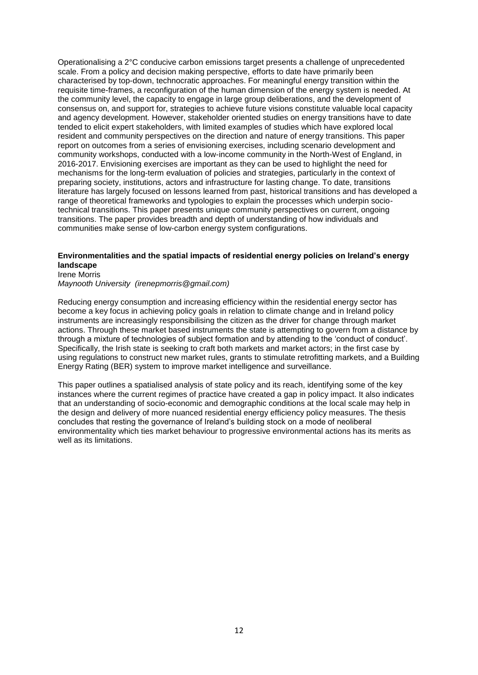Operationalising a 2°C conducive carbon emissions target presents a challenge of unprecedented scale. From a policy and decision making perspective, efforts to date have primarily been characterised by top-down, technocratic approaches. For meaningful energy transition within the requisite time-frames, a reconfiguration of the human dimension of the energy system is needed. At the community level, the capacity to engage in large group deliberations, and the development of consensus on, and support for, strategies to achieve future visions constitute valuable local capacity and agency development. However, stakeholder oriented studies on energy transitions have to date tended to elicit expert stakeholders, with limited examples of studies which have explored local resident and community perspectives on the direction and nature of energy transitions. This paper report on outcomes from a series of envisioning exercises, including scenario development and community workshops, conducted with a low-income community in the North-West of England, in 2016-2017. Envisioning exercises are important as they can be used to highlight the need for mechanisms for the long-term evaluation of policies and strategies, particularly in the context of preparing society, institutions, actors and infrastructure for lasting change. To date, transitions literature has largely focused on lessons learned from past, historical transitions and has developed a range of theoretical frameworks and typologies to explain the processes which underpin sociotechnical transitions. This paper presents unique community perspectives on current, ongoing transitions. The paper provides breadth and depth of understanding of how individuals and communities make sense of low-carbon energy system configurations.

### **Environmentalities and the spatial impacts of residential energy policies on Ireland's energy landscape**

Irene Morris *Maynooth University (irenepmorris@gmail.com)*

Reducing energy consumption and increasing efficiency within the residential energy sector has become a key focus in achieving policy goals in relation to climate change and in Ireland policy instruments are increasingly responsibilising the citizen as the driver for change through market actions. Through these market based instruments the state is attempting to govern from a distance by through a mixture of technologies of subject formation and by attending to the 'conduct of conduct'. Specifically, the Irish state is seeking to craft both markets and market actors; in the first case by using regulations to construct new market rules, grants to stimulate retrofitting markets, and a Building Energy Rating (BER) system to improve market intelligence and surveillance.

This paper outlines a spatialised analysis of state policy and its reach, identifying some of the key instances where the current regimes of practice have created a gap in policy impact. It also indicates that an understanding of socio-economic and demographic conditions at the local scale may help in the design and delivery of more nuanced residential energy efficiency policy measures. The thesis concludes that resting the governance of Ireland's building stock on a mode of neoliberal environmentality which ties market behaviour to progressive environmental actions has its merits as well as its limitations.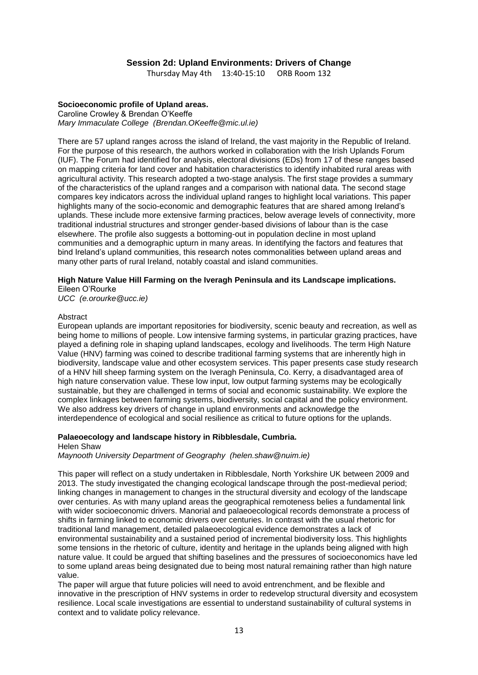### **Session 2d: Upland Environments: Drivers of Change**

Thursday May 4th 13:40-15:10 ORB Room 132

### **Socioeconomic profile of Upland areas.**

Caroline Crowley & Brendan O'Keeffe *Mary Immaculate College (Brendan.OKeeffe@mic.ul.ie)*

There are 57 upland ranges across the island of Ireland, the vast majority in the Republic of Ireland. For the purpose of this research, the authors worked in collaboration with the Irish Uplands Forum (IUF). The Forum had identified for analysis, electoral divisions (EDs) from 17 of these ranges based on mapping criteria for land cover and habitation characteristics to identify inhabited rural areas with agricultural activity. This research adopted a two-stage analysis. The first stage provides a summary of the characteristics of the upland ranges and a comparison with national data. The second stage compares key indicators across the individual upland ranges to highlight local variations. This paper highlights many of the socio-economic and demographic features that are shared among Ireland's uplands. These include more extensive farming practices, below average levels of connectivity, more traditional industrial structures and stronger gender-based divisions of labour than is the case elsewhere. The profile also suggests a bottoming-out in population decline in most upland communities and a demographic upturn in many areas. In identifying the factors and features that bind Ireland's upland communities, this research notes commonalities between upland areas and many other parts of rural Ireland, notably coastal and island communities.

#### **High Nature Value Hill Farming on the Iveragh Peninsula and its Landscape implications.**

Eileen O'Rourke

*UCC (e.orourke@ucc.ie)*

#### Abstract

European uplands are important repositories for biodiversity, scenic beauty and recreation, as well as being home to millions of people. Low intensive farming systems, in particular grazing practices, have played a defining role in shaping upland landscapes, ecology and livelihoods. The term High Nature Value (HNV) farming was coined to describe traditional farming systems that are inherently high in biodiversity, landscape value and other ecosystem services. This paper presents case study research of a HNV hill sheep farming system on the Iveragh Peninsula, Co. Kerry, a disadvantaged area of high nature conservation value. These low input, low output farming systems may be ecologically sustainable, but they are challenged in terms of social and economic sustainability. We explore the complex linkages between farming systems, biodiversity, social capital and the policy environment. We also address key drivers of change in upland environments and acknowledge the interdependence of ecological and social resilience as critical to future options for the uplands.

#### **Palaeoecology and landscape history in Ribblesdale, Cumbria.** Helen Shaw

*Maynooth University Department of Geography (helen.shaw@nuim.ie)*

This paper will reflect on a study undertaken in Ribblesdale, North Yorkshire UK between 2009 and 2013. The study investigated the changing ecological landscape through the post-medieval period; linking changes in management to changes in the structural diversity and ecology of the landscape over centuries. As with many upland areas the geographical remoteness belies a fundamental link with wider socioeconomic drivers. Manorial and palaeoecological records demonstrate a process of shifts in farming linked to economic drivers over centuries. In contrast with the usual rhetoric for traditional land management, detailed palaeoecological evidence demonstrates a lack of environmental sustainability and a sustained period of incremental biodiversity loss. This highlights some tensions in the rhetoric of culture, identity and heritage in the uplands being aligned with high nature value. It could be argued that shifting baselines and the pressures of socioeconomics have led to some upland areas being designated due to being most natural remaining rather than high nature value.

The paper will argue that future policies will need to avoid entrenchment, and be flexible and innovative in the prescription of HNV systems in order to redevelop structural diversity and ecosystem resilience. Local scale investigations are essential to understand sustainability of cultural systems in context and to validate policy relevance.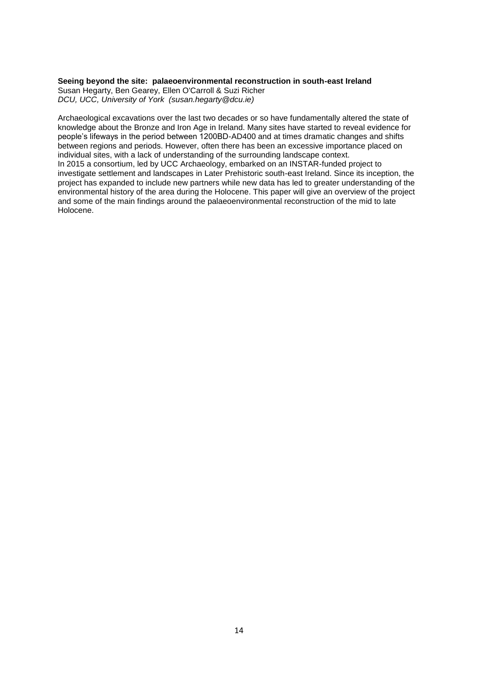#### **Seeing beyond the site: palaeoenvironmental reconstruction in south-east Ireland**

Susan Hegarty, Ben Gearey, Ellen O'Carroll & Suzi Richer *DCU, UCC, University of York (susan.hegarty@dcu.ie)*

Archaeological excavations over the last two decades or so have fundamentally altered the state of knowledge about the Bronze and Iron Age in Ireland. Many sites have started to reveal evidence for people's lifeways in the period between 1200BD-AD400 and at times dramatic changes and shifts between regions and periods. However, often there has been an excessive importance placed on individual sites, with a lack of understanding of the surrounding landscape context. In 2015 a consortium, led by UCC Archaeology, embarked on an INSTAR-funded project to investigate settlement and landscapes in Later Prehistoric south-east Ireland. Since its inception, the project has expanded to include new partners while new data has led to greater understanding of the environmental history of the area during the Holocene. This paper will give an overview of the project and some of the main findings around the palaeoenvironmental reconstruction of the mid to late Holocene.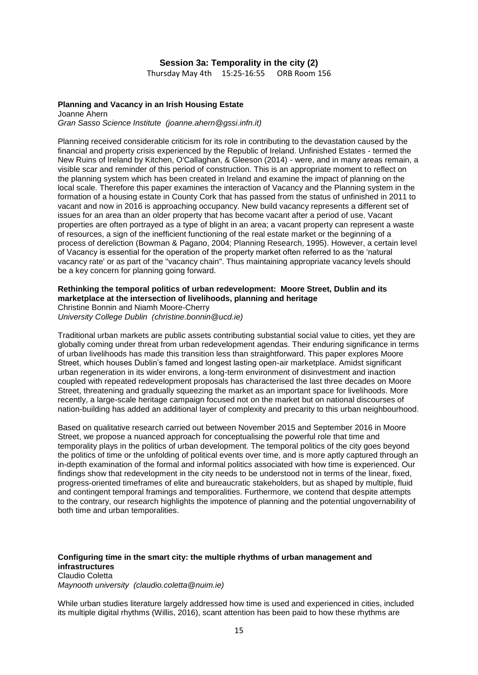#### **Session 3a: Temporality in the city (2)**

Thursday May 4th 15:25-16:55 ORB Room 156

### **Planning and Vacancy in an Irish Housing Estate**

Joanne Ahern *Gran Sasso Science Institute (joanne.ahern@gssi.infn.it)*

Planning received considerable criticism for its role in contributing to the devastation caused by the financial and property crisis experienced by the Republic of Ireland. Unfinished Estates - termed the New Ruins of Ireland by Kitchen, O'Callaghan, & Gleeson (2014) - were, and in many areas remain, a visible scar and reminder of this period of construction. This is an appropriate moment to reflect on the planning system which has been created in Ireland and examine the impact of planning on the local scale. Therefore this paper examines the interaction of Vacancy and the Planning system in the formation of a housing estate in County Cork that has passed from the status of unfinished in 2011 to vacant and now in 2016 is approaching occupancy. New build vacancy represents a different set of issues for an area than an older property that has become vacant after a period of use. Vacant properties are often portrayed as a type of blight in an area; a vacant property can represent a waste of resources, a sign of the inefficient functioning of the real estate market or the beginning of a process of dereliction (Bowman & Pagano, 2004; Planning Research, 1995). However, a certain level of Vacancy is essential for the operation of the property market often referred to as the 'natural vacancy rate' or as part of the "vacancy chain". Thus maintaining appropriate vacancy levels should be a key concern for planning going forward.

#### **Rethinking the temporal politics of urban redevelopment: Moore Street, Dublin and its marketplace at the intersection of livelihoods, planning and heritage** Christine Bonnin and Niamh Moore-Cherry

*University College Dublin (christine.bonnin@ucd.ie)*

Traditional urban markets are public assets contributing substantial social value to cities, yet they are globally coming under threat from urban redevelopment agendas. Their enduring significance in terms of urban livelihoods has made this transition less than straightforward. This paper explores Moore Street, which houses Dublin's famed and longest lasting open-air marketplace. Amidst significant urban regeneration in its wider environs, a long-term environment of disinvestment and inaction coupled with repeated redevelopment proposals has characterised the last three decades on Moore Street, threatening and gradually squeezing the market as an important space for livelihoods. More recently, a large-scale heritage campaign focused not on the market but on national discourses of nation-building has added an additional layer of complexity and precarity to this urban neighbourhood.

Based on qualitative research carried out between November 2015 and September 2016 in Moore Street, we propose a nuanced approach for conceptualising the powerful role that time and temporality plays in the politics of urban development. The temporal politics of the city goes beyond the politics of time or the unfolding of political events over time, and is more aptly captured through an in-depth examination of the formal and informal politics associated with how time is experienced. Our findings show that redevelopment in the city needs to be understood not in terms of the linear, fixed, progress-oriented timeframes of elite and bureaucratic stakeholders, but as shaped by multiple, fluid and contingent temporal framings and temporalities. Furthermore, we contend that despite attempts to the contrary, our research highlights the impotence of planning and the potential ungovernability of both time and urban temporalities.

### **Configuring time in the smart city: the multiple rhythms of urban management and infrastructures**

Claudio Coletta *Maynooth university (claudio.coletta@nuim.ie)*

While urban studies literature largely addressed how time is used and experienced in cities, included its multiple digital rhythms (Willis, 2016), scant attention has been paid to how these rhythms are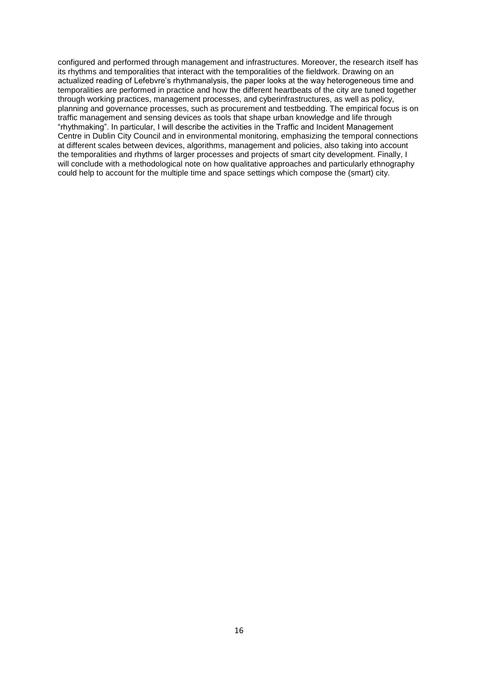configured and performed through management and infrastructures. Moreover, the research itself has its rhythms and temporalities that interact with the temporalities of the fieldwork. Drawing on an actualized reading of Lefebvre's rhythmanalysis, the paper looks at the way heterogeneous time and temporalities are performed in practice and how the different heartbeats of the city are tuned together through working practices, management processes, and cyberinfrastructures, as well as policy, planning and governance processes, such as procurement and testbedding. The empirical focus is on traffic management and sensing devices as tools that shape urban knowledge and life through "rhythmaking". In particular, I will describe the activities in the Traffic and Incident Management Centre in Dublin City Council and in environmental monitoring, emphasizing the temporal connections at different scales between devices, algorithms, management and policies, also taking into account the temporalities and rhythms of larger processes and projects of smart city development. Finally, I will conclude with a methodological note on how qualitative approaches and particularly ethnography could help to account for the multiple time and space settings which compose the (smart) city.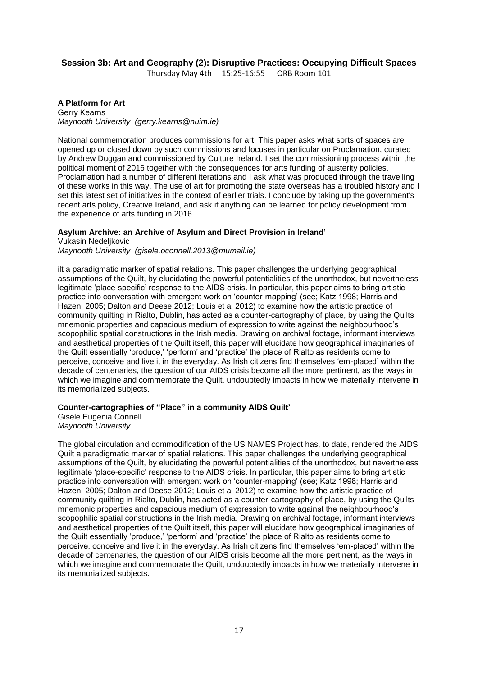### **Session 3b: Art and Geography (2): Disruptive Practices: Occupying Difficult Spaces**

Thursday May 4th 15:25-16:55 ORB Room 101

**A Platform for Art** Gerry Kearns *Maynooth University (gerry.kearns@nuim.ie)*

National commemoration produces commissions for art. This paper asks what sorts of spaces are opened up or closed down by such commissions and focuses in particular on Proclamation, curated by Andrew Duggan and commissioned by Culture Ireland. I set the commissioning process within the political moment of 2016 together with the consequences for arts funding of austerity policies. Proclamation had a number of different iterations and I ask what was produced through the travelling of these works in this way. The use of art for promoting the state overseas has a troubled history and I set this latest set of initiatives in the context of earlier trials. I conclude by taking up the government's recent arts policy, Creative Ireland, and ask if anything can be learned for policy development from the experience of arts funding in 2016.

### **Asylum Archive: an Archive of Asylum and Direct Provision in Ireland'**

Vukasin Nedeljkovic *Maynooth University (gisele.oconnell.2013@mumail.ie)*

ilt a paradigmatic marker of spatial relations. This paper challenges the underlying geographical assumptions of the Quilt, by elucidating the powerful potentialities of the unorthodox, but nevertheless legitimate 'place-specific' response to the AIDS crisis. In particular, this paper aims to bring artistic practice into conversation with emergent work on 'counter-mapping' (see; Katz 1998; Harris and Hazen, 2005; Dalton and Deese 2012; Louis et al 2012) to examine how the artistic practice of community quilting in Rialto, Dublin, has acted as a counter-cartography of place, by using the Quilts mnemonic properties and capacious medium of expression to write against the neighbourhood's scopophilic spatial constructions in the Irish media. Drawing on archival footage, informant interviews and aesthetical properties of the Quilt itself, this paper will elucidate how geographical imaginaries of the Quilt essentially 'produce,' 'perform' and 'practice' the place of Rialto as residents come to perceive, conceive and live it in the everyday. As Irish citizens find themselves 'em-placed' within the decade of centenaries, the question of our AIDS crisis become all the more pertinent, as the ways in which we imagine and commemorate the Quilt, undoubtedly impacts in how we materially intervene in its memorialized subjects.

### **Counter-cartographies of "Place" in a community AIDS Quilt'**

Gisele Eugenia Connell *Maynooth University* 

The global circulation and commodification of the US NAMES Project has, to date, rendered the AIDS Quilt a paradigmatic marker of spatial relations. This paper challenges the underlying geographical assumptions of the Quilt, by elucidating the powerful potentialities of the unorthodox, but nevertheless legitimate 'place-specific' response to the AIDS crisis. In particular, this paper aims to bring artistic practice into conversation with emergent work on 'counter-mapping' (see; Katz 1998; Harris and Hazen, 2005; Dalton and Deese 2012; Louis et al 2012) to examine how the artistic practice of community quilting in Rialto, Dublin, has acted as a counter-cartography of place, by using the Quilts mnemonic properties and capacious medium of expression to write against the neighbourhood's scopophilic spatial constructions in the Irish media. Drawing on archival footage, informant interviews and aesthetical properties of the Quilt itself, this paper will elucidate how geographical imaginaries of the Quilt essentially 'produce,' 'perform' and 'practice' the place of Rialto as residents come to perceive, conceive and live it in the everyday. As Irish citizens find themselves 'em-placed' within the decade of centenaries, the question of our AIDS crisis become all the more pertinent, as the ways in which we imagine and commemorate the Quilt, undoubtedly impacts in how we materially intervene in its memorialized subjects.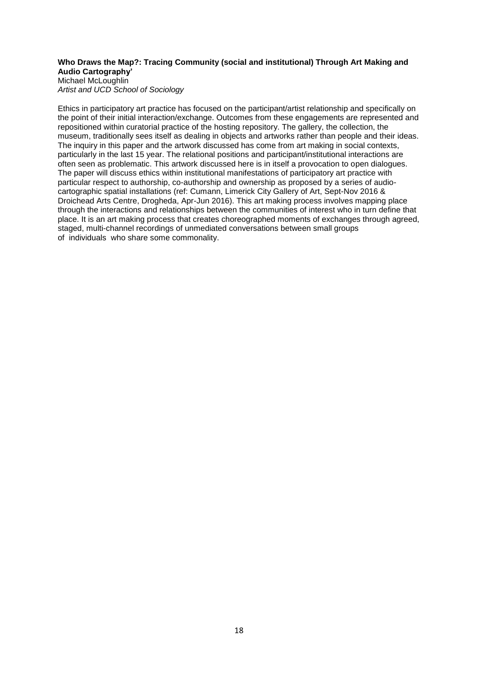### **Who Draws the Map?: Tracing Community (social and institutional) Through Art Making and Audio Cartography'**

Michael McLoughlin *Artist and UCD School of Sociology* 

Ethics in participatory art practice has focused on the participant/artist relationship and specifically on the point of their initial interaction/exchange. Outcomes from these engagements are represented and repositioned within curatorial practice of the hosting repository. The gallery, the collection, the museum, traditionally sees itself as dealing in objects and artworks rather than people and their ideas. The inquiry in this paper and the artwork discussed has come from art making in social contexts, particularly in the last 15 year. The relational positions and participant/institutional interactions are often seen as problematic. This artwork discussed here is in itself a provocation to open dialogues. The paper will discuss ethics within institutional manifestations of participatory art practice with particular respect to authorship, co-authorship and ownership as proposed by a series of audiocartographic spatial installations (ref: Cumann, Limerick City Gallery of Art, Sept-Nov 2016 & Droichead Arts Centre, Drogheda, Apr-Jun 2016). This art making process involves mapping place through the interactions and relationships between the communities of interest who in turn define that place. It is an art making process that creates choreographed moments of exchanges through agreed, staged, multi-channel recordings of unmediated conversations between small groups of individuals who share some commonality.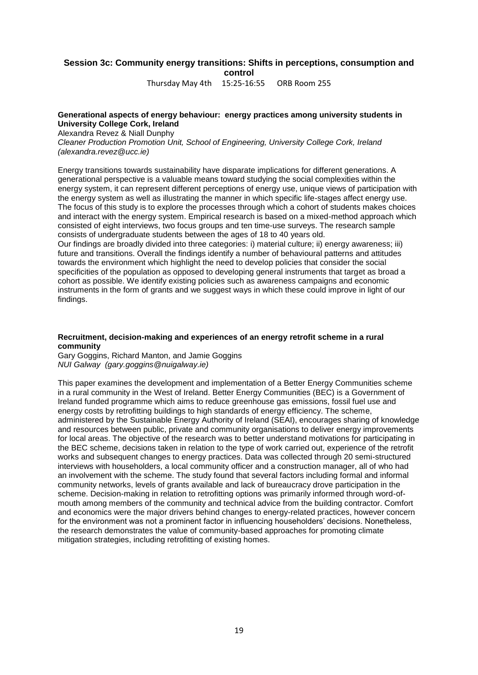### **Session 3c: Community energy transitions: Shifts in perceptions, consumption and control**

Thursday May 4th 15:25-16:55 ORB Room 255

#### **Generational aspects of energy behaviour: energy practices among university students in University College Cork, Ireland**

Alexandra Revez & Niall Dunphy

*Cleaner Production Promotion Unit, School of Engineering, University College Cork, Ireland (alexandra.revez@ucc.ie)*

Energy transitions towards sustainability have disparate implications for different generations. A generational perspective is a valuable means toward studying the social complexities within the energy system, it can represent different perceptions of energy use, unique views of participation with the energy system as well as illustrating the manner in which specific life-stages affect energy use. The focus of this study is to explore the processes through which a cohort of students makes choices and interact with the energy system. Empirical research is based on a mixed-method approach which consisted of eight interviews, two focus groups and ten time-use surveys. The research sample consists of undergraduate students between the ages of 18 to 40 years old.

Our findings are broadly divided into three categories: i) material culture; ii) energy awareness; iii) future and transitions. Overall the findings identify a number of behavioural patterns and attitudes towards the environment which highlight the need to develop policies that consider the social specificities of the population as opposed to developing general instruments that target as broad a cohort as possible. We identify existing policies such as awareness campaigns and economic instruments in the form of grants and we suggest ways in which these could improve in light of our findings.

#### **Recruitment, decision-making and experiences of an energy retrofit scheme in a rural community**

Gary Goggins, Richard Manton, and Jamie Goggins *NUI Galway (gary.goggins@nuigalway.ie)*

This paper examines the development and implementation of a Better Energy Communities scheme in a rural community in the West of Ireland. Better Energy Communities (BEC) is a Government of Ireland funded programme which aims to reduce greenhouse gas emissions, fossil fuel use and energy costs by retrofitting buildings to high standards of energy efficiency. The scheme, administered by the Sustainable Energy Authority of Ireland (SEAI), encourages sharing of knowledge and resources between public, private and community organisations to deliver energy improvements for local areas. The objective of the research was to better understand motivations for participating in the BEC scheme, decisions taken in relation to the type of work carried out, experience of the retrofit works and subsequent changes to energy practices. Data was collected through 20 semi-structured interviews with householders, a local community officer and a construction manager, all of who had an involvement with the scheme. The study found that several factors including formal and informal community networks, levels of grants available and lack of bureaucracy drove participation in the scheme. Decision-making in relation to retrofitting options was primarily informed through word-ofmouth among members of the community and technical advice from the building contractor. Comfort and economics were the major drivers behind changes to energy-related practices, however concern for the environment was not a prominent factor in influencing householders' decisions. Nonetheless, the research demonstrates the value of community-based approaches for promoting climate mitigation strategies, including retrofitting of existing homes.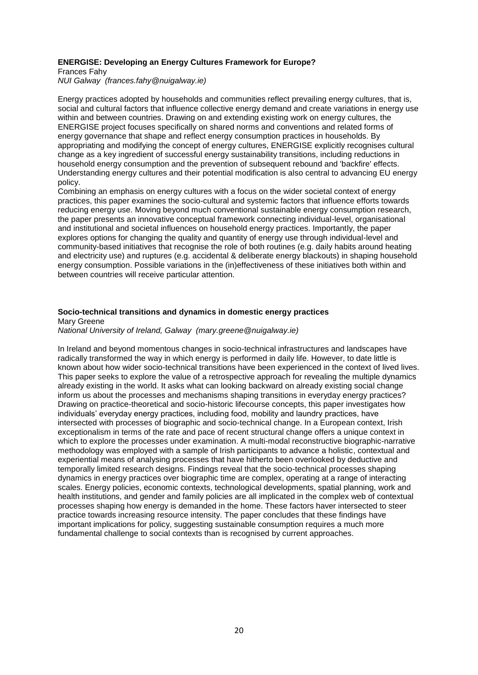#### **ENERGISE: Developing an Energy Cultures Framework for Europe?**

Frances Fahy

*NUI Galway (frances.fahy@nuigalway.ie)*

Energy practices adopted by households and communities reflect prevailing energy cultures, that is, social and cultural factors that influence collective energy demand and create variations in energy use within and between countries. Drawing on and extending existing work on energy cultures, the ENERGISE project focuses specifically on shared norms and conventions and related forms of energy governance that shape and reflect energy consumption practices in households. By appropriating and modifying the concept of energy cultures, ENERGISE explicitly recognises cultural change as a key ingredient of successful energy sustainability transitions, including reductions in household energy consumption and the prevention of subsequent rebound and 'backfire' effects. Understanding energy cultures and their potential modification is also central to advancing EU energy policy.

Combining an emphasis on energy cultures with a focus on the wider societal context of energy practices, this paper examines the socio-cultural and systemic factors that influence efforts towards reducing energy use. Moving beyond much conventional sustainable energy consumption research, the paper presents an innovative conceptual framework connecting individual-level, organisational and institutional and societal influences on household energy practices. Importantly, the paper explores options for changing the quality and quantity of energy use through individual-level and community-based initiatives that recognise the role of both routines (e.g. daily habits around heating and electricity use) and ruptures (e.g. accidental & deliberate energy blackouts) in shaping household energy consumption. Possible variations in the (in)effectiveness of these initiatives both within and between countries will receive particular attention.

### **Socio-technical transitions and dynamics in domestic energy practices** Mary Greene

*National University of Ireland, Galway (mary.greene@nuigalway.ie)*

In Ireland and beyond momentous changes in socio-technical infrastructures and landscapes have radically transformed the way in which energy is performed in daily life. However, to date little is known about how wider socio-technical transitions have been experienced in the context of lived lives. This paper seeks to explore the value of a retrospective approach for revealing the multiple dynamics already existing in the world. It asks what can looking backward on already existing social change inform us about the processes and mechanisms shaping transitions in everyday energy practices? Drawing on practice-theoretical and socio-historic lifecourse concepts, this paper investigates how individuals' everyday energy practices, including food, mobility and laundry practices, have intersected with processes of biographic and socio-technical change. In a European context, Irish exceptionalism in terms of the rate and pace of recent structural change offers a unique context in which to explore the processes under examination. A multi-modal reconstructive biographic-narrative methodology was employed with a sample of Irish participants to advance a holistic, contextual and experiential means of analysing processes that have hitherto been overlooked by deductive and temporally limited research designs. Findings reveal that the socio-technical processes shaping dynamics in energy practices over biographic time are complex, operating at a range of interacting scales. Energy policies, economic contexts, technological developments, spatial planning, work and health institutions, and gender and family policies are all implicated in the complex web of contextual processes shaping how energy is demanded in the home. These factors haver intersected to steer practice towards increasing resource intensity. The paper concludes that these findings have important implications for policy, suggesting sustainable consumption requires a much more fundamental challenge to social contexts than is recognised by current approaches.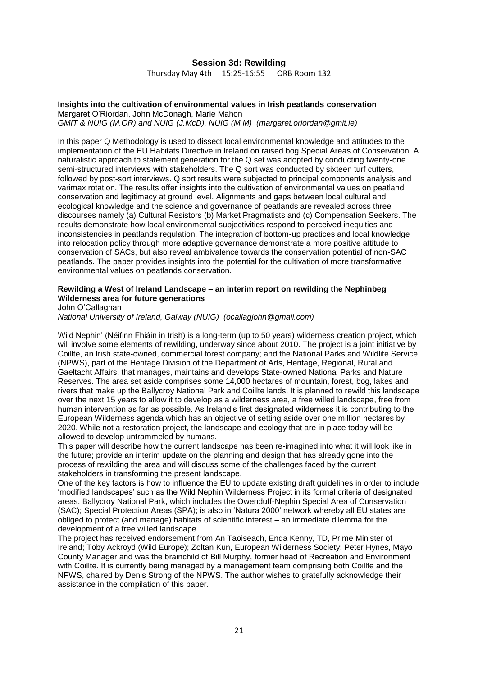### **Session 3d: Rewilding**

Thursday May 4th 15:25-16:55 ORB Room 132

#### **Insights into the cultivation of environmental values in Irish peatlands conservation** Margaret O'Riordan, John McDonagh, Marie Mahon

*GMIT & NUIG (M.OR) and NUIG (J.McD), NUIG (M.M) (margaret.oriordan@gmit.ie)*

In this paper Q Methodology is used to dissect local environmental knowledge and attitudes to the implementation of the EU Habitats Directive in Ireland on raised bog Special Areas of Conservation. A naturalistic approach to statement generation for the Q set was adopted by conducting twenty-one semi-structured interviews with stakeholders. The Q sort was conducted by sixteen turf cutters, followed by post-sort interviews. Q sort results were subjected to principal components analysis and varimax rotation. The results offer insights into the cultivation of environmental values on peatland conservation and legitimacy at ground level. Alignments and gaps between local cultural and ecological knowledge and the science and governance of peatlands are revealed across three discourses namely (a) Cultural Resistors (b) Market Pragmatists and (c) Compensation Seekers. The results demonstrate how local environmental subjectivities respond to perceived inequities and inconsistencies in peatlands regulation. The integration of bottom-up practices and local knowledge into relocation policy through more adaptive governance demonstrate a more positive attitude to conservation of SACs, but also reveal ambivalence towards the conservation potential of non-SAC peatlands. The paper provides insights into the potential for the cultivation of more transformative environmental values on peatlands conservation.

### **Rewilding a West of Ireland Landscape – an interim report on rewilding the Nephinbeg Wilderness area for future generations**

John O'Callaghan

*National University of Ireland, Galway (NUIG) (ocallagjohn@gmail.com)*

Wild Nephin' (Néifinn Fhiáin in Irish) is a long-term (up to 50 years) wilderness creation project, which will involve some elements of rewilding, underway since about 2010. The project is a joint initiative by Coillte, an Irish state-owned, commercial forest company; and the National Parks and Wildlife Service (NPWS), part of the Heritage Division of the Department of Arts, Heritage, Regional, Rural and Gaeltacht Affairs, that manages, maintains and develops State-owned National Parks and Nature Reserves. The area set aside comprises some 14,000 hectares of mountain, forest, bog, lakes and rivers that make up the Ballycroy National Park and Coillte lands. It is planned to rewild this landscape over the next 15 years to allow it to develop as a wilderness area, a free willed landscape, free from human intervention as far as possible. As Ireland's first designated wilderness it is contributing to the European Wilderness agenda which has an objective of setting aside over one million hectares by 2020. While not a restoration project, the landscape and ecology that are in place today will be allowed to develop untrammeled by humans.

This paper will describe how the current landscape has been re-imagined into what it will look like in the future; provide an interim update on the planning and design that has already gone into the process of rewilding the area and will discuss some of the challenges faced by the current stakeholders in transforming the present landscape.

One of the key factors is how to influence the EU to update existing draft guidelines in order to include 'modified landscapes' such as the Wild Nephin Wilderness Project in its formal criteria of designated areas. Ballycroy National Park, which includes the Owenduff-Nephin Special Area of Conservation (SAC); Special Protection Areas (SPA); is also in 'Natura 2000' network whereby all EU states are obliged to protect (and manage) habitats of scientific interest – an immediate dilemma for the development of a free willed landscape.

The project has received endorsement from An Taoiseach, Enda Kenny, TD, Prime Minister of Ireland; Toby Ackroyd (Wild Europe); Zoltan Kun, European Wilderness Society; Peter Hynes, Mayo County Manager and was the brainchild of Bill Murphy, former head of Recreation and Environment with Coillte. It is currently being managed by a management team comprising both Coillte and the NPWS, chaired by Denis Strong of the NPWS. The author wishes to gratefully acknowledge their assistance in the compilation of this paper.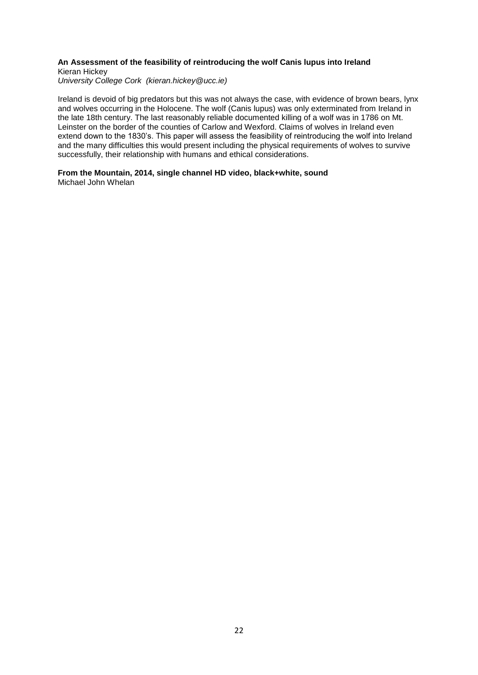#### **An Assessment of the feasibility of reintroducing the wolf Canis lupus into Ireland** Kieran Hickey

*University College Cork (kieran.hickey@ucc.ie)*

Ireland is devoid of big predators but this was not always the case, with evidence of brown bears, lynx and wolves occurring in the Holocene. The wolf (Canis lupus) was only exterminated from Ireland in the late 18th century. The last reasonably reliable documented killing of a wolf was in 1786 on Mt. Leinster on the border of the counties of Carlow and Wexford. Claims of wolves in Ireland even extend down to the 1830's. This paper will assess the feasibility of reintroducing the wolf into Ireland and the many difficulties this would present including the physical requirements of wolves to survive successfully, their relationship with humans and ethical considerations.

**From the Mountain, 2014, single channel HD video, black+white, sound**

Michael John Whelan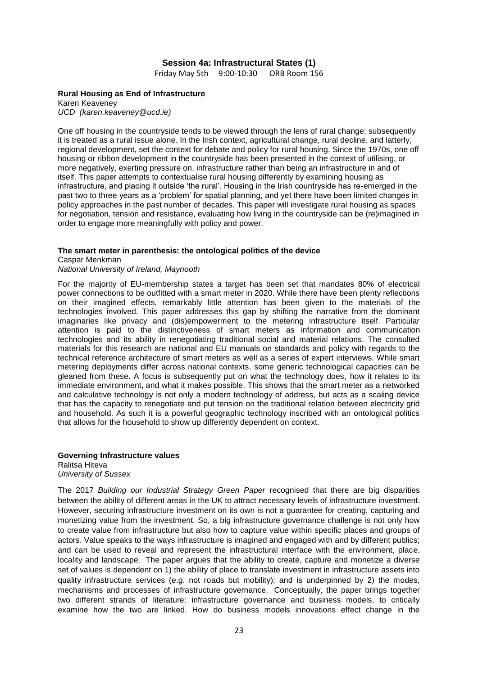### **Session 4a: Infrastructural States (1)**

Friday May 5th 9:00-10:30 ORB Room 156

#### **Rural Housing as End of Infrastructure**

Karen Keaveney *UCD (karen.keaveney@ucd.ie)*

One off housing in the countryside tends to be viewed through the lens of rural change; subsequently it is treated as a rural issue alone. In the Irish context, agricultural change, rural decline, and latterly, regional development, set the context for debate and policy for rural housing. Since the 1970s, one off housing or ribbon development in the countryside has been presented in the context of utilising, or more negatively, exerting pressure on, infrastructure rather than being an infrastructure in and of itself. This paper attempts to contextualise rural housing differently by examining housing as infrastructure, and placing it outside 'the rural'. Housing in the Irish countryside has re-emerged in the past two to three years as a 'problem' for spatial planning, and yet there have been limited changes in policy approaches in the past number of decades. This paper will investigate rural housing as spaces for negotiation, tension and resistance, evaluating how living in the countryside can be (re)imagined in order to engage more meaningfully with policy and power.

#### **The smart meter in parenthesis: the ontological politics of the device**

Caspar Menkman

### *National University of Ireland, Maynooth*

For the majority of EU-membership states a target has been set that mandates 80% of electrical power connections to be outfitted with a smart meter in 2020. While there have been plenty reflections on their imagined effects, remarkably little attention has been given to the materials of the technologies involved. This paper addresses this gap by shifting the narrative from the dominant imaginaries like privacy and (dis)empowerment to the metering infrastructure itself. Particular attention is paid to the distinctiveness of smart meters as information and communication technologies and its ability in renegotiating traditional social and material relations. The consulted materials for this research are national and EU manuals on standards and policy with regards to the technical reference architecture of smart meters as well as a series of expert interviews. While smart metering deployments differ across national contexts, some generic technological capacities can be gleaned from these. A focus is subsequently put on what the technology does, how it relates to its immediate environment, and what it makes possible. This shows that the smart meter as a networked and calculative technology is not only a modern technology of address, but acts as a scaling device that has the capacity to renegotiate and put tension on the traditional relation between electricity grid and household. As such it is a powerful geographic technology inscribed with an ontological politics that allows for the household to show up differently dependent on context.

#### **Governing Infrastructure values**

Ralitsa Hiteva *University of Sussex*

The 2017 *Building our Industrial Strategy Green Paper* recognised that there are big disparities between the ability of different areas in the UK to attract necessary levels of infrastructure investment. However, securing infrastructure investment on its own is not a guarantee for creating, capturing and monetizing value from the investment. So, a big infrastructure governance challenge is not only how to create value from infrastructure but also how to capture value within specific places and groups of actors. Value speaks to the ways infrastructure is imagined and engaged with and by different publics; and can be used to reveal and represent the infrastructural interface with the environment, place, locality and landscape. The paper argues that the ability to create, capture and monetize a diverse set of values is dependent on 1) the ability of place to translate investment in infrastructure assets into quality infrastructure services (e.g. not roads but mobility); and is underpinned by 2) the modes, mechanisms and processes of infrastructure governance. Conceptually, the paper brings together two different strands of literature: infrastructure governance and business models, to critically examine how the two are linked. How do business models innovations effect change in the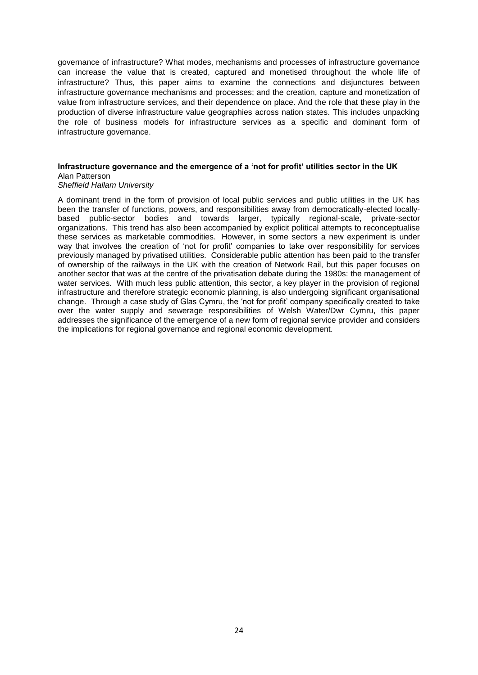governance of infrastructure? What modes, mechanisms and processes of infrastructure governance can increase the value that is created, captured and monetised throughout the whole life of infrastructure? Thus, this paper aims to examine the connections and disjunctures between infrastructure governance mechanisms and processes; and the creation, capture and monetization of value from infrastructure services, and their dependence on place. And the role that these play in the production of diverse infrastructure value geographies across nation states. This includes unpacking the role of business models for infrastructure services as a specific and dominant form of infrastructure governance.

#### **Infrastructure governance and the emergence of a 'not for profit' utilities sector in the UK** Alan Patterson

#### *Sheffield Hallam University*

A dominant trend in the form of provision of local public services and public utilities in the UK has been the transfer of functions, powers, and responsibilities away from democratically-elected locallybased public-sector bodies and towards larger, typically regional-scale, private-sector organizations. This trend has also been accompanied by explicit political attempts to reconceptualise these services as marketable commodities. However, in some sectors a new experiment is under way that involves the creation of 'not for profit' companies to take over responsibility for services previously managed by privatised utilities. Considerable public attention has been paid to the transfer of ownership of the railways in the UK with the creation of Network Rail, but this paper focuses on another sector that was at the centre of the privatisation debate during the 1980s: the management of water services. With much less public attention, this sector, a key player in the provision of regional infrastructure and therefore strategic economic planning, is also undergoing significant organisational change. Through a case study of Glas Cymru, the 'not for profit' company specifically created to take over the water supply and sewerage responsibilities of Welsh Water/Dwr Cymru, this paper addresses the significance of the emergence of a new form of regional service provider and considers the implications for regional governance and regional economic development.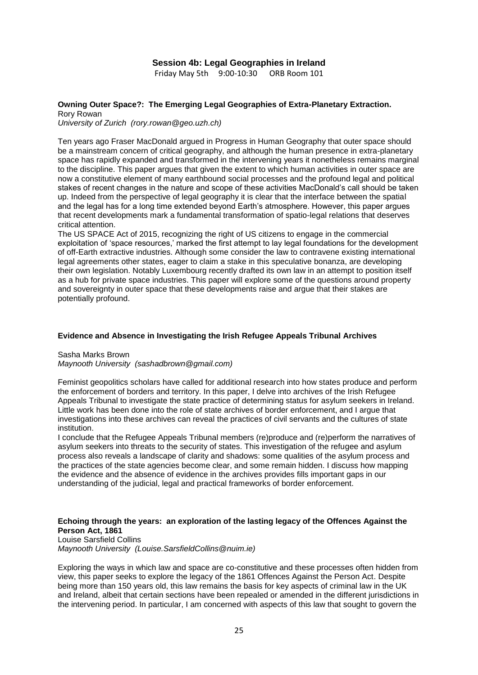### **Session 4b: Legal Geographies in Ireland**

Friday May 5th 9:00-10:30 ORB Room 101

#### **Owning Outer Space?: The Emerging Legal Geographies of Extra-Planetary Extraction.** Rory Rowan

*University of Zurich (rory.rowan@geo.uzh.ch)*

Ten years ago Fraser MacDonald argued in Progress in Human Geography that outer space should be a mainstream concern of critical geography, and although the human presence in extra-planetary space has rapidly expanded and transformed in the intervening years it nonetheless remains marginal to the discipline. This paper argues that given the extent to which human activities in outer space are now a constitutive element of many earthbound social processes and the profound legal and political stakes of recent changes in the nature and scope of these activities MacDonald's call should be taken up. Indeed from the perspective of legal geography it is clear that the interface between the spatial and the legal has for a long time extended beyond Earth's atmosphere. However, this paper argues that recent developments mark a fundamental transformation of spatio-legal relations that deserves critical attention.

The US SPACE Act of 2015, recognizing the right of US citizens to engage in the commercial exploitation of 'space resources,' marked the first attempt to lay legal foundations for the development of off-Earth extractive industries. Although some consider the law to contravene existing international legal agreements other states, eager to claim a stake in this speculative bonanza, are developing their own legislation. Notably Luxembourg recently drafted its own law in an attempt to position itself as a hub for private space industries. This paper will explore some of the questions around property and sovereignty in outer space that these developments raise and argue that their stakes are potentially profound.

#### **Evidence and Absence in Investigating the Irish Refugee Appeals Tribunal Archives**

Sasha Marks Brown *Maynooth University (sashadbrown@gmail.com)*

Feminist geopolitics scholars have called for additional research into how states produce and perform the enforcement of borders and territory. In this paper, I delve into archives of the Irish Refugee Appeals Tribunal to investigate the state practice of determining status for asylum seekers in Ireland. Little work has been done into the role of state archives of border enforcement, and I argue that investigations into these archives can reveal the practices of civil servants and the cultures of state institution.

I conclude that the Refugee Appeals Tribunal members (re)produce and (re)perform the narratives of asylum seekers into threats to the security of states. This investigation of the refugee and asylum process also reveals a landscape of clarity and shadows: some qualities of the asylum process and the practices of the state agencies become clear, and some remain hidden. I discuss how mapping the evidence and the absence of evidence in the archives provides fills important gaps in our understanding of the judicial, legal and practical frameworks of border enforcement.

#### **Echoing through the years: an exploration of the lasting legacy of the Offences Against the Person Act, 1861**

Louise Sarsfield Collins *Maynooth University (Louise.SarsfieldCollins@nuim.ie)*

Exploring the ways in which law and space are co-constitutive and these processes often hidden from view, this paper seeks to explore the legacy of the 1861 Offences Against the Person Act. Despite being more than 150 years old, this law remains the basis for key aspects of criminal law in the UK and Ireland, albeit that certain sections have been repealed or amended in the different jurisdictions in the intervening period. In particular, I am concerned with aspects of this law that sought to govern the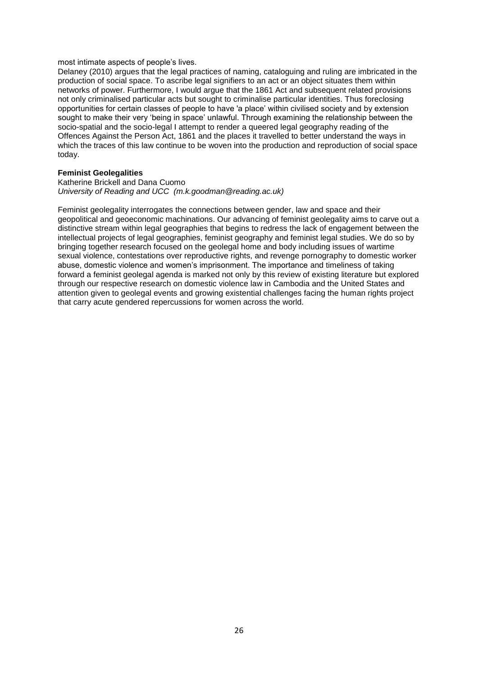most intimate aspects of people's lives.

Delaney (2010) argues that the legal practices of naming, cataloguing and ruling are imbricated in the production of social space. To ascribe legal signifiers to an act or an object situates them within networks of power. Furthermore, I would argue that the 1861 Act and subsequent related provisions not only criminalised particular acts but sought to criminalise particular identities. Thus foreclosing opportunities for certain classes of people to have 'a place' within civilised society and by extension sought to make their very 'being in space' unlawful. Through examining the relationship between the socio-spatial and the socio-legal I attempt to render a queered legal geography reading of the Offences Against the Person Act, 1861 and the places it travelled to better understand the ways in which the traces of this law continue to be woven into the production and reproduction of social space today.

#### **Feminist Geolegalities**

Katherine Brickell and Dana Cuomo *University of Reading and UCC (m.k.goodman@reading.ac.uk)*

Feminist geolegality interrogates the connections between gender, law and space and their geopolitical and geoeconomic machinations. Our advancing of feminist geolegality aims to carve out a distinctive stream within legal geographies that begins to redress the lack of engagement between the intellectual projects of legal geographies, feminist geography and feminist legal studies. We do so by bringing together research focused on the geolegal home and body including issues of wartime sexual violence, contestations over reproductive rights, and revenge pornography to domestic worker abuse, domestic violence and women's imprisonment. The importance and timeliness of taking forward a feminist geolegal agenda is marked not only by this review of existing literature but explored through our respective research on domestic violence law in Cambodia and the United States and attention given to geolegal events and growing existential challenges facing the human rights project that carry acute gendered repercussions for women across the world.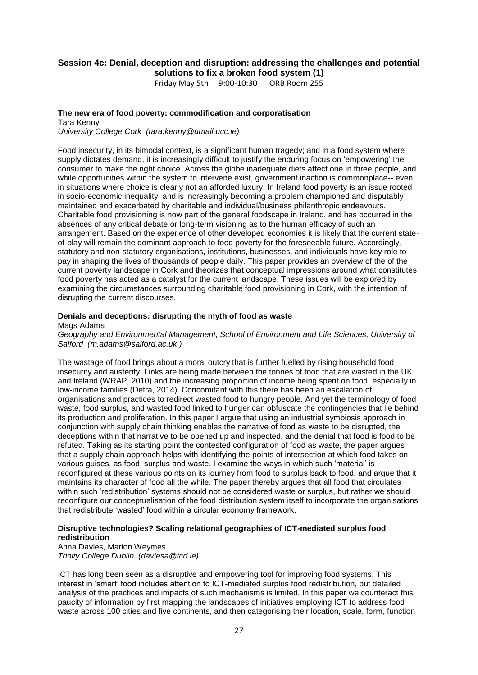### **Session 4c: Denial, deception and disruption: addressing the challenges and potential solutions to fix a broken food system (1)**

Friday May 5th 9:00-10:30 ORB Room 255

#### **The new era of food poverty: commodification and corporatisation**

Tara Kenny *University College Cork (tara.kenny@umail.ucc.ie)*

Food insecurity, in its bimodal context, is a significant human tragedy; and in a food system where supply dictates demand, it is increasingly difficult to justify the enduring focus on 'empowering' the consumer to make the right choice. Across the globe inadequate diets affect one in three people, and while opportunities within the system to intervene exist, government inaction is commonplace-- even in situations where choice is clearly not an afforded luxury. In Ireland food poverty is an issue rooted in socio-economic inequality; and is increasingly becoming a problem championed and disputably maintained and exacerbated by charitable and individual/business philanthropic endeavours. Charitable food provisioning is now part of the general foodscape in Ireland, and has occurred in the absences of any critical debate or long-term visioning as to the human efficacy of such an arrangement. Based on the experience of other developed economies it is likely that the current stateof-play will remain the dominant approach to food poverty for the foreseeable future. Accordingly, statutory and non-statutory organisations, institutions, businesses, and individuals have key role to pay in shaping the lives of thousands of people daily. This paper provides an overview of the of the current poverty landscape in Cork and theorizes that conceptual impressions around what constitutes food poverty has acted as a catalyst for the current landscape. These issues will be explored by examining the circumstances surrounding charitable food provisioning in Cork, with the intention of disrupting the current discourses.

#### **Denials and deceptions: disrupting the myth of food as waste**

#### Mags Adams

*Geography and Environmental Management, School of Environment and Life Sciences, University of Salford (m.adams@salford.ac.uk )*

The wastage of food brings about a moral outcry that is further fuelled by rising household food insecurity and austerity. Links are being made between the tonnes of food that are wasted in the UK and Ireland (WRAP, 2010) and the increasing proportion of income being spent on food, especially in low-income families (Defra, 2014). Concomitant with this there has been an escalation of organisations and practices to redirect wasted food to hungry people. And yet the terminology of food waste, food surplus, and wasted food linked to hunger can obfuscate the contingencies that lie behind its production and proliferation. In this paper I argue that using an industrial symbiosis approach in conjunction with supply chain thinking enables the narrative of food as waste to be disrupted, the deceptions within that narrative to be opened up and inspected, and the denial that food is food to be refuted. Taking as its starting point the contested configuration of food as waste, the paper argues that a supply chain approach helps with identifying the points of intersection at which food takes on various guises, as food, surplus and waste. I examine the ways in which such 'material' is reconfigured at these various points on its journey from food to surplus back to food, and argue that it maintains its character of food all the while. The paper thereby argues that all food that circulates within such 'redistribution' systems should not be considered waste or surplus, but rather we should reconfigure our conceptualisation of the food distribution system itself to incorporate the organisations that redistribute 'wasted' food within a circular economy framework.

#### **Disruptive technologies? Scaling relational geographies of ICT-mediated surplus food redistribution**

Anna Davies, Marion Weymes *Trinity College Dublin (daviesa@tcd.ie)*

ICT has long been seen as a disruptive and empowering tool for improving food systems. This interest in 'smart' food includes attention to ICT-mediated surplus food redistribution, but detailed analysis of the practices and impacts of such mechanisms is limited. In this paper we counteract this paucity of information by first mapping the landscapes of initiatives employing ICT to address food waste across 100 cities and five continents, and then categorising their location, scale, form, function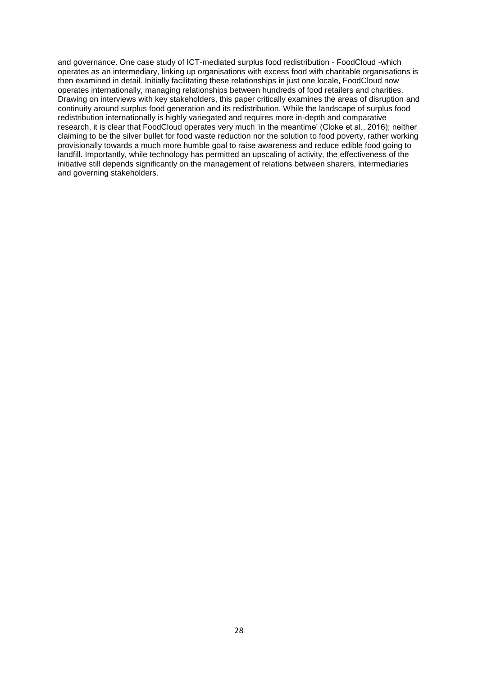and governance. One case study of ICT-mediated surplus food redistribution - FoodCloud -which operates as an intermediary, linking up organisations with excess food with charitable organisations is then examined in detail. Initially facilitating these relationships in just one locale, FoodCloud now operates internationally, managing relationships between hundreds of food retailers and charities. Drawing on interviews with key stakeholders, this paper critically examines the areas of disruption and continuity around surplus food generation and its redistribution. While the landscape of surplus food redistribution internationally is highly variegated and requires more in-depth and comparative research, it is clear that FoodCloud operates very much 'in the meantime' (Cloke et al., 2016); neither claiming to be the silver bullet for food waste reduction nor the solution to food poverty, rather working provisionally towards a much more humble goal to raise awareness and reduce edible food going to landfill. Importantly, while technology has permitted an upscaling of activity, the effectiveness of the initiative still depends significantly on the management of relations between sharers, intermediaries and governing stakeholders.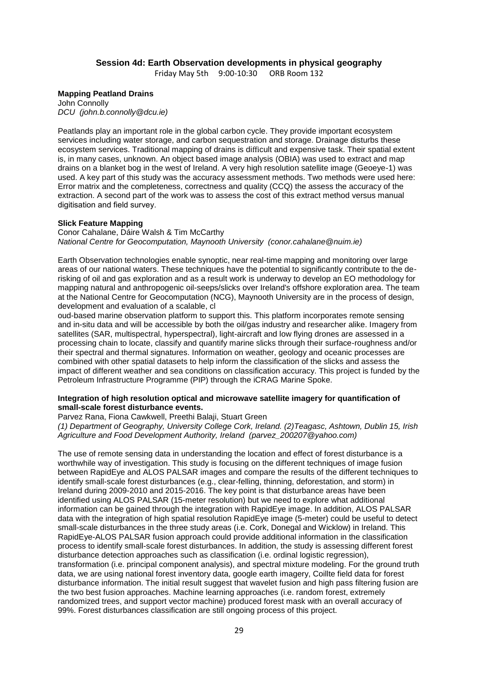#### **Session 4d: Earth Observation developments in physical geography**

Friday May 5th 9:00-10:30 ORB Room 132

#### **Mapping Peatland Drains**

John Connolly *DCU (john.b.connolly@dcu.ie)*

Peatlands play an important role in the global carbon cycle. They provide important ecosystem services including water storage, and carbon sequestration and storage. Drainage disturbs these ecosystem services. Traditional mapping of drains is difficult and expensive task. Their spatial extent is, in many cases, unknown. An object based image analysis (OBIA) was used to extract and map drains on a blanket bog in the west of Ireland. A very high resolution satellite image (Geoeye-1) was used. A key part of this study was the accuracy assessment methods. Two methods were used here: Error matrix and the completeness, correctness and quality (CCQ) the assess the accuracy of the extraction. A second part of the work was to assess the cost of this extract method versus manual digitisation and field survey.

#### **Slick Feature Mapping**

Conor Cahalane, Dáire Walsh & Tim McCarthy *National Centre for Geocomputation, Maynooth University (conor.cahalane@nuim.ie)*

Earth Observation technologies enable synoptic, near real-time mapping and monitoring over large areas of our national waters. These techniques have the potential to significantly contribute to the derisking of oil and gas exploration and as a result work is underway to develop an EO methodology for mapping natural and anthropogenic oil-seeps/slicks over Ireland's offshore exploration area. The team at the National Centre for Geocomputation (NCG), Maynooth University are in the process of design, development and evaluation of a scalable, cl

oud-based marine observation platform to support this. This platform incorporates remote sensing and in-situ data and will be accessible by both the oil/gas industry and researcher alike. Imagery from satellites (SAR, multispectral, hyperspectral), light-aircraft and low flying drones are assessed in a processing chain to locate, classify and quantify marine slicks through their surface-roughness and/or their spectral and thermal signatures. Information on weather, geology and oceanic processes are combined with other spatial datasets to help inform the classification of the slicks and assess the impact of different weather and sea conditions on classification accuracy. This project is funded by the Petroleum Infrastructure Programme (PIP) through the iCRAG Marine Spoke.

#### **Integration of high resolution optical and microwave satellite imagery for quantification of small-scale forest disturbance events.**

#### Parvez Rana, Fiona Cawkwell, Preethi Balaji, Stuart Green

*(1) Department of Geography, University College Cork, Ireland. (2)Teagasc, Ashtown, Dublin 15, Irish Agriculture and Food Development Authority, Ireland (parvez\_200207@yahoo.com)*

The use of remote sensing data in understanding the location and effect of forest disturbance is a worthwhile way of investigation. This study is focusing on the different techniques of image fusion between RapidEye and ALOS PALSAR images and compare the results of the different techniques to identify small-scale forest disturbances (e.g., clear-felling, thinning, deforestation, and storm) in Ireland during 2009-2010 and 2015-2016. The key point is that disturbance areas have been identified using ALOS PALSAR (15-meter resolution) but we need to explore what additional information can be gained through the integration with RapidEye image. In addition, ALOS PALSAR data with the integration of high spatial resolution RapidEye image (5-meter) could be useful to detect small-scale disturbances in the three study areas (i.e. Cork, Donegal and Wicklow) in Ireland. This RapidEye-ALOS PALSAR fusion approach could provide additional information in the classification process to identify small-scale forest disturbances. In addition, the study is assessing different forest disturbance detection approaches such as classification (i.e. ordinal logistic regression), transformation (i.e. principal component analysis), and spectral mixture modeling. For the ground truth data, we are using national forest inventory data, google earth imagery, Coillte field data for forest disturbance information. The initial result suggest that wavelet fusion and high pass filtering fusion are the two best fusion approaches. Machine learning approaches (i.e. random forest, extremely randomized trees, and support vector machine) produced forest mask with an overall accuracy of 99%. Forest disturbances classification are still ongoing process of this project.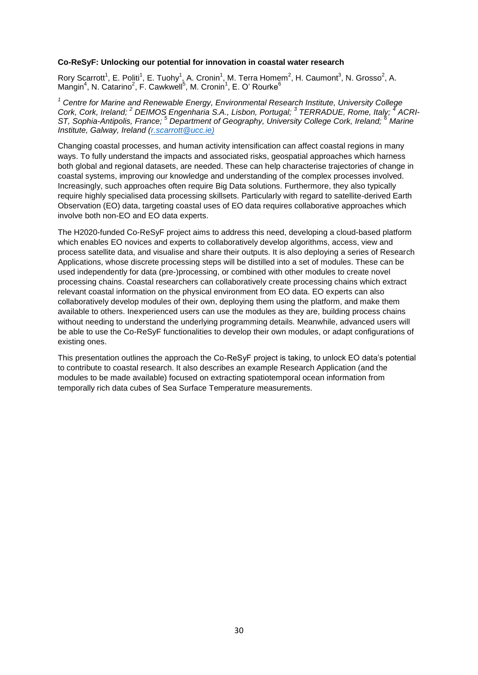#### **Co-ReSyF: Unlocking our potential for innovation in coastal water research**

Rory Scarrott<sup>1</sup>, E. Politi<sup>1</sup>, E. Tuohy<sup>1</sup>, A. Cronin<sup>1</sup>, M. Terra Homem<sup>2</sup>, H. Caumont<sup>3</sup>, N. Grosso<sup>2</sup>, A. Mangin<sup>4</sup>, N. Catarino<sup>2</sup>, F. Cawkwell<sup>5</sup>, M. Cronin<sup>1</sup>, E. O' Rourke<sup>6</sup>

*<sup>1</sup> Centre for Marine and Renewable Energy, Environmental Research Institute, University College Cork, Cork, Ireland; <sup>2</sup> DEIMOS Engenharia S.A., Lisbon, Portugal; <sup>3</sup> TERRADUE, Rome, Italy; <sup>4</sup> ACRI-ST, Sophia-Antipolis, France; <sup>5</sup> Department of Geography, University College Cork, Ireland; <sup>6</sup> Marine Institute, Galway, Ireland [\(r.scarrott@ucc.ie\)](mailto:r.scarrott@ucc.ie)*

Changing coastal processes, and human activity intensification can affect coastal regions in many ways. To fully understand the impacts and associated risks, geospatial approaches which harness both global and regional datasets, are needed. These can help characterise trajectories of change in coastal systems, improving our knowledge and understanding of the complex processes involved. Increasingly, such approaches often require Big Data solutions. Furthermore, they also typically require highly specialised data processing skillsets. Particularly with regard to satellite-derived Earth Observation (EO) data, targeting coastal uses of EO data requires collaborative approaches which involve both non-EO and EO data experts.

The H2020-funded Co-ReSyF project aims to address this need, developing a cloud-based platform which enables EO novices and experts to collaboratively develop algorithms, access, view and process satellite data, and visualise and share their outputs. It is also deploying a series of Research Applications, whose discrete processing steps will be distilled into a set of modules. These can be used independently for data (pre-)processing, or combined with other modules to create novel processing chains. Coastal researchers can collaboratively create processing chains which extract relevant coastal information on the physical environment from EO data. EO experts can also collaboratively develop modules of their own, deploying them using the platform, and make them available to others. Inexperienced users can use the modules as they are, building process chains without needing to understand the underlying programming details. Meanwhile, advanced users will be able to use the Co-ReSyF functionalities to develop their own modules, or adapt configurations of existing ones.

This presentation outlines the approach the Co-ReSyF project is taking, to unlock EO data's potential to contribute to coastal research. It also describes an example Research Application (and the modules to be made available) focused on extracting spatiotemporal ocean information from temporally rich data cubes of Sea Surface Temperature measurements.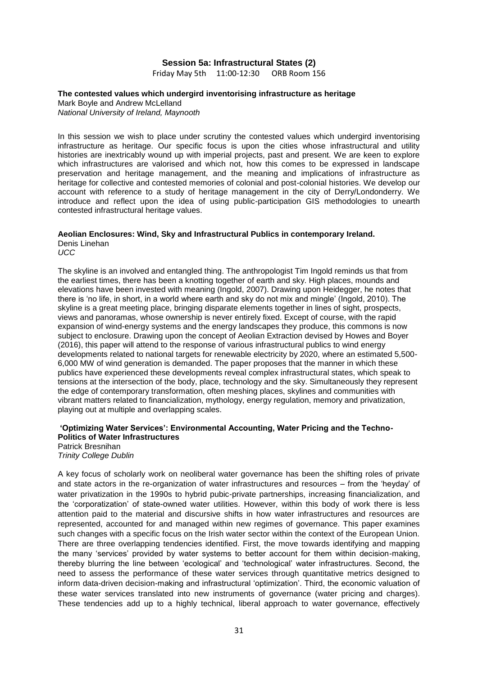#### **Session 5a: Infrastructural States (2)**

Friday May 5th 11:00-12:30 ORB Room 156

### **The contested values which undergird inventorising infrastructure as heritage**

Mark Boyle and Andrew McLelland *National University of Ireland, Maynooth*

In this session we wish to place under scrutiny the contested values which undergird inventorising infrastructure as heritage. Our specific focus is upon the cities whose infrastructural and utility histories are inextricably wound up with imperial projects, past and present. We are keen to explore which infrastructures are valorised and which not, how this comes to be expressed in landscape preservation and heritage management, and the meaning and implications of infrastructure as heritage for collective and contested memories of colonial and post-colonial histories. We develop our account with reference to a study of heritage management in the city of Derry/Londonderry. We introduce and reflect upon the idea of using public-participation GIS methodologies to unearth contested infrastructural heritage values.

#### **Aeolian Enclosures: Wind, Sky and Infrastructural Publics in contemporary Ireland.**

Denis Linehan *UCC* 

The skyline is an involved and entangled thing. The anthropologist Tim Ingold reminds us that from the earliest times, there has been a knotting together of earth and sky. High places, mounds and elevations have been invested with meaning (Ingold, 2007). Drawing upon Heidegger, he notes that there is 'no life, in short, in a world where earth and sky do not mix and mingle' (Ingold, 2010). The skyline is a great meeting place, bringing disparate elements together in lines of sight, prospects, views and panoramas, whose ownership is never entirely fixed. Except of course, with the rapid expansion of wind-energy systems and the energy landscapes they produce, this commons is now subject to enclosure. Drawing upon the concept of Aeolian Extraction devised by Howes and Boyer (2016), this paper will attend to the response of various infrastructural publics to wind energy developments related to national targets for renewable electricity by 2020, where an estimated 5,500- 6,000 MW of wind generation is demanded. The paper proposes that the manner in which these publics have experienced these developments reveal complex infrastructural states, which speak to tensions at the intersection of the body, place, technology and the sky. Simultaneously they represent the edge of contemporary transformation, often meshing places, skylines and communities with vibrant matters related to financialization, mythology, energy regulation, memory and privatization, playing out at multiple and overlapping scales.

### **'Optimizing Water Services': Environmental Accounting, Water Pricing and the Techno-Politics of Water Infrastructures**

Patrick Bresnihan *Trinity College Dublin*

A key focus of scholarly work on neoliberal water governance has been the shifting roles of private and state actors in the re-organization of water infrastructures and resources – from the 'heyday' of water privatization in the 1990s to hybrid pubic-private partnerships, increasing financialization, and the 'corporatization' of state-owned water utilities. However, within this body of work there is less attention paid to the material and discursive shifts in how water infrastructures and resources are represented, accounted for and managed within new regimes of governance. This paper examines such changes with a specific focus on the Irish water sector within the context of the European Union. There are three overlapping tendencies identified. First, the move towards identifying and mapping the many 'services' provided by water systems to better account for them within decision-making, thereby blurring the line between 'ecological' and 'technological' water infrastructures. Second, the need to assess the performance of these water services through quantitative metrics designed to inform data-driven decision-making and infrastructural 'optimization'. Third, the economic valuation of these water services translated into new instruments of governance (water pricing and charges). These tendencies add up to a highly technical, liberal approach to water governance, effectively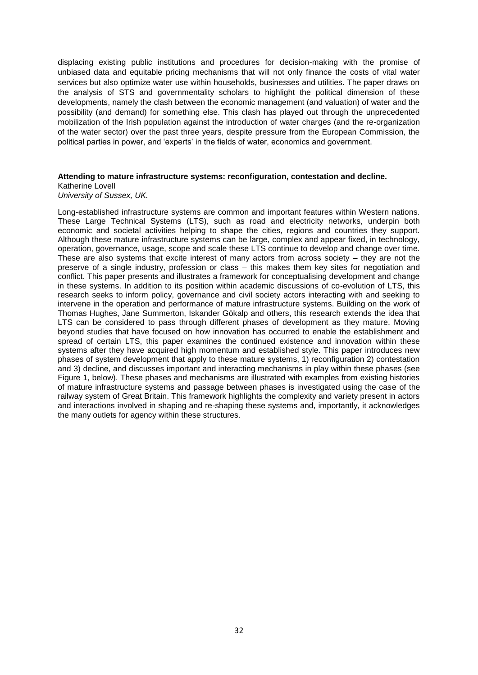displacing existing public institutions and procedures for decision-making with the promise of unbiased data and equitable pricing mechanisms that will not only finance the costs of vital water services but also optimize water use within households, businesses and utilities. The paper draws on the analysis of STS and governmentality scholars to highlight the political dimension of these developments, namely the clash between the economic management (and valuation) of water and the possibility (and demand) for something else. This clash has played out through the unprecedented mobilization of the Irish population against the introduction of water charges (and the re-organization of the water sector) over the past three years, despite pressure from the European Commission, the political parties in power, and 'experts' in the fields of water, economics and government.

#### **Attending to mature infrastructure systems: reconfiguration, contestation and decline.**

Katherine Lovell *University of Sussex, UK.*

Long-established infrastructure systems are common and important features within Western nations. These Large Technical Systems (LTS), such as road and electricity networks, underpin both economic and societal activities helping to shape the cities, regions and countries they support. Although these mature infrastructure systems can be large, complex and appear fixed, in technology, operation, governance, usage, scope and scale these LTS continue to develop and change over time. These are also systems that excite interest of many actors from across society – they are not the preserve of a single industry, profession or class – this makes them key sites for negotiation and conflict. This paper presents and illustrates a framework for conceptualising development and change in these systems. In addition to its position within academic discussions of co-evolution of LTS, this research seeks to inform policy, governance and civil society actors interacting with and seeking to intervene in the operation and performance of mature infrastructure systems. Building on the work of Thomas Hughes, Jane Summerton, Iskander Gökalp and others, this research extends the idea that LTS can be considered to pass through different phases of development as they mature. Moving beyond studies that have focused on how innovation has occurred to enable the establishment and spread of certain LTS, this paper examines the continued existence and innovation within these systems after they have acquired high momentum and established style. This paper introduces new phases of system development that apply to these mature systems, 1) reconfiguration 2) contestation and 3) decline, and discusses important and interacting mechanisms in play within these phases (see Figure 1, below). These phases and mechanisms are illustrated with examples from existing histories of mature infrastructure systems and passage between phases is investigated using the case of the railway system of Great Britain. This framework highlights the complexity and variety present in actors and interactions involved in shaping and re-shaping these systems and, importantly, it acknowledges the many outlets for agency within these structures.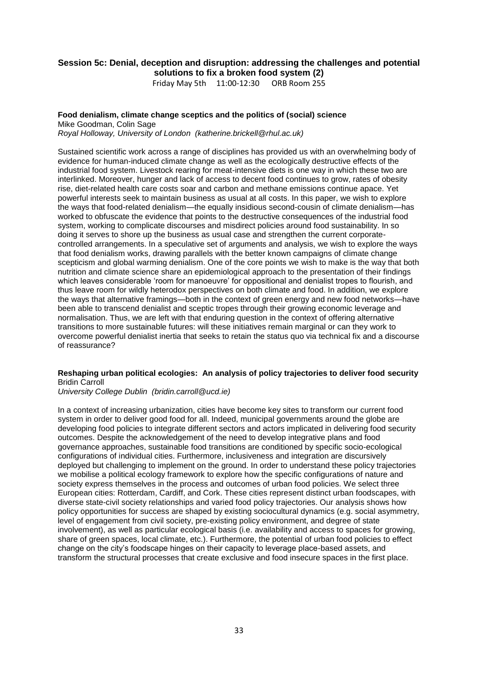### **Session 5c: Denial, deception and disruption: addressing the challenges and potential solutions to fix a broken food system (2)**

Friday May 5th 11:00-12:30 ORB Room 255

#### **Food denialism, climate change sceptics and the politics of (social) science**

Mike Goodman, Colin Sage *Royal Holloway, University of London (katherine.brickell@rhul.ac.uk)*

Sustained scientific work across a range of disciplines has provided us with an overwhelming body of evidence for human-induced climate change as well as the ecologically destructive effects of the industrial food system. Livestock rearing for meat-intensive diets is one way in which these two are interlinked. Moreover, hunger and lack of access to decent food continues to grow, rates of obesity rise, diet-related health care costs soar and carbon and methane emissions continue apace. Yet powerful interests seek to maintain business as usual at all costs. In this paper, we wish to explore the ways that food-related denialism—the equally insidious second-cousin of climate denialism—has worked to obfuscate the evidence that points to the destructive consequences of the industrial food system, working to complicate discourses and misdirect policies around food sustainability. In so doing it serves to shore up the business as usual case and strengthen the current corporatecontrolled arrangements. In a speculative set of arguments and analysis, we wish to explore the ways that food denialism works, drawing parallels with the better known campaigns of climate change scepticism and global warming denialism. One of the core points we wish to make is the way that both nutrition and climate science share an epidemiological approach to the presentation of their findings which leaves considerable 'room for manoeuvre' for oppositional and denialist tropes to flourish, and thus leave room for wildly heterodox perspectives on both climate and food. In addition, we explore the ways that alternative framings—both in the context of green energy and new food networks—have been able to transcend denialist and sceptic tropes through their growing economic leverage and normalisation. Thus, we are left with that enduring question in the context of offering alternative transitions to more sustainable futures: will these initiatives remain marginal or can they work to overcome powerful denialist inertia that seeks to retain the status quo via technical fix and a discourse of reassurance?

### **Reshaping urban political ecologies: An analysis of policy trajectories to deliver food security** Bridin Carroll

*University College Dublin (bridin.carroll@ucd.ie)*

In a context of increasing urbanization, cities have become key sites to transform our current food system in order to deliver good food for all. Indeed, municipal governments around the globe are developing food policies to integrate different sectors and actors implicated in delivering food security outcomes. Despite the acknowledgement of the need to develop integrative plans and food governance approaches, sustainable food transitions are conditioned by specific socio-ecological configurations of individual cities. Furthermore, inclusiveness and integration are discursively deployed but challenging to implement on the ground. In order to understand these policy trajectories we mobilise a political ecology framework to explore how the specific configurations of nature and society express themselves in the process and outcomes of urban food policies. We select three European cities: Rotterdam, Cardiff, and Cork. These cities represent distinct urban foodscapes, with diverse state-civil society relationships and varied food policy trajectories. Our analysis shows how policy opportunities for success are shaped by existing sociocultural dynamics (e.g. social asymmetry, level of engagement from civil society, pre-existing policy environment, and degree of state involvement), as well as particular ecological basis (i.e. availability and access to spaces for growing, share of green spaces, local climate, etc.). Furthermore, the potential of urban food policies to effect change on the city's foodscape hinges on their capacity to leverage place-based assets, and transform the structural processes that create exclusive and food insecure spaces in the first place.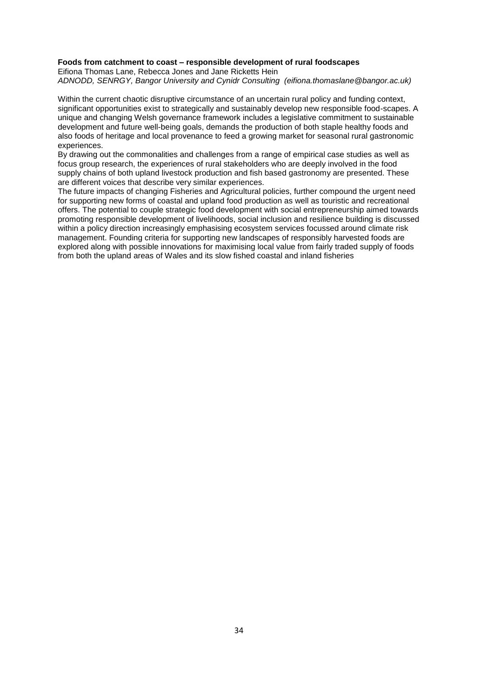#### **Foods from catchment to coast – responsible development of rural foodscapes**

Eifiona Thomas Lane, Rebecca Jones and Jane Ricketts Hein *ADNODD, SENRGY, Bangor University and Cynidr Consulting (eifiona.thomaslane@bangor.ac.uk)*

Within the current chaotic disruptive circumstance of an uncertain rural policy and funding context, significant opportunities exist to strategically and sustainably develop new responsible food-scapes. A unique and changing Welsh governance framework includes a legislative commitment to sustainable development and future well-being goals, demands the production of both staple healthy foods and also foods of heritage and local provenance to feed a growing market for seasonal rural gastronomic experiences.

By drawing out the commonalities and challenges from a range of empirical case studies as well as focus group research, the experiences of rural stakeholders who are deeply involved in the food supply chains of both upland livestock production and fish based gastronomy are presented. These are different voices that describe very similar experiences.

The future impacts of changing Fisheries and Agricultural policies, further compound the urgent need for supporting new forms of coastal and upland food production as well as touristic and recreational offers. The potential to couple strategic food development with social entrepreneurship aimed towards promoting responsible development of livelihoods, social inclusion and resilience building is discussed within a policy direction increasingly emphasising ecosystem services focussed around climate risk management. Founding criteria for supporting new landscapes of responsibly harvested foods are explored along with possible innovations for maximising local value from fairly traded supply of foods from both the upland areas of Wales and its slow fished coastal and inland fisheries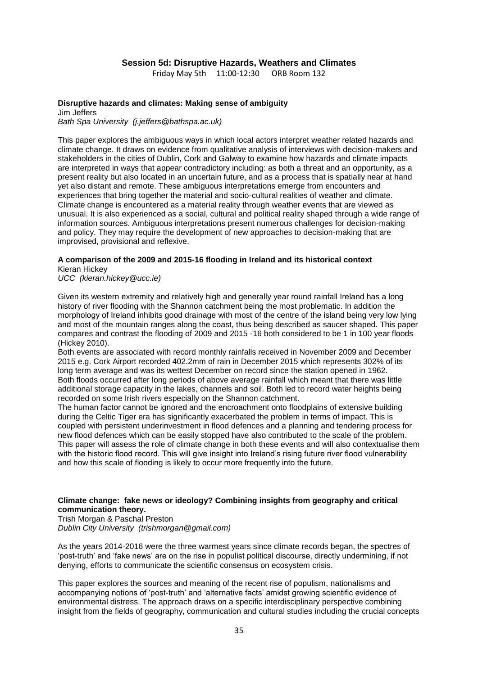### **Session 5d: Disruptive Hazards, Weathers and Climates**

Friday May 5th 11:00-12:30 ORB Room 132

### **Disruptive hazards and climates: Making sense of ambiguity**

Jim Jeffers *Bath Spa University (j.jeffers@bathspa.ac.uk)*

This paper explores the ambiguous ways in which local actors interpret weather related hazards and climate change. It draws on evidence from qualitative analysis of interviews with decision-makers and stakeholders in the cities of Dublin, Cork and Galway to examine how hazards and climate impacts are interpreted in ways that appear contradictory including: as both a threat and an opportunity, as a present reality but also located in an uncertain future, and as a process that is spatially near at hand yet also distant and remote. These ambiguous interpretations emerge from encounters and experiences that bring together the material and socio-cultural realities of weather and climate. Climate change is encountered as a material reality through weather events that are viewed as unusual. It is also experienced as a social, cultural and political reality shaped through a wide range of information sources. Ambiguous interpretations present numerous challenges for decision-making and policy. They may require the development of new approaches to decision-making that are improvised, provisional and reflexive.

# **A comparison of the 2009 and 2015-16 flooding in Ireland and its historical context**

Kieran Hickey *UCC (kieran.hickey@ucc.ie)*

Given its western extremity and relatively high and generally year round rainfall Ireland has a long history of river flooding with the Shannon catchment being the most problematic. In addition the morphology of Ireland inhibits good drainage with most of the centre of the island being very low lying and most of the mountain ranges along the coast, thus being described as saucer shaped. This paper compares and contrast the flooding of 2009 and 2015 -16 both considered to be 1 in 100 year floods (Hickey 2010).

Both events are associated with record monthly rainfalls received in November 2009 and December 2015 e.g. Cork Airport recorded 402.2mm of rain in December 2015 which represents 302% of its long term average and was its wettest December on record since the station opened in 1962. Both floods occurred after long periods of above average rainfall which meant that there was little additional storage capacity in the lakes, channels and soil. Both led to record water heights being recorded on some Irish rivers especially on the Shannon catchment.

The human factor cannot be ignored and the encroachment onto floodplains of extensive building during the Celtic Tiger era has significantly exacerbated the problem in terms of impact. This is coupled with persistent underinvestment in flood defences and a planning and tendering process for new flood defences which can be easily stopped have also contributed to the scale of the problem. This paper will assess the role of climate change in both these events and will also contextualise them with the historic flood record. This will give insight into Ireland's rising future river flood vulnerability and how this scale of flooding is likely to occur more frequently into the future.

#### **Climate change: fake news or ideology? Combining insights from geography and critical communication theory.**

Trish Morgan & Paschal Preston *Dublin City University (trishmorgan@gmail.com)*

As the years 2014-2016 were the three warmest years since climate records began, the spectres of 'post-truth' and 'fake news' are on the rise in populist political discourse, directly undermining, if not denying, efforts to communicate the scientific consensus on ecosystem crisis.

This paper explores the sources and meaning of the recent rise of populism, nationalisms and accompanying notions of 'post-truth' and 'alternative facts' amidst growing scientific evidence of environmental distress. The approach draws on a specific interdisciplinary perspective combining insight from the fields of geography, communication and cultural studies including the crucial concepts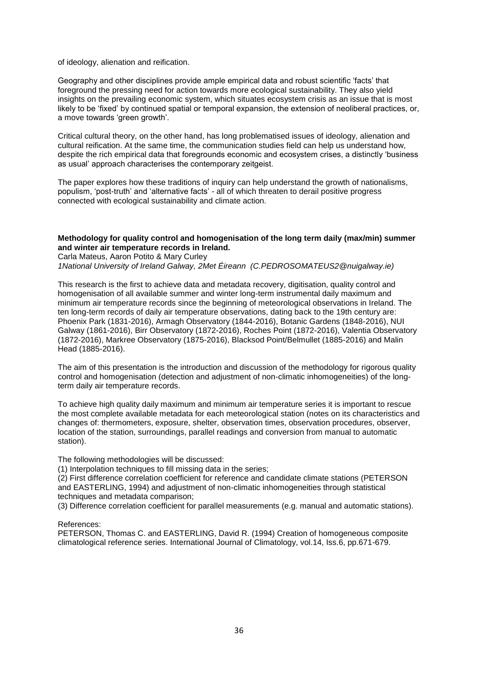of ideology, alienation and reification.

Geography and other disciplines provide ample empirical data and robust scientific 'facts' that foreground the pressing need for action towards more ecological sustainability. They also yield insights on the prevailing economic system, which situates ecosystem crisis as an issue that is most likely to be 'fixed' by continued spatial or temporal expansion, the extension of neoliberal practices, or, a move towards 'green growth'.

Critical cultural theory, on the other hand, has long problematised issues of ideology, alienation and cultural reification. At the same time, the communication studies field can help us understand how, despite the rich empirical data that foregrounds economic and ecosystem crises, a distinctly 'business as usual' approach characterises the contemporary zeitgeist.

The paper explores how these traditions of inquiry can help understand the growth of nationalisms, populism, 'post-truth' and 'alternative facts' - all of which threaten to derail positive progress connected with ecological sustainability and climate action.

#### **Methodology for quality control and homogenisation of the long term daily (max/min) summer and winter air temperature records in Ireland.**

Carla Mateus, Aaron Potito & Mary Curley *1National University of Ireland Galway, 2Met Éireann (C.PEDROSOMATEUS2@nuigalway.ie)*

This research is the first to achieve data and metadata recovery, digitisation, quality control and homogenisation of all available summer and winter long-term instrumental daily maximum and minimum air temperature records since the beginning of meteorological observations in Ireland. The ten long-term records of daily air temperature observations, dating back to the 19th century are: Phoenix Park (1831-2016), Armagh Observatory (1844-2016), Botanic Gardens (1848-2016), NUI Galway (1861-2016), Birr Observatory (1872-2016), Roches Point (1872-2016), Valentia Observatory (1872-2016), Markree Observatory (1875-2016), Blacksod Point/Belmullet (1885-2016) and Malin Head (1885-2016).

The aim of this presentation is the introduction and discussion of the methodology for rigorous quality control and homogenisation (detection and adjustment of non-climatic inhomogeneities) of the longterm daily air temperature records.

To achieve high quality daily maximum and minimum air temperature series it is important to rescue the most complete available metadata for each meteorological station (notes on its characteristics and changes of: thermometers, exposure, shelter, observation times, observation procedures, observer, location of the station, surroundings, parallel readings and conversion from manual to automatic station).

The following methodologies will be discussed:

(1) Interpolation techniques to fill missing data in the series;

(2) First difference correlation coefficient for reference and candidate climate stations (PETERSON and EASTERLING, 1994) and adjustment of non-climatic inhomogeneities through statistical techniques and metadata comparison;

(3) Difference correlation coefficient for parallel measurements (e.g. manual and automatic stations).

#### References:

PETERSON, Thomas C. and EASTERLING, David R. (1994) Creation of homogeneous composite climatological reference series. International Journal of Climatology, vol.14, Iss.6, pp.671-679.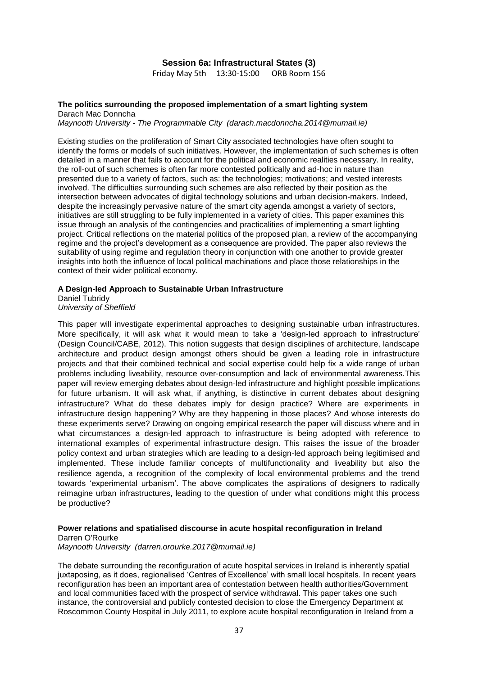#### **Session 6a: Infrastructural States (3)**

Friday May 5th 13:30-15:00 ORB Room 156

#### **The politics surrounding the proposed implementation of a smart lighting system** Darach Mac Donncha

*Maynooth University - The Programmable City (darach.macdonncha.2014@mumail.ie)*

Existing studies on the proliferation of Smart City associated technologies have often sought to identify the forms or models of such initiatives. However, the implementation of such schemes is often detailed in a manner that fails to account for the political and economic realities necessary. In reality, the roll-out of such schemes is often far more contested politically and ad-hoc in nature than presented due to a variety of factors, such as: the technologies; motivations; and vested interests involved. The difficulties surrounding such schemes are also reflected by their position as the intersection between advocates of digital technology solutions and urban decision-makers. Indeed, despite the increasingly pervasive nature of the smart city agenda amongst a variety of sectors, initiatives are still struggling to be fully implemented in a variety of cities. This paper examines this issue through an analysis of the contingencies and practicalities of implementing a smart lighting project. Critical reflections on the material politics of the proposed plan, a review of the accompanying regime and the project's development as a consequence are provided. The paper also reviews the suitability of using regime and regulation theory in conjunction with one another to provide greater insights into both the influence of local political machinations and place those relationships in the context of their wider political economy.

#### **A Design-led Approach to Sustainable Urban Infrastructure**

Daniel Tubridy *University of Sheffield*

This paper will investigate experimental approaches to designing sustainable urban infrastructures. More specifically, it will ask what it would mean to take a 'design-led approach to infrastructure' (Design Council/CABE, 2012). This notion suggests that design disciplines of architecture, landscape architecture and product design amongst others should be given a leading role in infrastructure projects and that their combined technical and social expertise could help fix a wide range of urban problems including liveability, resource over-consumption and lack of environmental awareness.This paper will review emerging debates about design-led infrastructure and highlight possible implications for future urbanism. It will ask what, if anything, is distinctive in current debates about designing infrastructure? What do these debates imply for design practice? Where are experiments in infrastructure design happening? Why are they happening in those places? And whose interests do these experiments serve? Drawing on ongoing empirical research the paper will discuss where and in what circumstances a design-led approach to infrastructure is being adopted with reference to international examples of experimental infrastructure design. This raises the issue of the broader policy context and urban strategies which are leading to a design-led approach being legitimised and implemented. These include familiar concepts of multifunctionality and liveability but also the resilience agenda, a recognition of the complexity of local environmental problems and the trend towards 'experimental urbanism'. The above complicates the aspirations of designers to radically reimagine urban infrastructures, leading to the question of under what conditions might this process be productive?

### **Power relations and spatialised discourse in acute hospital reconfiguration in Ireland**

Darren O'Rourke

*Maynooth University (darren.orourke.2017@mumail.ie)*

The debate surrounding the reconfiguration of acute hospital services in Ireland is inherently spatial juxtaposing, as it does, regionalised 'Centres of Excellence' with small local hospitals. In recent years reconfiguration has been an important area of contestation between health authorities/Government and local communities faced with the prospect of service withdrawal. This paper takes one such instance, the controversial and publicly contested decision to close the Emergency Department at Roscommon County Hospital in July 2011, to explore acute hospital reconfiguration in Ireland from a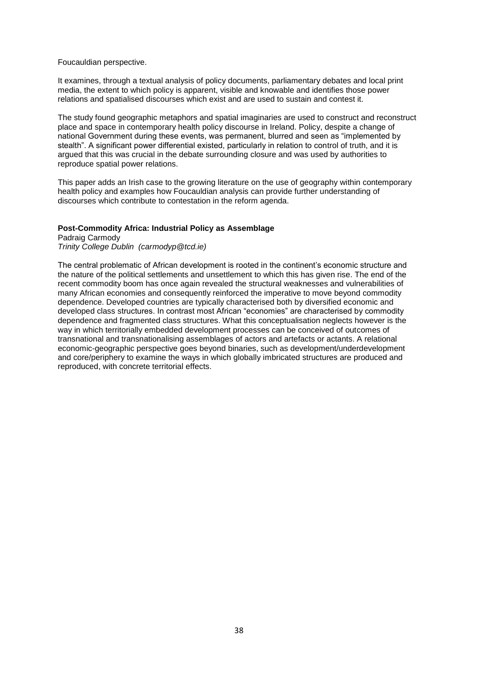#### Foucauldian perspective.

It examines, through a textual analysis of policy documents, parliamentary debates and local print media, the extent to which policy is apparent, visible and knowable and identifies those power relations and spatialised discourses which exist and are used to sustain and contest it.

The study found geographic metaphors and spatial imaginaries are used to construct and reconstruct place and space in contemporary health policy discourse in Ireland. Policy, despite a change of national Government during these events, was permanent, blurred and seen as "implemented by stealth". A significant power differential existed, particularly in relation to control of truth, and it is argued that this was crucial in the debate surrounding closure and was used by authorities to reproduce spatial power relations.

This paper adds an Irish case to the growing literature on the use of geography within contemporary health policy and examples how Foucauldian analysis can provide further understanding of discourses which contribute to contestation in the reform agenda.

#### **Post-Commodity Africa: Industrial Policy as Assemblage**

Padraig Carmody *Trinity College Dublin (carmodyp@tcd.ie)*

The central problematic of African development is rooted in the continent's economic structure and the nature of the political settlements and unsettlement to which this has given rise. The end of the recent commodity boom has once again revealed the structural weaknesses and vulnerabilities of many African economies and consequently reinforced the imperative to move beyond commodity dependence. Developed countries are typically characterised both by diversified economic and developed class structures. In contrast most African "economies" are characterised by commodity dependence and fragmented class structures. What this conceptualisation neglects however is the way in which territorially embedded development processes can be conceived of outcomes of transnational and transnationalising assemblages of actors and artefacts or actants. A relational economic-geographic perspective goes beyond binaries, such as development/underdevelopment and core/periphery to examine the ways in which globally imbricated structures are produced and reproduced, with concrete territorial effects.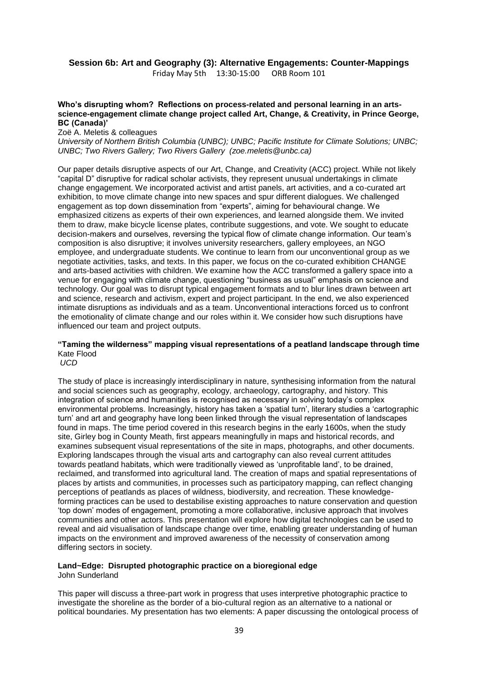# **Session 6b: Art and Geography (3): Alternative Engagements: Counter-Mappings**

Friday May 5th 13:30-15:00 ORB Room 101

### **Who's disrupting whom? Reflections on process-related and personal learning in an artsscience-engagement climate change project called Art, Change, & Creativity, in Prince George, BC (Canada)'**

#### Zoë A. Meletis & colleagues

*University of Northern British Columbia (UNBC); UNBC; Pacific Institute for Climate Solutions; UNBC; UNBC; Two Rivers Gallery; Two Rivers Gallery (zoe.meletis@unbc.ca)*

Our paper details disruptive aspects of our Art, Change, and Creativity (ACC) project. While not likely "capital D" disruptive for radical scholar activists, they represent unusual undertakings in climate change engagement. We incorporated activist and artist panels, art activities, and a co-curated art exhibition, to move climate change into new spaces and spur different dialogues. We challenged engagement as top down dissemination from "experts", aiming for behavioural change. We emphasized citizens as experts of their own experiences, and learned alongside them. We invited them to draw, make bicycle license plates, contribute suggestions, and vote. We sought to educate decision-makers and ourselves, reversing the typical flow of climate change information. Our team's composition is also disruptive; it involves university researchers, gallery employees, an NGO employee, and undergraduate students. We continue to learn from our unconventional group as we negotiate activities, tasks, and texts. In this paper, we focus on the co-curated exhibition CHANGE and arts-based activities with children. We examine how the ACC transformed a gallery space into a venue for engaging with climate change, questioning "business as usual" emphasis on science and technology. Our goal was to disrupt typical engagement formats and to blur lines drawn between art and science, research and activism, expert and project participant. In the end, we also experienced intimate disruptions as individuals and as a team. Unconventional interactions forced us to confront the emotionality of climate change and our roles within it. We consider how such disruptions have influenced our team and project outputs.

### **"Taming the wilderness" mapping visual representations of a peatland landscape through time** Kate Flood

*UCD* 

The study of place is increasingly interdisciplinary in nature, synthesising information from the natural and social sciences such as geography, ecology, archaeology, cartography, and history. This integration of science and humanities is recognised as necessary in solving today's complex environmental problems. Increasingly, history has taken a 'spatial turn', literary studies a 'cartographic turn' and art and geography have long been linked through the visual representation of landscapes found in maps. The time period covered in this research begins in the early 1600s, when the study site, Girley bog in County Meath, first appears meaningfully in maps and historical records, and examines subsequent visual representations of the site in maps, photographs, and other documents. Exploring landscapes through the visual arts and cartography can also reveal current attitudes towards peatland habitats, which were traditionally viewed as 'unprofitable land', to be drained, reclaimed, and transformed into agricultural land. The creation of maps and spatial representations of places by artists and communities, in processes such as participatory mapping, can reflect changing perceptions of peatlands as places of wildness, biodiversity, and recreation. These knowledgeforming practices can be used to destabilise existing approaches to nature conservation and question 'top down' modes of engagement, promoting a more collaborative, inclusive approach that involves communities and other actors. This presentation will explore how digital technologies can be used to reveal and aid visualisation of landscape change over time, enabling greater understanding of human impacts on the environment and improved awareness of the necessity of conservation among differing sectors in society.

# **Land~Edge: Disrupted photographic practice on a bioregional edge**

John Sunderland

This paper will discuss a three-part work in progress that uses interpretive photographic practice to investigate the shoreline as the border of a bio-cultural region as an alternative to a national or political boundaries. My presentation has two elements: A paper discussing the ontological process of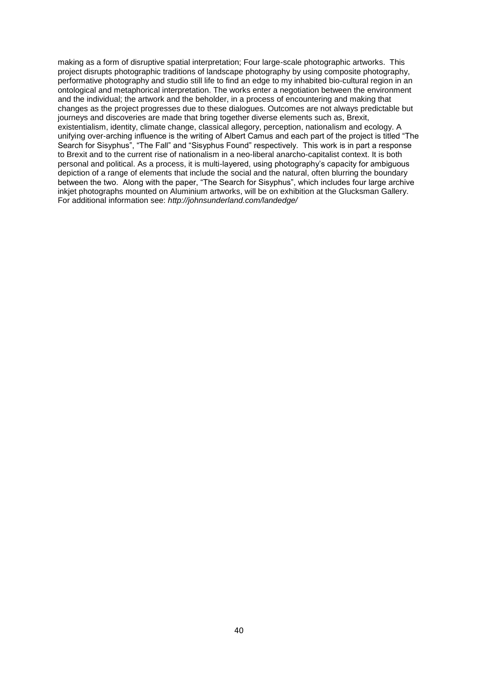making as a form of disruptive spatial interpretation; Four large-scale photographic artworks. This project disrupts photographic traditions of landscape photography by using composite photography, performative photography and studio still life to find an edge to my inhabited bio-cultural region in an ontological and metaphorical interpretation. The works enter a negotiation between the environment and the individual; the artwork and the beholder, in a process of encountering and making that changes as the project progresses due to these dialogues. Outcomes are not always predictable but journeys and discoveries are made that bring together diverse elements such as, Brexit, existentialism, identity, climate change, classical allegory, perception, nationalism and ecology. A unifying over-arching influence is the writing of Albert Camus and each part of the project is titled "The Search for Sisyphus", "The Fall" and "Sisyphus Found" respectively. This work is in part a response to Brexit and to the current rise of nationalism in a neo-liberal anarcho-capitalist context. It is both personal and political. As a process, it is multi-layered, using photography's capacity for ambiguous depiction of a range of elements that include the social and the natural, often blurring the boundary between the two. Along with the paper, "The Search for Sisyphus", which includes four large archive inkjet photographs mounted on Aluminium artworks, will be on exhibition at the Glucksman Gallery. For additional information see: *http://johnsunderland.com/landedge/*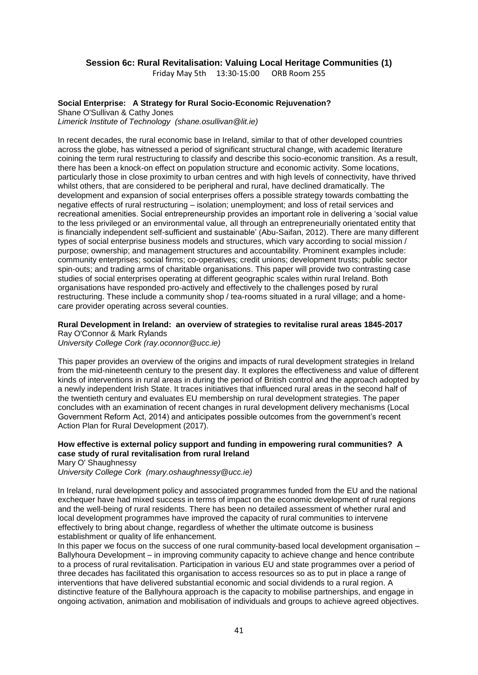### **Session 6c: Rural Revitalisation: Valuing Local Heritage Communities (1)**

Friday May 5th 13:30-15:00 ORB Room 255

### **Social Enterprise: A Strategy for Rural Socio-Economic Rejuvenation?**

Shane O'Sullivan & Cathy Jones *Limerick Institute of Technology (shane.osullivan@lit.ie)*

In recent decades, the rural economic base in Ireland, similar to that of other developed countries across the globe, has witnessed a period of significant structural change, with academic literature coining the term rural restructuring to classify and describe this socio-economic transition. As a result, there has been a knock-on effect on population structure and economic activity. Some locations, particularly those in close proximity to urban centres and with high levels of connectivity, have thrived whilst others, that are considered to be peripheral and rural, have declined dramatically. The development and expansion of social enterprises offers a possible strategy towards combatting the negative effects of rural restructuring – isolation; unemployment; and loss of retail services and recreational amenities. Social entrepreneurship provides an important role in delivering a 'social value to the less privileged or an environmental value, all through an entrepreneurially orientated entity that is financially independent self-sufficient and sustainable' (Abu-Saifan, 2012). There are many different types of social enterprise business models and structures, which vary according to social mission / purpose; ownership; and management structures and accountability. Prominent examples include: community enterprises; social firms; co-operatives; credit unions; development trusts; public sector spin-outs; and trading arms of charitable organisations. This paper will provide two contrasting case studies of social enterprises operating at different geographic scales within rural Ireland. Both organisations have responded pro-actively and effectively to the challenges posed by rural restructuring. These include a community shop / tea-rooms situated in a rural village; and a homecare provider operating across several counties.

#### **Rural Development in Ireland: an overview of strategies to revitalise rural areas 1845-2017** Ray O'Connor & Mark Rylands

*University College Cork (ray.oconnor@ucc.ie)*

This paper provides an overview of the origins and impacts of rural development strategies in Ireland from the mid-nineteenth century to the present day. It explores the effectiveness and value of different kinds of interventions in rural areas in during the period of British control and the approach adopted by a newly independent Irish State. It traces initiatives that influenced rural areas in the second half of the twentieth century and evaluates EU membership on rural development strategies. The paper concludes with an examination of recent changes in rural development delivery mechanisms (Local Government Reform Act, 2014) and anticipates possible outcomes from the government's recent Action Plan for Rural Development (2017).

### **How effective is external policy support and funding in empowering rural communities? A case study of rural revitalisation from rural Ireland**

Mary O' Shaughnessy

*University College Cork (mary.oshaughnessy@ucc.ie)*

In Ireland, rural development policy and associated programmes funded from the EU and the national exchequer have had mixed success in terms of impact on the economic development of rural regions and the well-being of rural residents. There has been no detailed assessment of whether rural and local development programmes have improved the capacity of rural communities to intervene effectively to bring about change, regardless of whether the ultimate outcome is business establishment or quality of life enhancement.

In this paper we focus on the success of one rural community-based local development organisation – Ballyhoura Development – in improving community capacity to achieve change and hence contribute to a process of rural revitalisation. Participation in various EU and state programmes over a period of three decades has facilitated this organisation to access resources so as to put in place a range of interventions that have delivered substantial economic and social dividends to a rural region. A distinctive feature of the Ballyhoura approach is the capacity to mobilise partnerships, and engage in ongoing activation, animation and mobilisation of individuals and groups to achieve agreed objectives.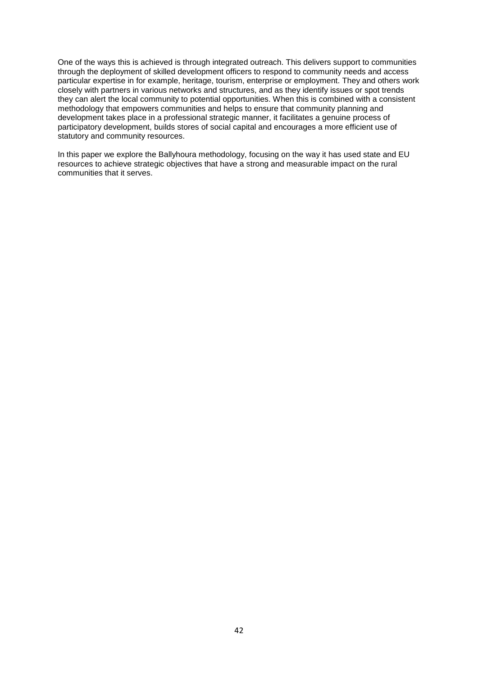One of the ways this is achieved is through integrated outreach. This delivers support to communities through the deployment of skilled development officers to respond to community needs and access particular expertise in for example, heritage, tourism, enterprise or employment. They and others work closely with partners in various networks and structures, and as they identify issues or spot trends they can alert the local community to potential opportunities. When this is combined with a consistent methodology that empowers communities and helps to ensure that community planning and development takes place in a professional strategic manner, it facilitates a genuine process of participatory development, builds stores of social capital and encourages a more efficient use of statutory and community resources.

In this paper we explore the Ballyhoura methodology, focusing on the way it has used state and EU resources to achieve strategic objectives that have a strong and measurable impact on the rural communities that it serves.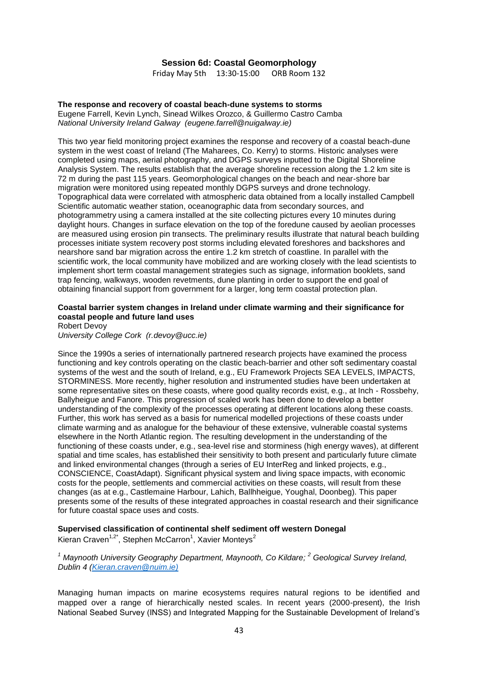### **Session 6d: Coastal Geomorphology**

Friday May 5th 13:30-15:00 ORB Room 132

### **The response and recovery of coastal beach-dune systems to storms** Eugene Farrell, Kevin Lynch, Sinead Wilkes Orozco, & Guillermo Castro Camba

*National University Ireland Galway (eugene.farrell@nuigalway.ie)*

This two year field monitoring project examines the response and recovery of a coastal beach-dune system in the west coast of Ireland (The Maharees, Co. Kerry) to storms. Historic analyses were completed using maps, aerial photography, and DGPS surveys inputted to the Digital Shoreline Analysis System. The results establish that the average shoreline recession along the 1.2 km site is 72 m during the past 115 years. Geomorphological changes on the beach and near-shore bar migration were monitored using repeated monthly DGPS surveys and drone technology. Topographical data were correlated with atmospheric data obtained from a locally installed Campbell Scientific automatic weather station, oceanographic data from secondary sources, and photogrammetry using a camera installed at the site collecting pictures every 10 minutes during daylight hours. Changes in surface elevation on the top of the foredune caused by aeolian processes are measured using erosion pin transects. The preliminary results illustrate that natural beach building processes initiate system recovery post storms including elevated foreshores and backshores and nearshore sand bar migration across the entire 1.2 km stretch of coastline. In parallel with the scientific work, the local community have mobilized and are working closely with the lead scientists to implement short term coastal management strategies such as signage, information booklets, sand trap fencing, walkways, wooden revetments, dune planting in order to support the end goal of obtaining financial support from government for a larger, long term coastal protection plan.

### **Coastal barrier system changes in Ireland under climate warming and their significance for coastal people and future land uses**

Robert Devoy

*University College Cork (r.devoy@ucc.ie)*

Since the 1990s a series of internationally partnered research projects have examined the process functioning and key controls operating on the clastic beach-barrier and other soft sedimentary coastal systems of the west and the south of Ireland, e.g., EU Framework Projects SEA LEVELS, IMPACTS, STORMINESS. More recently, higher resolution and instrumented studies have been undertaken at some representative sites on these coasts, where good quality records exist, e.g., at Inch - Rossbehy, Ballyheigue and Fanore. This progression of scaled work has been done to develop a better understanding of the complexity of the processes operating at different locations along these coasts. Further, this work has served as a basis for numerical modelled projections of these coasts under climate warming and as analogue for the behaviour of these extensive, vulnerable coastal systems elsewhere in the North Atlantic region. The resulting development in the understanding of the functioning of these coasts under, e.g., sea-level rise and storminess (high energy waves), at different spatial and time scales, has established their sensitivity to both present and particularly future climate and linked environmental changes (through a series of EU InterReg and linked projects, e.g., CONSCIENCE, CoastAdapt). Significant physical system and living space impacts, with economic costs for the people, settlements and commercial activities on these coasts, will result from these changes (as at e.g., Castlemaine Harbour, Lahich, Ballhheigue, Youghal, Doonbeg). This paper presents some of the results of these integrated approaches in coastal research and their significance for future coastal space uses and costs.

**Supervised classification of continental shelf sediment off western Donegal** Kieran Craven<sup>1,2\*</sup>, Stephen McCarron<sup>1</sup>, Xavier Monteys<sup>2</sup>

*<sup>1</sup> Maynooth University Geography Department, Maynooth, Co Kildare; <sup>2</sup> Geological Survey Ireland, Dublin 4 [\(Kieran.craven@nuim.ie\)](mailto:Kieran.craven@nuim.ie)*

Managing human impacts on marine ecosystems requires natural regions to be identified and mapped over a range of hierarchically nested scales. In recent years (2000-present), the Irish National Seabed Survey (INSS) and Integrated Mapping for the Sustainable Development of Ireland's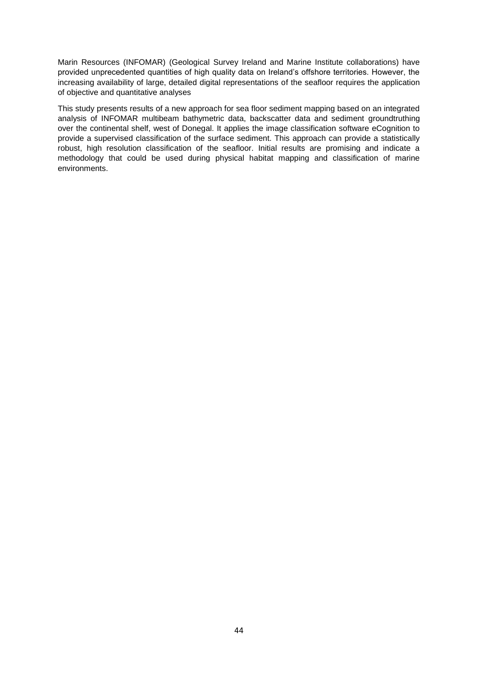Marin Resources (INFOMAR) (Geological Survey Ireland and Marine Institute collaborations) have provided unprecedented quantities of high quality data on Ireland's offshore territories. However, the increasing availability of large, detailed digital representations of the seafloor requires the application of objective and quantitative analyses

This study presents results of a new approach for sea floor sediment mapping based on an integrated analysis of INFOMAR multibeam bathymetric data, backscatter data and sediment groundtruthing over the continental shelf, west of Donegal. It applies the image classification software eCognition to provide a supervised classification of the surface sediment. This approach can provide a statistically robust, high resolution classification of the seafloor. Initial results are promising and indicate a methodology that could be used during physical habitat mapping and classification of marine environments.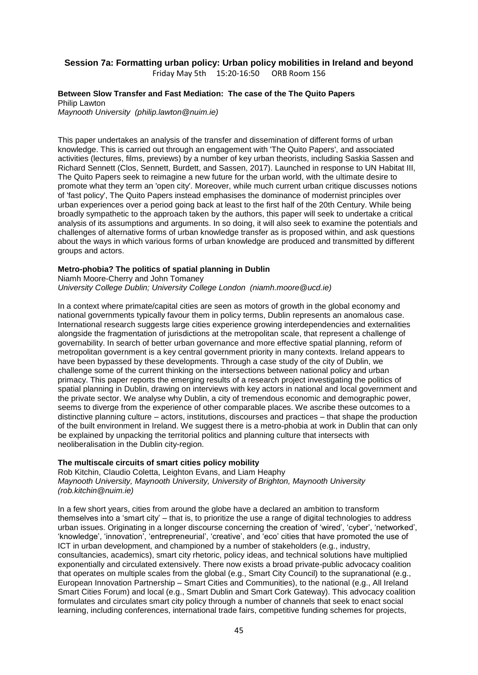## **Session 7a: Formatting urban policy: Urban policy mobilities in Ireland and beyond**

Friday May 5th 15:20-16:50 ORB Room 156

#### **Between Slow Transfer and Fast Mediation: The case of the The Quito Papers** Philip Lawton

*Maynooth University (philip.lawton@nuim.ie)*

This paper undertakes an analysis of the transfer and dissemination of different forms of urban knowledge. This is carried out through an engagement with 'The Quito Papers', and associated activities (lectures, films, previews) by a number of key urban theorists, including Saskia Sassen and Richard Sennett (Clos, Sennett, Burdett, and Sassen, 2017). Launched in response to UN Habitat III, The Quito Papers seek to reimagine a new future for the urban world, with the ultimate desire to promote what they term an 'open city'. Moreover, while much current urban critique discusses notions of 'fast policy', The Quito Papers instead emphasises the dominance of modernist principles over urban experiences over a period going back at least to the first half of the 20th Century. While being broadly sympathetic to the approach taken by the authors, this paper will seek to undertake a critical analysis of its assumptions and arguments. In so doing, it will also seek to examine the potentials and challenges of alternative forms of urban knowledge transfer as is proposed within, and ask questions about the ways in which various forms of urban knowledge are produced and transmitted by different groups and actors.

### **Metro-phobia? The politics of spatial planning in Dublin**

Niamh Moore-Cherry and John Tomaney

*University College Dublin; University College London (niamh.moore@ucd.ie)*

In a context where primate/capital cities are seen as motors of growth in the global economy and national governments typically favour them in policy terms, Dublin represents an anomalous case. International research suggests large cities experience growing interdependencies and externalities alongside the fragmentation of jurisdictions at the metropolitan scale, that represent a challenge of governability. In search of better urban governance and more effective spatial planning, reform of metropolitan government is a key central government priority in many contexts. Ireland appears to have been bypassed by these developments. Through a case study of the city of Dublin, we challenge some of the current thinking on the intersections between national policy and urban primacy. This paper reports the emerging results of a research project investigating the politics of spatial planning in Dublin, drawing on interviews with key actors in national and local government and the private sector. We analyse why Dublin, a city of tremendous economic and demographic power, seems to diverge from the experience of other comparable places. We ascribe these outcomes to a distinctive planning culture – actors, institutions, discourses and practices – that shape the production of the built environment in Ireland. We suggest there is a metro-phobia at work in Dublin that can only be explained by unpacking the territorial politics and planning culture that intersects with neoliberalisation in the Dublin city-region.

### **The multiscale circuits of smart cities policy mobility**

Rob Kitchin, Claudio Coletta, Leighton Evans, and Liam Heaphy *Maynooth University, Maynooth University, University of Brighton, Maynooth University (rob.kitchin@nuim.ie)*

In a few short years, cities from around the globe have a declared an ambition to transform themselves into a 'smart city' – that is, to prioritize the use a range of digital technologies to address urban issues. Originating in a longer discourse concerning the creation of 'wired', 'cyber', 'networked', 'knowledge', 'innovation', 'entrepreneurial', 'creative', and 'eco' cities that have promoted the use of ICT in urban development, and championed by a number of stakeholders (e.g., industry, consultancies, academics), smart city rhetoric, policy ideas, and technical solutions have multiplied exponentially and circulated extensively. There now exists a broad private-public advocacy coalition that operates on multiple scales from the global (e.g., Smart City Council) to the supranational (e.g., European Innovation Partnership – Smart Cities and Communities), to the national (e.g., All Ireland Smart Cities Forum) and local (e.g., Smart Dublin and Smart Cork Gateway). This advocacy coalition formulates and circulates smart city policy through a number of channels that seek to enact social learning, including conferences, international trade fairs, competitive funding schemes for projects,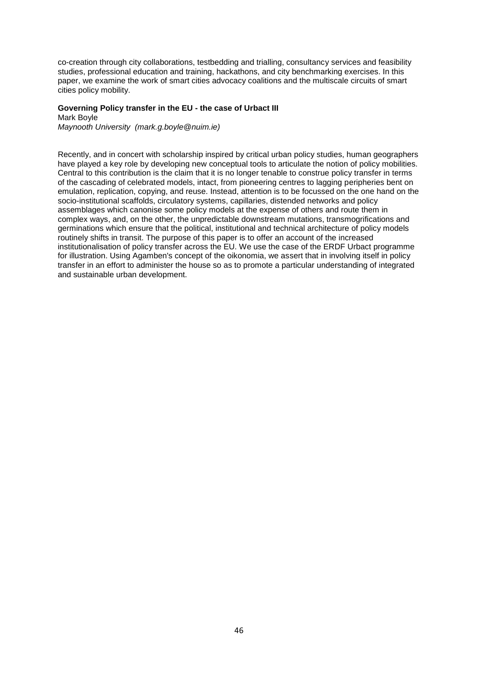co-creation through city collaborations, testbedding and trialling, consultancy services and feasibility studies, professional education and training, hackathons, and city benchmarking exercises. In this paper, we examine the work of smart cities advocacy coalitions and the multiscale circuits of smart cities policy mobility.

#### **Governing Policy transfer in the EU - the case of Urbact III** Mark Boyle

*Maynooth University (mark.g.boyle@nuim.ie)*

Recently, and in concert with scholarship inspired by critical urban policy studies, human geographers have played a key role by developing new conceptual tools to articulate the notion of policy mobilities. Central to this contribution is the claim that it is no longer tenable to construe policy transfer in terms of the cascading of celebrated models, intact, from pioneering centres to lagging peripheries bent on emulation, replication, copying, and reuse. Instead, attention is to be focussed on the one hand on the socio-institutional scaffolds, circulatory systems, capillaries, distended networks and policy assemblages which canonise some policy models at the expense of others and route them in complex ways, and, on the other, the unpredictable downstream mutations, transmogrifications and germinations which ensure that the political, institutional and technical architecture of policy models routinely shifts in transit. The purpose of this paper is to offer an account of the increased institutionalisation of policy transfer across the EU. We use the case of the ERDF Urbact programme for illustration. Using Agamben's concept of the oikonomia, we assert that in involving itself in policy transfer in an effort to administer the house so as to promote a particular understanding of integrated and sustainable urban development.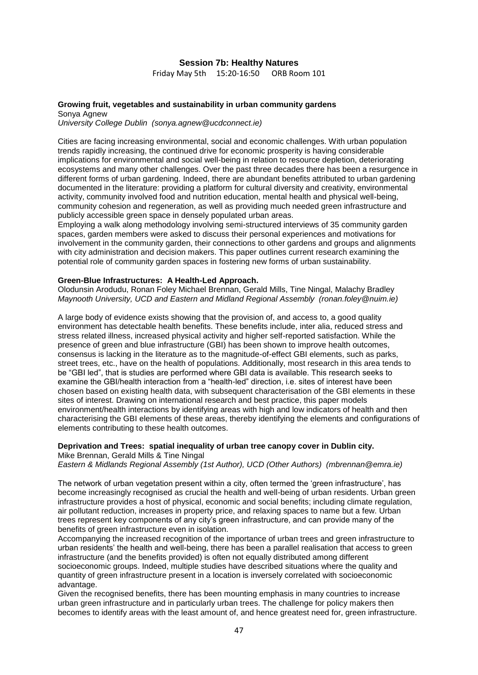#### **Session 7b: Healthy Natures**

Friday May 5th 15:20-16:50 ORB Room 101

### **Growing fruit, vegetables and sustainability in urban community gardens** Sonya Agnew

*University College Dublin (sonya.agnew@ucdconnect.ie)*

Cities are facing increasing environmental, social and economic challenges. With urban population trends rapidly increasing, the continued drive for economic prosperity is having considerable implications for environmental and social well-being in relation to resource depletion, deteriorating ecosystems and many other challenges. Over the past three decades there has been a resurgence in different forms of urban gardening. Indeed, there are abundant benefits attributed to urban gardening documented in the literature: providing a platform for cultural diversity and creativity, environmental activity, community involved food and nutrition education, mental health and physical well-being, community cohesion and regeneration, as well as providing much needed green infrastructure and publicly accessible green space in densely populated urban areas.

Employing a walk along methodology involving semi-structured interviews of 35 community garden spaces, garden members were asked to discuss their personal experiences and motivations for involvement in the community garden, their connections to other gardens and groups and alignments with city administration and decision makers. This paper outlines current research examining the potential role of community garden spaces in fostering new forms of urban sustainability.

#### **Green-Blue Infrastructures: A Health-Led Approach.**

Olodunsin Arodudu, Ronan Foley Michael Brennan, Gerald Mills, Tine Ningal, Malachy Bradley *Maynooth University, UCD and Eastern and Midland Regional Assembly (ronan.foley@nuim.ie)*

A large body of evidence exists showing that the provision of, and access to, a good quality environment has detectable health benefits. These benefits include, inter alia, reduced stress and stress related illness, increased physical activity and higher self-reported satisfaction. While the presence of green and blue infrastructure (GBI) has been shown to improve health outcomes, consensus is lacking in the literature as to the magnitude-of-effect GBI elements, such as parks, street trees, etc., have on the health of populations. Additionally, most research in this area tends to be "GBI led", that is studies are performed where GBI data is available. This research seeks to examine the GBI/health interaction from a "health-led" direction, i.e. sites of interest have been chosen based on existing health data, with subsequent characterisation of the GBI elements in these sites of interest. Drawing on international research and best practice, this paper models environment/health interactions by identifying areas with high and low indicators of health and then characterising the GBI elements of these areas, thereby identifying the elements and configurations of elements contributing to these health outcomes.

### **Deprivation and Trees: spatial inequality of urban tree canopy cover in Dublin city.**

Mike Brennan, Gerald Mills & Tine Ningal *Eastern & Midlands Regional Assembly (1st Author), UCD (Other Authors) (mbrennan@emra.ie)*

The network of urban vegetation present within a city, often termed the 'green infrastructure', has become increasingly recognised as crucial the health and well-being of urban residents. Urban green infrastructure provides a host of physical, economic and social benefits; including climate regulation, air pollutant reduction, increases in property price, and relaxing spaces to name but a few. Urban trees represent key components of any city's green infrastructure, and can provide many of the benefits of green infrastructure even in isolation.

Accompanying the increased recognition of the importance of urban trees and green infrastructure to urban residents' the health and well-being, there has been a parallel realisation that access to green infrastructure (and the benefits provided) is often not equally distributed among different socioeconomic groups. Indeed, multiple studies have described situations where the quality and quantity of green infrastructure present in a location is inversely correlated with socioeconomic advantage.

Given the recognised benefits, there has been mounting emphasis in many countries to increase urban green infrastructure and in particularly urban trees. The challenge for policy makers then becomes to identify areas with the least amount of, and hence greatest need for, green infrastructure.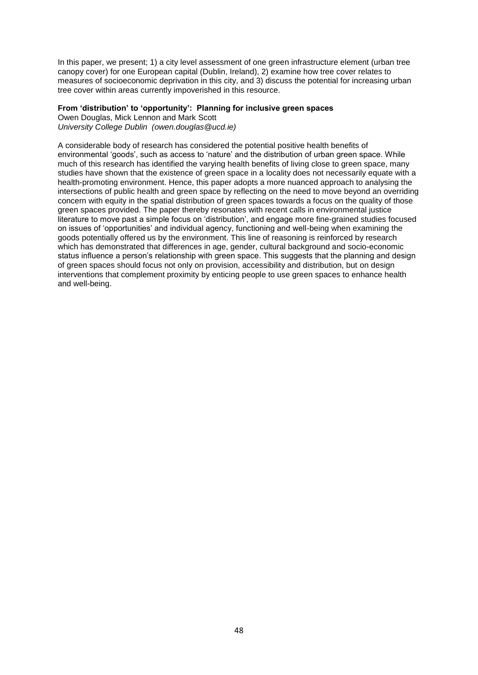In this paper, we present; 1) a city level assessment of one green infrastructure element (urban tree canopy cover) for one European capital (Dublin, Ireland), 2) examine how tree cover relates to measures of socioeconomic deprivation in this city, and 3) discuss the potential for increasing urban tree cover within areas currently impoverished in this resource.

### **From 'distribution' to 'opportunity': Planning for inclusive green spaces**

Owen Douglas, Mick Lennon and Mark Scott *University College Dublin (owen.douglas@ucd.ie)*

A considerable body of research has considered the potential positive health benefits of environmental 'goods', such as access to 'nature' and the distribution of urban green space. While much of this research has identified the varying health benefits of living close to green space, many studies have shown that the existence of green space in a locality does not necessarily equate with a health-promoting environment. Hence, this paper adopts a more nuanced approach to analysing the intersections of public health and green space by reflecting on the need to move beyond an overriding concern with equity in the spatial distribution of green spaces towards a focus on the quality of those green spaces provided. The paper thereby resonates with recent calls in environmental justice literature to move past a simple focus on 'distribution', and engage more fine-grained studies focused on issues of 'opportunities' and individual agency, functioning and well-being when examining the goods potentially offered us by the environment. This line of reasoning is reinforced by research which has demonstrated that differences in age, gender, cultural background and socio-economic status influence a person's relationship with green space. This suggests that the planning and design of green spaces should focus not only on provision, accessibility and distribution, but on design interventions that complement proximity by enticing people to use green spaces to enhance health and well-being.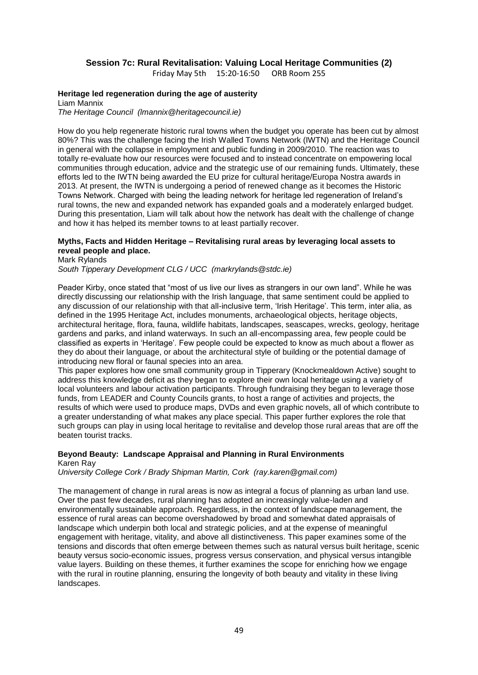### **Session 7c: Rural Revitalisation: Valuing Local Heritage Communities (2)**

Friday May 5th 15:20-16:50 ORB Room 255

### **Heritage led regeneration during the age of austerity**

Liam Mannix *The Heritage Council (lmannix@heritagecouncil.ie)*

How do you help regenerate historic rural towns when the budget you operate has been cut by almost 80%? This was the challenge facing the Irish Walled Towns Network (IWTN) and the Heritage Council in general with the collapse in employment and public funding in 2009/2010. The reaction was to totally re-evaluate how our resources were focused and to instead concentrate on empowering local communities through education, advice and the strategic use of our remaining funds. Ultimately, these efforts led to the IWTN being awarded the EU prize for cultural heritage/Europa Nostra awards in 2013. At present, the IWTN is undergoing a period of renewed change as it becomes the Historic Towns Network. Charged with being the leading network for heritage led regeneration of Ireland's rural towns, the new and expanded network has expanded goals and a moderately enlarged budget. During this presentation, Liam will talk about how the network has dealt with the challenge of change and how it has helped its member towns to at least partially recover.

### **Myths, Facts and Hidden Heritage – Revitalising rural areas by leveraging local assets to reveal people and place.**

Mark Rylands

*South Tipperary Development CLG / UCC (markrylands@stdc.ie)*

Peader Kirby, once stated that "most of us live our lives as strangers in our own land". While he was directly discussing our relationship with the Irish language, that same sentiment could be applied to any discussion of our relationship with that all-inclusive term, 'Irish Heritage'. This term, inter alia, as defined in the 1995 Heritage Act, includes monuments, archaeological objects, heritage objects, architectural heritage, flora, fauna, wildlife habitats, landscapes, seascapes, wrecks, geology, heritage gardens and parks, and inland waterways. In such an all-encompassing area, few people could be classified as experts in 'Heritage'. Few people could be expected to know as much about a flower as they do about their language, or about the architectural style of building or the potential damage of introducing new floral or faunal species into an area.

This paper explores how one small community group in Tipperary (Knockmealdown Active) sought to address this knowledge deficit as they began to explore their own local heritage using a variety of local volunteers and labour activation participants. Through fundraising they began to leverage those funds, from LEADER and County Councils grants, to host a range of activities and projects, the results of which were used to produce maps, DVDs and even graphic novels, all of which contribute to a greater understanding of what makes any place special. This paper further explores the role that such groups can play in using local heritage to revitalise and develop those rural areas that are off the beaten tourist tracks.

#### **Beyond Beauty: Landscape Appraisal and Planning in Rural Environments** Karen Ray

*University College Cork / Brady Shipman Martin, Cork (ray.karen@gmail.com)*

The management of change in rural areas is now as integral a focus of planning as urban land use. Over the past few decades, rural planning has adopted an increasingly value-laden and environmentally sustainable approach. Regardless, in the context of landscape management, the essence of rural areas can become overshadowed by broad and somewhat dated appraisals of landscape which underpin both local and strategic policies, and at the expense of meaningful engagement with heritage, vitality, and above all distinctiveness. This paper examines some of the tensions and discords that often emerge between themes such as natural versus built heritage, scenic beauty versus socio-economic issues, progress versus conservation, and physical versus intangible value layers. Building on these themes, it further examines the scope for enriching how we engage with the rural in routine planning, ensuring the longevity of both beauty and vitality in these living landscapes.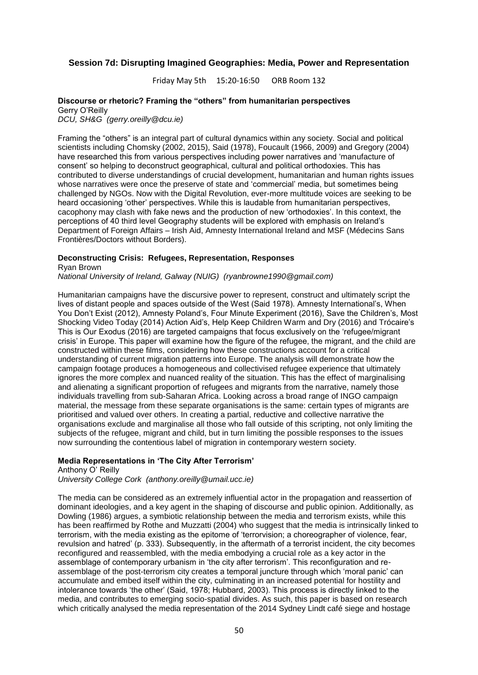#### **Session 7d: Disrupting Imagined Geographies: Media, Power and Representation**

Friday May 5th 15:20-16:50 ORB Room 132

### **Discourse or rhetoric? Framing the "others" from humanitarian perspectives** Gerry O'Reilly

*DCU, SH&G (gerry.oreilly@dcu.ie)*

Framing the "others" is an integral part of cultural dynamics within any society. Social and political scientists including Chomsky (2002, 2015), Said (1978), Foucault (1966, 2009) and Gregory (2004) have researched this from various perspectives including power narratives and 'manufacture of consent' so helping to deconstruct geographical, cultural and political orthodoxies. This has contributed to diverse understandings of crucial development, humanitarian and human rights issues whose narratives were once the preserve of state and 'commercial' media, but sometimes being challenged by NGOs. Now with the Digital Revolution, ever-more multitude voices are seeking to be heard occasioning 'other' perspectives. While this is laudable from humanitarian perspectives, cacophony may clash with fake news and the production of new 'orthodoxies'. In this context, the perceptions of 40 third level Geography students will be explored with emphasis on Ireland's Department of Foreign Affairs – Irish Aid, Amnesty International Ireland and MSF (Médecins Sans Frontières/Doctors without Borders).

### **Deconstructing Crisis: Refugees, Representation, Responses**

Ryan Brown

*National University of Ireland, Galway (NUIG) (ryanbrowne1990@gmail.com)*

Humanitarian campaigns have the discursive power to represent, construct and ultimately script the lives of distant people and spaces outside of the West (Said 1978). Amnesty International's, When You Don't Exist (2012), Amnesty Poland's, Four Minute Experiment (2016), Save the Children's, Most Shocking Video Today (2014) Action Aid's, Help Keep Children Warm and Dry (2016) and Trócaire's This is Our Exodus (2016) are targeted campaigns that focus exclusively on the 'refugee/migrant crisis' in Europe. This paper will examine how the figure of the refugee, the migrant, and the child are constructed within these films, considering how these constructions account for a critical understanding of current migration patterns into Europe. The analysis will demonstrate how the campaign footage produces a homogeneous and collectivised refugee experience that ultimately ignores the more complex and nuanced reality of the situation. This has the effect of marginalising and alienating a significant proportion of refugees and migrants from the narrative, namely those individuals travelling from sub-Saharan Africa. Looking across a broad range of INGO campaign material, the message from these separate organisations is the same: certain types of migrants are prioritised and valued over others. In creating a partial, reductive and collective narrative the organisations exclude and marginalise all those who fall outside of this scripting, not only limiting the subjects of the refugee, migrant and child, but in turn limiting the possible responses to the issues now surrounding the contentious label of migration in contemporary western society.

#### **Media Representations in 'The City After Terrorism'**

Anthony O' Reilly *University College Cork (anthony.oreilly@umail.ucc.ie)*

The media can be considered as an extremely influential actor in the propagation and reassertion of dominant ideologies, and a key agent in the shaping of discourse and public opinion. Additionally, as Dowling (1986) argues, a symbiotic relationship between the media and terrorism exists, while this has been reaffirmed by Rothe and Muzzatti (2004) who suggest that the media is intrinsically linked to terrorism, with the media existing as the epitome of 'terrorvision; a choreographer of violence, fear, revulsion and hatred' (p. 333). Subsequently, in the aftermath of a terrorist incident, the city becomes reconfigured and reassembled, with the media embodying a crucial role as a key actor in the assemblage of contemporary urbanism in 'the city after terrorism'. This reconfiguration and reassemblage of the post-terrorism city creates a temporal juncture through which 'moral panic' can accumulate and embed itself within the city, culminating in an increased potential for hostility and intolerance towards 'the other' (Said, 1978; Hubbard, 2003). This process is directly linked to the media, and contributes to emerging socio-spatial divides. As such, this paper is based on research which critically analysed the media representation of the 2014 Sydney Lindt café siege and hostage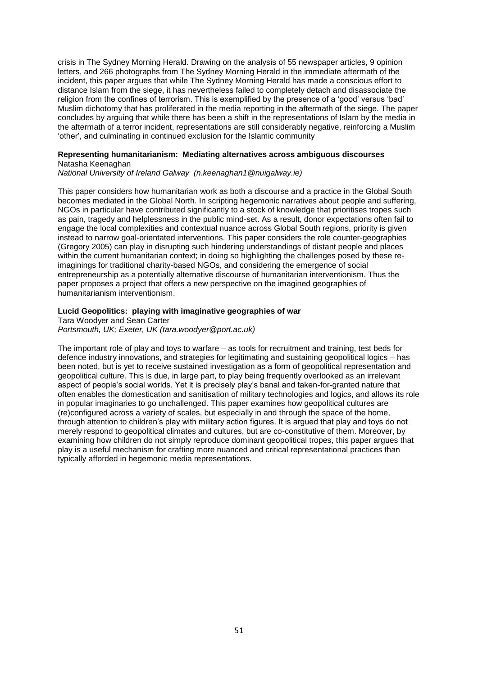crisis in The Sydney Morning Herald. Drawing on the analysis of 55 newspaper articles, 9 opinion letters, and 266 photographs from The Sydney Morning Herald in the immediate aftermath of the incident, this paper argues that while The Sydney Morning Herald has made a conscious effort to distance Islam from the siege, it has nevertheless failed to completely detach and disassociate the religion from the confines of terrorism. This is exemplified by the presence of a 'good' versus 'bad' Muslim dichotomy that has proliferated in the media reporting in the aftermath of the siege. The paper concludes by arguing that while there has been a shift in the representations of Islam by the media in the aftermath of a terror incident, representations are still considerably negative, reinforcing a Muslim 'other', and culminating in continued exclusion for the Islamic community

#### **Representing humanitarianism: Mediating alternatives across ambiguous discourses** Natasha Keenaghan

*National University of Ireland Galway (n.keenaghan1@nuigalway.ie)*

This paper considers how humanitarian work as both a discourse and a practice in the Global South becomes mediated in the Global North. In scripting hegemonic narratives about people and suffering, NGOs in particular have contributed significantly to a stock of knowledge that prioritises tropes such as pain, tragedy and helplessness in the public mind-set. As a result, donor expectations often fail to engage the local complexities and contextual nuance across Global South regions, priority is given instead to narrow goal-orientated interventions. This paper considers the role counter-geographies (Gregory 2005) can play in disrupting such hindering understandings of distant people and places within the current humanitarian context; in doing so highlighting the challenges posed by these reimaginings for traditional charity-based NGOs, and considering the emergence of social entrepreneurship as a potentially alternative discourse of humanitarian interventionism. Thus the paper proposes a project that offers a new perspective on the imagined geographies of humanitarianism interventionism.

#### **Lucid Geopolitics: playing with imaginative geographies of war**

Tara Woodyer and Sean Carter

*Portsmouth, UK; Exeter, UK (tara.woodyer@port.ac.uk)*

The important role of play and toys to warfare – as tools for recruitment and training, test beds for defence industry innovations, and strategies for legitimating and sustaining geopolitical logics – has been noted, but is yet to receive sustained investigation as a form of geopolitical representation and geopolitical culture. This is due, in large part, to play being frequently overlooked as an irrelevant aspect of people's social worlds. Yet it is precisely play's banal and taken-for-granted nature that often enables the domestication and sanitisation of military technologies and logics, and allows its role in popular imaginaries to go unchallenged. This paper examines how geopolitical cultures are (re)configured across a variety of scales, but especially in and through the space of the home, through attention to children's play with military action figures. It is argued that play and toys do not merely respond to geopolitical climates and cultures, but are co-constitutive of them. Moreover, by examining how children do not simply reproduce dominant geopolitical tropes, this paper argues that play is a useful mechanism for crafting more nuanced and critical representational practices than typically afforded in hegemonic media representations.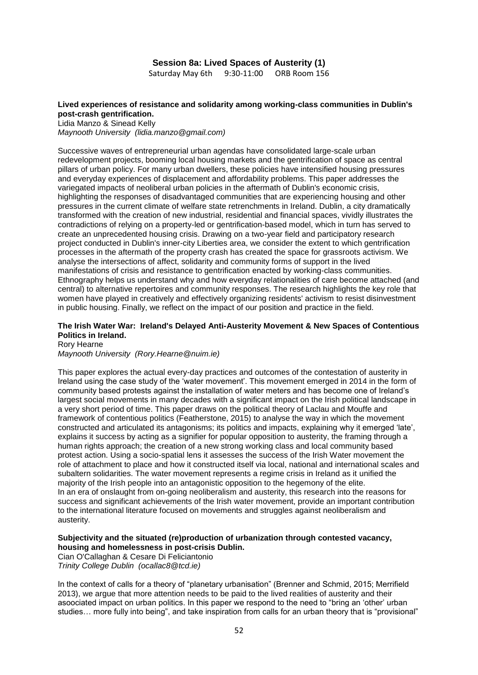### **Session 8a: Lived Spaces of Austerity (1)**

Saturday May 6th 9:30-11:00 ORB Room 156

#### **Lived experiences of resistance and solidarity among working-class communities in Dublin's post-crash gentrification.**

Lidia Manzo & Sinead Kelly *Maynooth University (lidia.manzo@gmail.com)*

Successive waves of entrepreneurial urban agendas have consolidated large-scale urban redevelopment projects, booming local housing markets and the gentrification of space as central pillars of urban policy. For many urban dwellers, these policies have intensified housing pressures and everyday experiences of displacement and affordability problems. This paper addresses the variegated impacts of neoliberal urban policies in the aftermath of Dublin's economic crisis, highlighting the responses of disadvantaged communities that are experiencing housing and other pressures in the current climate of welfare state retrenchments in Ireland. Dublin, a city dramatically transformed with the creation of new industrial, residential and financial spaces, vividly illustrates the contradictions of relying on a property-led or gentrification-based model, which in turn has served to create an unprecedented housing crisis. Drawing on a two-year field and participatory research project conducted in Dublin's inner-city Liberties area, we consider the extent to which gentrification processes in the aftermath of the property crash has created the space for grassroots activism. We analyse the intersections of affect, solidarity and community forms of support in the lived manifestations of crisis and resistance to gentrification enacted by working-class communities. Ethnography helps us understand why and how everyday relationalities of care become attached (and central) to alternative repertoires and community responses. The research highlights the key role that women have played in creatively and effectively organizing residents' activism to resist disinvestment in public housing. Finally, we reflect on the impact of our position and practice in the field.

#### **The Irish Water War: Ireland's Delayed Anti-Austerity Movement & New Spaces of Contentious Politics in Ireland.**

Rory Hearne *Maynooth University (Rory.Hearne@nuim.ie)*

This paper explores the actual every-day practices and outcomes of the contestation of austerity in Ireland using the case study of the 'water movement'. This movement emerged in 2014 in the form of community based protests against the installation of water meters and has become one of Ireland's largest social movements in many decades with a significant impact on the Irish political landscape in a very short period of time. This paper draws on the political theory of Laclau and Mouffe and framework of contentious politics (Featherstone, 2015) to analyse the way in which the movement constructed and articulated its antagonisms; its politics and impacts, explaining why it emerged 'late', explains it success by acting as a signifier for popular opposition to austerity, the framing through a human rights approach; the creation of a new strong working class and local community based protest action. Using a socio-spatial lens it assesses the success of the Irish Water movement the role of attachment to place and how it constructed itself via local, national and international scales and subaltern solidarities. The water movement represents a regime crisis in Ireland as it unified the majority of the Irish people into an antagonistic opposition to the hegemony of the elite. In an era of onslaught from on-going neoliberalism and austerity, this research into the reasons for success and significant achievements of the Irish water movement, provide an important contribution to the international literature focused on movements and struggles against neoliberalism and austerity.

#### **Subjectivity and the situated (re)production of urbanization through contested vacancy, housing and homelessness in post-crisis Dublin.**

Cian O'Callaghan & Cesare Di Feliciantonio *Trinity College Dublin (ocallac8@tcd.ie)*

In the context of calls for a theory of "planetary urbanisation" (Brenner and Schmid, 2015; Merrifield 2013), we argue that more attention needs to be paid to the lived realities of austerity and their asoociated impact on urban politics. In this paper we respond to the need to "bring an 'other' urban studies… more fully into being", and take inspiration from calls for an urban theory that is "provisional"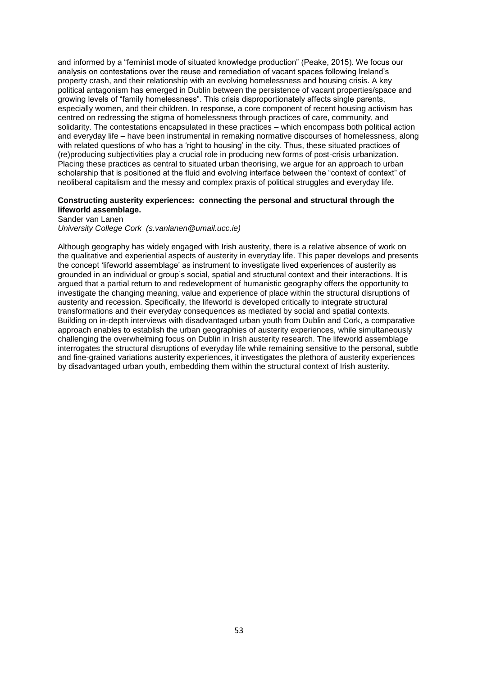and informed by a "feminist mode of situated knowledge production" (Peake, 2015). We focus our analysis on contestations over the reuse and remediation of vacant spaces following Ireland's property crash, and their relationship with an evolving homelessness and housing crisis. A key political antagonism has emerged in Dublin between the persistence of vacant properties/space and growing levels of "family homelessness". This crisis disproportionately affects single parents, especially women, and their children. In response, a core component of recent housing activism has centred on redressing the stigma of homelessness through practices of care, community, and solidarity. The contestations encapsulated in these practices – which encompass both political action and everyday life – have been instrumental in remaking normative discourses of homelessness, along with related questions of who has a 'right to housing' in the city. Thus, these situated practices of (re)producing subjectivities play a crucial role in producing new forms of post-crisis urbanization. Placing these practices as central to situated urban theorising, we argue for an approach to urban scholarship that is positioned at the fluid and evolving interface between the "context of context" of neoliberal capitalism and the messy and complex praxis of political struggles and everyday life.

### **Constructing austerity experiences: connecting the personal and structural through the lifeworld assemblage.**

Sander van Lanen *University College Cork (s.vanlanen@umail.ucc.ie)*

Although geography has widely engaged with Irish austerity, there is a relative absence of work on the qualitative and experiential aspects of austerity in everyday life. This paper develops and presents the concept 'lifeworld assemblage' as instrument to investigate lived experiences of austerity as grounded in an individual or group's social, spatial and structural context and their interactions. It is argued that a partial return to and redevelopment of humanistic geography offers the opportunity to investigate the changing meaning, value and experience of place within the structural disruptions of austerity and recession. Specifically, the lifeworld is developed critically to integrate structural transformations and their everyday consequences as mediated by social and spatial contexts. Building on in-depth interviews with disadvantaged urban youth from Dublin and Cork, a comparative approach enables to establish the urban geographies of austerity experiences, while simultaneously challenging the overwhelming focus on Dublin in Irish austerity research. The lifeworld assemblage interrogates the structural disruptions of everyday life while remaining sensitive to the personal, subtle and fine-grained variations austerity experiences, it investigates the plethora of austerity experiences by disadvantaged urban youth, embedding them within the structural context of Irish austerity.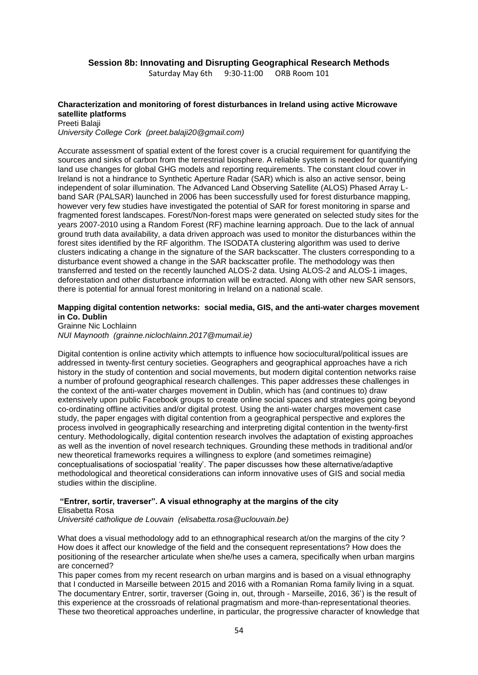### **Session 8b: Innovating and Disrupting Geographical Research Methods**

Saturday May 6th 9:30-11:00 ORB Room 101

#### **Characterization and monitoring of forest disturbances in Ireland using active Microwave satellite platforms**

Preeti Balaji *University College Cork (preet.balaji20@gmail.com)*

Accurate assessment of spatial extent of the forest cover is a crucial requirement for quantifying the sources and sinks of carbon from the terrestrial biosphere. A reliable system is needed for quantifying land use changes for global GHG models and reporting requirements. The constant cloud cover in Ireland is not a hindrance to Synthetic Aperture Radar (SAR) which is also an active sensor, being independent of solar illumination. The Advanced Land Observing Satellite (ALOS) Phased Array Lband SAR (PALSAR) launched in 2006 has been successfully used for forest disturbance mapping, however very few studies have investigated the potential of SAR for forest monitoring in sparse and fragmented forest landscapes. Forest/Non-forest maps were generated on selected study sites for the years 2007-2010 using a Random Forest (RF) machine learning approach. Due to the lack of annual ground truth data availability, a data driven approach was used to monitor the disturbances within the forest sites identified by the RF algorithm. The ISODATA clustering algorithm was used to derive clusters indicating a change in the signature of the SAR backscatter. The clusters corresponding to a disturbance event showed a change in the SAR backscatter profile. The methodology was then transferred and tested on the recently launched ALOS-2 data. Using ALOS-2 and ALOS-1 images, deforestation and other disturbance information will be extracted. Along with other new SAR sensors, there is potential for annual forest monitoring in Ireland on a national scale.

#### **Mapping digital contention networks: social media, GIS, and the anti-water charges movement in Co. Dublin**

Grainne Nic Lochlainn *NUI Maynooth (grainne.niclochlainn.2017@mumail.ie)*

Digital contention is online activity which attempts to influence how sociocultural/political issues are addressed in twenty-first century societies. Geographers and geographical approaches have a rich history in the study of contention and social movements, but modern digital contention networks raise a number of profound geographical research challenges. This paper addresses these challenges in the context of the anti-water charges movement in Dublin, which has (and continues to) draw extensively upon public Facebook groups to create online social spaces and strategies going beyond co-ordinating offline activities and/or digital protest. Using the anti-water charges movement case study, the paper engages with digital contention from a geographical perspective and explores the process involved in geographically researching and interpreting digital contention in the twenty-first century. Methodologically, digital contention research involves the adaptation of existing approaches as well as the invention of novel research techniques. Grounding these methods in traditional and/or new theoretical frameworks requires a willingness to explore (and sometimes reimagine) conceptualisations of sociospatial 'reality'. The paper discusses how these alternative/adaptive methodological and theoretical considerations can inform innovative uses of GIS and social media studies within the discipline.

### **"Entrer, sortir, traverser". A visual ethnography at the margins of the city** Elisabetta Rosa

*Université catholique de Louvain (elisabetta.rosa@uclouvain.be)*

What does a visual methodology add to an ethnographical research at/on the margins of the city ? How does it affect our knowledge of the field and the consequent representations? How does the positioning of the researcher articulate when she/he uses a camera, specifically when urban margins are concerned?

This paper comes from my recent research on urban margins and is based on a visual ethnography that I conducted in Marseille between 2015 and 2016 with a Romanian Roma family living in a squat. The documentary Entrer, sortir, traverser (Going in, out, through - Marseille, 2016, 36') is the result of this experience at the crossroads of relational pragmatism and more-than-representational theories. These two theoretical approaches underline, in particular, the progressive character of knowledge that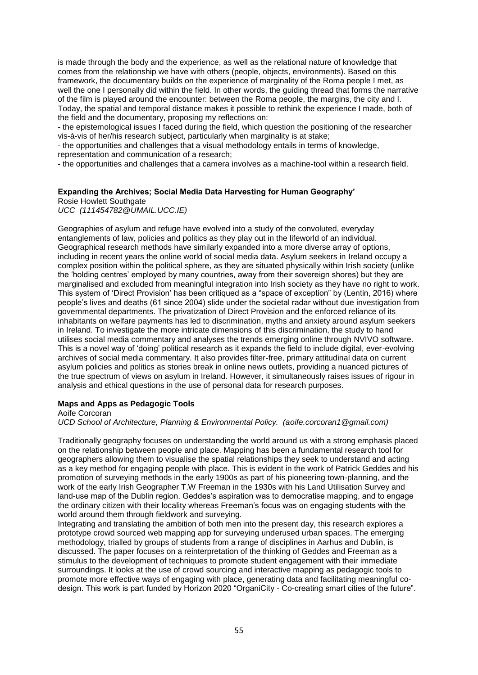is made through the body and the experience, as well as the relational nature of knowledge that comes from the relationship we have with others (people, objects, environments). Based on this framework, the documentary builds on the experience of marginality of the Roma people I met, as well the one I personally did within the field. In other words, the guiding thread that forms the narrative of the film is played around the encounter: between the Roma people, the margins, the city and I. Today, the spatial and temporal distance makes it possible to rethink the experience I made, both of the field and the documentary, proposing my reflections on:

- the epistemological issues I faced during the field, which question the positioning of the researcher vis-à-vis of her/his research subject, particularly when marginality is at stake;

- the opportunities and challenges that a visual methodology entails in terms of knowledge, representation and communication of a research;

- the opportunities and challenges that a camera involves as a machine-tool within a research field.

### **Expanding the Archives; Social Media Data Harvesting for Human Geography'**

Rosie Howlett Southgate

*UCC (111454782@UMAIL.UCC.IE)*

Geographies of asylum and refuge have evolved into a study of the convoluted, everyday entanglements of law, policies and politics as they play out in the lifeworld of an individual. Geographical research methods have similarly expanded into a more diverse array of options, including in recent years the online world of social media data. Asylum seekers in Ireland occupy a complex position within the political sphere, as they are situated physically within Irish society (unlike the 'holding centres' employed by many countries, away from their sovereign shores) but they are marginalised and excluded from meaningful integration into Irish society as they have no right to work. This system of 'Direct Provision' has been critiqued as a "space of exception" by (Lentin, 2016) where people's lives and deaths (61 since 2004) slide under the societal radar without due investigation from governmental departments. The privatization of Direct Provision and the enforced reliance of its inhabitants on welfare payments has led to discrimination, myths and anxiety around asylum seekers in Ireland. To investigate the more intricate dimensions of this discrimination, the study to hand utilises social media commentary and analyses the trends emerging online through NVIVO software. This is a novel way of 'doing' political research as it expands the field to include digital, ever-evolving archives of social media commentary. It also provides filter-free, primary attitudinal data on current asylum policies and politics as stories break in online news outlets, providing a nuanced pictures of the true spectrum of views on asylum in Ireland. However, it simultaneously raises issues of rigour in analysis and ethical questions in the use of personal data for research purposes.

#### **Maps and Apps as Pedagogic Tools**

Aoife Corcoran

*UCD School of Architecture, Planning & Environmental Policy. (aoife.corcoran1@gmail.com)*

Traditionally geography focuses on understanding the world around us with a strong emphasis placed on the relationship between people and place. Mapping has been a fundamental research tool for geographers allowing them to visualise the spatial relationships they seek to understand and acting as a key method for engaging people with place. This is evident in the work of Patrick Geddes and his promotion of surveying methods in the early 1900s as part of his pioneering town-planning, and the work of the early Irish Geographer T.W Freeman in the 1930s with his Land Utilisation Survey and land-use map of the Dublin region. Geddes's aspiration was to democratise mapping, and to engage the ordinary citizen with their locality whereas Freeman's focus was on engaging students with the world around them through fieldwork and surveying.

Integrating and translating the ambition of both men into the present day, this research explores a prototype crowd sourced web mapping app for surveying underused urban spaces. The emerging methodology, trialled by groups of students from a range of disciplines in Aarhus and Dublin, is discussed. The paper focuses on a reinterpretation of the thinking of Geddes and Freeman as a stimulus to the development of techniques to promote student engagement with their immediate surroundings. It looks at the use of crowd sourcing and interactive mapping as pedagogic tools to promote more effective ways of engaging with place, generating data and facilitating meaningful codesign. This work is part funded by Horizon 2020 "OrganiCity - Co-creating smart cities of the future".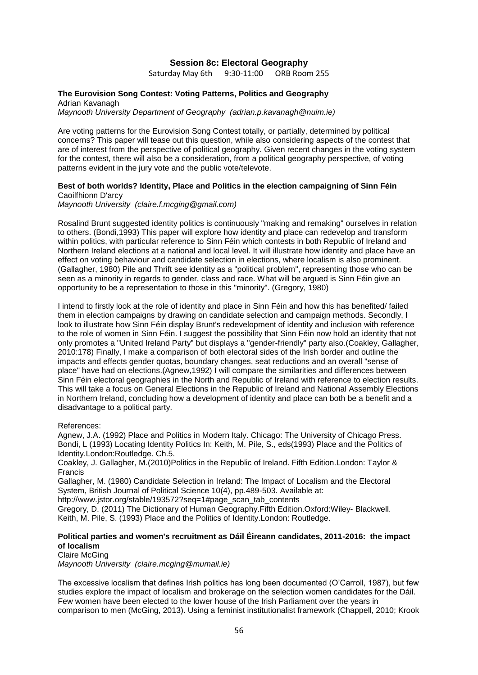### **Session 8c: Electoral Geography**

Saturday May 6th 9:30-11:00 ORB Room 255

### **The Eurovision Song Contest: Voting Patterns, Politics and Geography**

Adrian Kavanagh *Maynooth University Department of Geography (adrian.p.kavanagh@nuim.ie)*

Are voting patterns for the Eurovision Song Contest totally, or partially, determined by political concerns? This paper will tease out this question, while also considering aspects of the contest that are of interest from the perspective of political geography. Given recent changes in the voting system for the contest, there will also be a consideration, from a political geography perspective, of voting patterns evident in the jury vote and the public vote/televote.

#### **Best of both worlds? Identity, Place and Politics in the election campaigning of Sinn Féin** Caoilfhionn D'arcy

*Maynooth University (claire.f.mcging@gmail.com)*

Rosalind Brunt suggested identity politics is continuously "making and remaking" ourselves in relation to others. (Bondi,1993) This paper will explore how identity and place can redevelop and transform within politics, with particular reference to Sinn Féin which contests in both Republic of Ireland and Northern Ireland elections at a national and local level. It will illustrate how identity and place have an effect on voting behaviour and candidate selection in elections, where localism is also prominent. (Gallagher, 1980) Pile and Thrift see identity as a "political problem", representing those who can be seen as a minority in regards to gender, class and race. What will be argued is Sinn Féin give an opportunity to be a representation to those in this "minority". (Gregory, 1980)

I intend to firstly look at the role of identity and place in Sinn Féin and how this has benefited/ failed them in election campaigns by drawing on candidate selection and campaign methods. Secondly, I look to illustrate how Sinn Féin display Brunt's redevelopment of identity and inclusion with reference to the role of women in Sinn Féin. I suggest the possibility that Sinn Féin now hold an identity that not only promotes a "United Ireland Party" but displays a "gender-friendly" party also.(Coakley, Gallagher, 2010:178) Finally, I make a comparison of both electoral sides of the Irish border and outline the impacts and effects gender quotas, boundary changes, seat reductions and an overall "sense of place" have had on elections.(Agnew,1992) I will compare the similarities and differences between Sinn Féin electoral geographies in the North and Republic of Ireland with reference to election results. This will take a focus on General Elections in the Republic of Ireland and National Assembly Elections in Northern Ireland, concluding how a development of identity and place can both be a benefit and a disadvantage to a political party.

References:

Agnew, J.A. (1992) Place and Politics in Modern Italy. Chicago: The University of Chicago Press. Bondi, L (1993) Locating Identity Politics In: Keith, M. Pile, S., eds(1993) Place and the Politics of Identity.London:Routledge. Ch.5.

Coakley, J. Gallagher, M.(2010)Politics in the Republic of Ireland. Fifth Edition.London: Taylor & Francis

Gallagher, M. (1980) Candidate Selection in Ireland: The Impact of Localism and the Electoral System, British Journal of Political Science 10(4), pp.489-503. Available at:

http://www.jstor.org/stable/193572?seq=1#page\_scan\_tab\_contents

Gregory, D. (2011) The Dictionary of Human Geography.Fifth Edition.Oxford:Wiley- Blackwell. Keith, M. Pile, S. (1993) Place and the Politics of Identity.London: Routledge.

### **Political parties and women's recruitment as Dáil Éireann candidates, 2011-2016: the impact of localism**

Claire McGing *Maynooth University (claire.mcging@mumail.ie)*

The excessive localism that defines Irish politics has long been documented (O'Carroll, 1987), but few studies explore the impact of localism and brokerage on the selection women candidates for the Dáil. Few women have been elected to the lower house of the Irish Parliament over the years in comparison to men (McGing, 2013). Using a feminist institutionalist framework (Chappell, 2010; Krook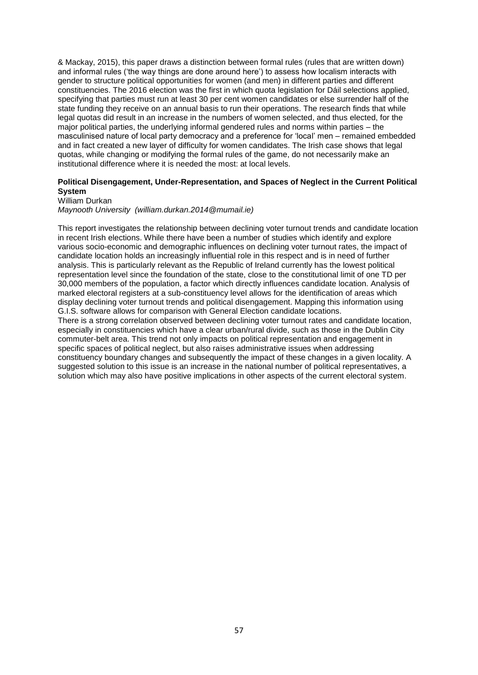& Mackay, 2015), this paper draws a distinction between formal rules (rules that are written down) and informal rules ('the way things are done around here') to assess how localism interacts with gender to structure political opportunities for women (and men) in different parties and different constituencies. The 2016 election was the first in which quota legislation for Dáil selections applied, specifying that parties must run at least 30 per cent women candidates or else surrender half of the state funding they receive on an annual basis to run their operations. The research finds that while legal quotas did result in an increase in the numbers of women selected, and thus elected, for the major political parties, the underlying informal gendered rules and norms within parties – the masculinised nature of local party democracy and a preference for 'local' men – remained embedded and in fact created a new layer of difficulty for women candidates. The Irish case shows that legal quotas, while changing or modifying the formal rules of the game, do not necessarily make an institutional difference where it is needed the most: at local levels.

#### **Political Disengagement, Under-Representation, and Spaces of Neglect in the Current Political System**

William Durkan

*Maynooth University (william.durkan.2014@mumail.ie)*

This report investigates the relationship between declining voter turnout trends and candidate location in recent Irish elections. While there have been a number of studies which identify and explore various socio-economic and demographic influences on declining voter turnout rates, the impact of candidate location holds an increasingly influential role in this respect and is in need of further analysis. This is particularly relevant as the Republic of Ireland currently has the lowest political representation level since the foundation of the state, close to the constitutional limit of one TD per 30,000 members of the population, a factor which directly influences candidate location. Analysis of marked electoral registers at a sub-constituency level allows for the identification of areas which display declining voter turnout trends and political disengagement. Mapping this information using G.I.S. software allows for comparison with General Election candidate locations. There is a strong correlation observed between declining voter turnout rates and candidate location, especially in constituencies which have a clear urban/rural divide, such as those in the Dublin City commuter-belt area. This trend not only impacts on political representation and engagement in specific spaces of political neglect, but also raises administrative issues when addressing constituency boundary changes and subsequently the impact of these changes in a given locality. A suggested solution to this issue is an increase in the national number of political representatives, a solution which may also have positive implications in other aspects of the current electoral system.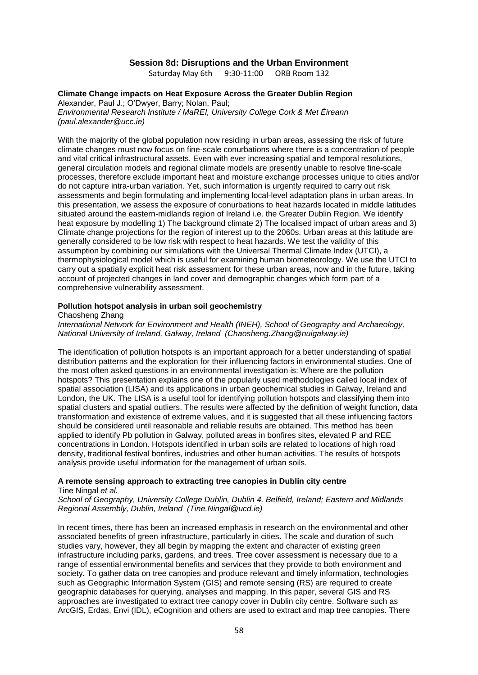#### **Session 8d: Disruptions and the Urban Environment**

Saturday May 6th 9:30-11:00 ORB Room 132

### **Climate Change impacts on Heat Exposure Across the Greater Dublin Region**

Alexander, Paul J.; O'Dwyer, Barry; Nolan, Paul;

*Environmental Research Institute / MaREI, University College Cork & Met Éireann (paul.alexander@ucc.ie)*

With the majority of the global population now residing in urban areas, assessing the risk of future climate changes must now focus on fine-scale conurbations where there is a concentration of people and vital critical infrastructural assets. Even with ever increasing spatial and temporal resolutions, general circulation models and regional climate models are presently unable to resolve fine-scale processes, therefore exclude important heat and moisture exchange processes unique to cities and/or do not capture intra-urban variation. Yet, such information is urgently required to carry out risk assessments and begin formulating and implementing local-level adaptation plans in urban areas. In this presentation, we assess the exposure of conurbations to heat hazards located in middle latitudes situated around the eastern-midlands region of Ireland i.e. the Greater Dublin Region. We identify heat exposure by modelling 1) The background climate 2) The localised impact of urban areas and 3) Climate change projections for the region of interest up to the 2060s. Urban areas at this latitude are generally considered to be low risk with respect to heat hazards. We test the validity of this assumption by combining our simulations with the Universal Thermal Climate Index (UTCI), a thermophysiological model which is useful for examining human biometeorology. We use the UTCI to carry out a spatially explicit heat risk assessment for these urban areas, now and in the future, taking account of projected changes in land cover and demographic changes which form part of a comprehensive vulnerability assessment.

#### **Pollution hotspot analysis in urban soil geochemistry**

Chaosheng Zhang

*International Network for Environment and Health (INEH), School of Geography and Archaeology, National University of Ireland, Galway, Ireland (Chaosheng.Zhang@nuigalway.ie)*

The identification of pollution hotspots is an important approach for a better understanding of spatial distribution patterns and the exploration for their influencing factors in environmental studies. One of the most often asked questions in an environmental investigation is: Where are the pollution hotspots? This presentation explains one of the popularly used methodologies called local index of spatial association (LISA) and its applications in urban geochemical studies in Galway, Ireland and London, the UK. The LISA is a useful tool for identifying pollution hotspots and classifying them into spatial clusters and spatial outliers. The results were affected by the definition of weight function, data transformation and existence of extreme values, and it is suggested that all these influencing factors should be considered until reasonable and reliable results are obtained. This method has been applied to identify Pb pollution in Galway, polluted areas in bonfires sites, elevated P and REE concentrations in London. Hotspots identified in urban soils are related to locations of high road density, traditional festival bonfires, industries and other human activities. The results of hotspots analysis provide useful information for the management of urban soils.

### **A remote sensing approach to extracting tree canopies in Dublin city centre**

Tine Ningal *et al.*

*School of Geography, University College Dublin, Dublin 4, Belfield, Ireland; Eastern and Midlands Regional Assembly, Dublin, Ireland (Tine.Ningal@ucd.ie)*

In recent times, there has been an increased emphasis in research on the environmental and other associated benefits of green infrastructure, particularly in cities. The scale and duration of such studies vary, however, they all begin by mapping the extent and character of existing green infrastructure including parks, gardens, and trees. Tree cover assessment is necessary due to a range of essential environmental benefits and services that they provide to both environment and society. To gather data on tree canopies and produce relevant and timely information, technologies such as Geographic Information System (GIS) and remote sensing (RS) are required to create geographic databases for querying, analyses and mapping. In this paper, several GIS and RS approaches are investigated to extract tree canopy cover in Dublin city centre. Software such as ArcGIS, Erdas, Envi (IDL), eCognition and others are used to extract and map tree canopies. There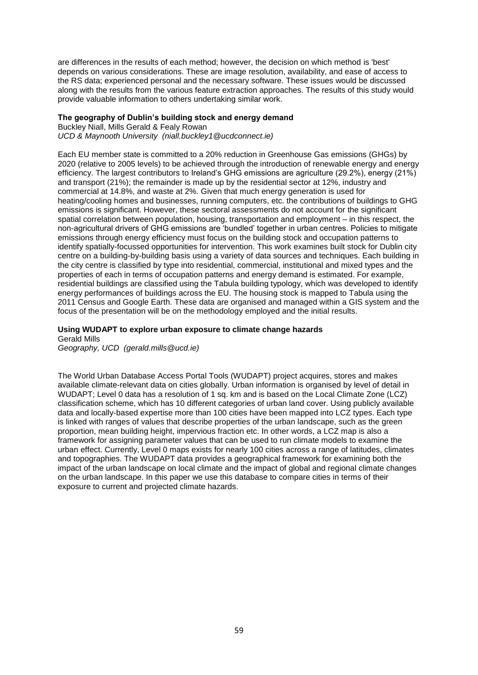are differences in the results of each method; however, the decision on which method is 'best' depends on various considerations. These are image resolution, availability, and ease of access to the RS data; experienced personal and the necessary software. These issues would be discussed along with the results from the various feature extraction approaches. The results of this study would provide valuable information to others undertaking similar work.

#### **The geography of Dublin's building stock and energy demand**

Buckley Niall, Mills Gerald & Fealy Rowan *UCD & Maynooth University (niall.buckley1@ucdconnect.ie)*

Each EU member state is committed to a 20% reduction in Greenhouse Gas emissions (GHGs) by 2020 (relative to 2005 levels) to be achieved through the introduction of renewable energy and energy efficiency. The largest contributors to Ireland's GHG emissions are agriculture (29.2%), energy (21%) and transport (21%); the remainder is made up by the residential sector at 12%, industry and commercial at 14.8%, and waste at 2%. Given that much energy generation is used for heating/cooling homes and businesses, running computers, etc. the contributions of buildings to GHG emissions is significant. However, these sectoral assessments do not account for the significant spatial correlation between population, housing, transportation and employment – in this respect, the non-agricultural drivers of GHG emissions are 'bundled' together in urban centres. Policies to mitigate emissions through energy efficiency must focus on the building stock and occupation patterns to identify spatially-focussed opportunities for intervention. This work examines built stock for Dublin city centre on a building-by-building basis using a variety of data sources and techniques. Each building in the city centre is classified by type into residential, commercial, institutional and mixed types and the properties of each in terms of occupation patterns and energy demand is estimated. For example, residential buildings are classified using the Tabula building typology, which was developed to identify energy performances of buildings across the EU. The housing stock is mapped to Tabula using the 2011 Census and Google Earth. These data are organised and managed within a GIS system and the focus of the presentation will be on the methodology employed and the initial results.

# **Using WUDAPT to explore urban exposure to climate change hazards**

Gerald Mills *Geography, UCD (gerald.mills@ucd.ie)*

The World Urban Database Access Portal Tools (WUDAPT) project acquires, stores and makes available climate-relevant data on cities globally. Urban information is organised by level of detail in WUDAPT; Level 0 data has a resolution of 1 sq. km and is based on the Local Climate Zone (LCZ) classification scheme, which has 10 different categories of urban land cover. Using publicly available data and locally-based expertise more than 100 cities have been mapped into LCZ types. Each type is linked with ranges of values that describe properties of the urban landscape, such as the green proportion, mean building height, impervious fraction etc. In other words, a LCZ map is also a framework for assigning parameter values that can be used to run climate models to examine the urban effect. Currently, Level 0 maps exists for nearly 100 cities across a range of latitudes, climates and topographies. The WUDAPT data provides a geographical framework for examining both the impact of the urban landscape on local climate and the impact of global and regional climate changes on the urban landscape. In this paper we use this database to compare cities in terms of their exposure to current and projected climate hazards.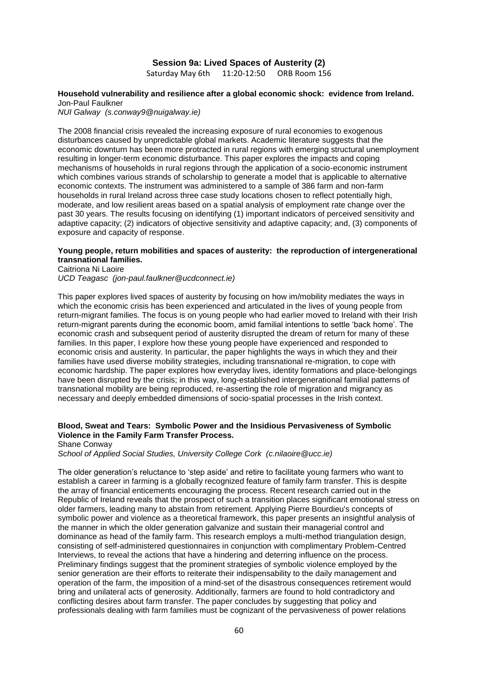### **Session 9a: Lived Spaces of Austerity (2)**

Saturday May 6th 11:20-12:50 ORB Room 156

### **Household vulnerability and resilience after a global economic shock: evidence from Ireland.** Jon-Paul Faulkner

*NUI Galway (s.conway9@nuigalway.ie)*

The 2008 financial crisis revealed the increasing exposure of rural economies to exogenous disturbances caused by unpredictable global markets. Academic literature suggests that the economic downturn has been more protracted in rural regions with emerging structural unemployment resulting in longer-term economic disturbance. This paper explores the impacts and coping mechanisms of households in rural regions through the application of a socio-economic instrument which combines various strands of scholarship to generate a model that is applicable to alternative economic contexts. The instrument was administered to a sample of 386 farm and non-farm households in rural Ireland across three case study locations chosen to reflect potentially high, moderate, and low resilient areas based on a spatial analysis of employment rate change over the past 30 years. The results focusing on identifying (1) important indicators of perceived sensitivity and adaptive capacity; (2) indicators of objective sensitivity and adaptive capacity; and, (3) components of exposure and capacity of response.

#### **Young people, return mobilities and spaces of austerity: the reproduction of intergenerational transnational families.**

Caitriona Ni Laoire *UCD Teagasc (jon-paul.faulkner@ucdconnect.ie)*

This paper explores lived spaces of austerity by focusing on how im/mobility mediates the ways in which the economic crisis has been experienced and articulated in the lives of young people from return-migrant families. The focus is on young people who had earlier moved to Ireland with their Irish return-migrant parents during the economic boom, amid familial intentions to settle 'back home'. The economic crash and subsequent period of austerity disrupted the dream of return for many of these families. In this paper, I explore how these young people have experienced and responded to economic crisis and austerity. In particular, the paper highlights the ways in which they and their families have used diverse mobility strategies, including transnational re-migration, to cope with economic hardship. The paper explores how everyday lives, identity formations and place-belongings have been disrupted by the crisis; in this way, long-established intergenerational familial patterns of transnational mobility are being reproduced, re-asserting the role of migration and migrancy as necessary and deeply embedded dimensions of socio-spatial processes in the Irish context.

### **Blood, Sweat and Tears: Symbolic Power and the Insidious Pervasiveness of Symbolic Violence in the Family Farm Transfer Process.**

Shane Conway

*School of Applied Social Studies, University College Cork (c.nilaoire@ucc.ie)*

The older generation's reluctance to 'step aside' and retire to facilitate young farmers who want to establish a career in farming is a globally recognized feature of family farm transfer. This is despite the array of financial enticements encouraging the process. Recent research carried out in the Republic of Ireland reveals that the prospect of such a transition places significant emotional stress on older farmers, leading many to abstain from retirement. Applying Pierre Bourdieu's concepts of symbolic power and violence as a theoretical framework, this paper presents an insightful analysis of the manner in which the older generation galvanize and sustain their managerial control and dominance as head of the family farm. This research employs a multi-method triangulation design, consisting of self-administered questionnaires in conjunction with complimentary Problem-Centred Interviews, to reveal the actions that have a hindering and deterring influence on the process. Preliminary findings suggest that the prominent strategies of symbolic violence employed by the senior generation are their efforts to reiterate their indispensability to the daily management and operation of the farm, the imposition of a mind-set of the disastrous consequences retirement would bring and unilateral acts of generosity. Additionally, farmers are found to hold contradictory and conflicting desires about farm transfer. The paper concludes by suggesting that policy and professionals dealing with farm families must be cognizant of the pervasiveness of power relations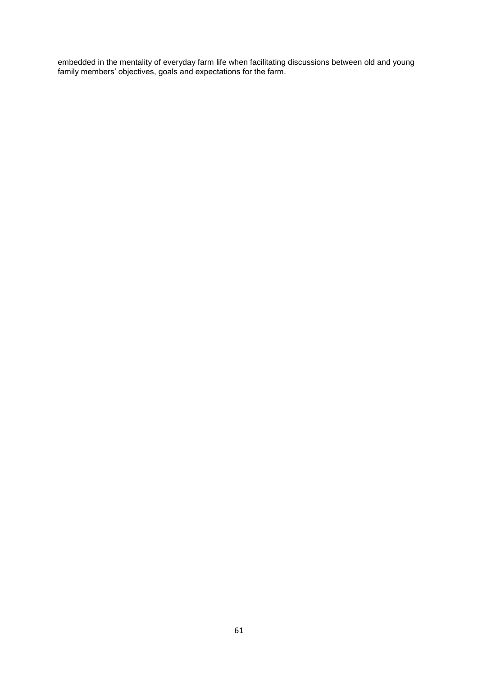embedded in the mentality of everyday farm life when facilitating discussions between old and young family members' objectives, goals and expectations for the farm.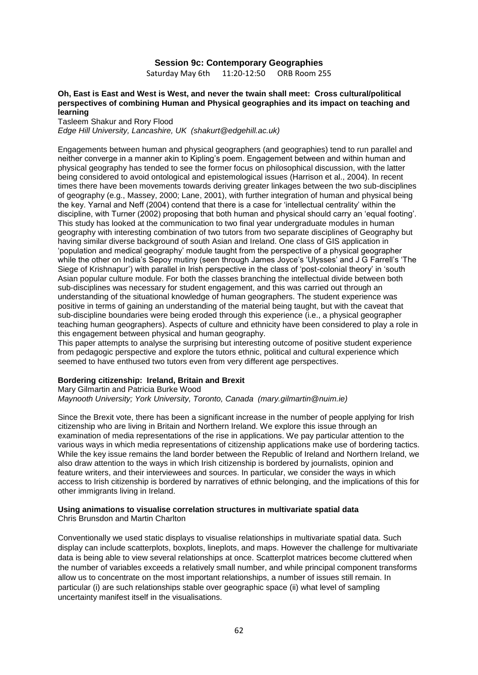#### **Session 9c: Contemporary Geographies**

Saturday May 6th 11:20-12:50 ORB Room 255

#### **Oh, East is East and West is West, and never the twain shall meet: Cross cultural/political perspectives of combining Human and Physical geographies and its impact on teaching and learning**

Tasleem Shakur and Rory Flood *Edge Hill University, Lancashire, UK (shakurt@edgehill.ac.uk)*

Engagements between human and physical geographers (and geographies) tend to run parallel and neither converge in a manner akin to Kipling's poem. Engagement between and within human and physical geography has tended to see the former focus on philosophical discussion, with the latter being considered to avoid ontological and epistemological issues (Harrison et al., 2004). In recent times there have been movements towards deriving greater linkages between the two sub-disciplines of geography (e.g., Massey, 2000; Lane, 2001), with further integration of human and physical being the key. Yarnal and Neff (2004) contend that there is a case for 'intellectual centrality' within the discipline, with Turner (2002) proposing that both human and physical should carry an 'equal footing'. This study has looked at the communication to two final year undergraduate modules in human geography with interesting combination of two tutors from two separate disciplines of Geography but having similar diverse background of south Asian and Ireland. One class of GIS application in 'population and medical geography' module taught from the perspective of a physical geographer while the other on India's Sepoy mutiny (seen through James Joyce's 'Ulysses' and J G Farrell's 'The Siege of Krishnapur') with parallel in Irish perspective in the class of 'post-colonial theory' in 'south Asian popular culture module. For both the classes branching the intellectual divide between both sub-disciplines was necessary for student engagement, and this was carried out through an understanding of the situational knowledge of human geographers. The student experience was positive in terms of gaining an understanding of the material being taught, but with the caveat that sub-discipline boundaries were being eroded through this experience (i.e., a physical geographer teaching human geographers). Aspects of culture and ethnicity have been considered to play a role in this engagement between physical and human geography.

This paper attempts to analyse the surprising but interesting outcome of positive student experience from pedagogic perspective and explore the tutors ethnic, political and cultural experience which seemed to have enthused two tutors even from very different age perspectives.

#### **Bordering citizenship: Ireland, Britain and Brexit**

Mary Gilmartin and Patricia Burke Wood *Maynooth University; York University, Toronto, Canada (mary.gilmartin@nuim.ie)*

Since the Brexit vote, there has been a significant increase in the number of people applying for Irish citizenship who are living in Britain and Northern Ireland. We explore this issue through an examination of media representations of the rise in applications. We pay particular attention to the various ways in which media representations of citizenship applications make use of bordering tactics. While the key issue remains the land border between the Republic of Ireland and Northern Ireland, we also draw attention to the ways in which Irish citizenship is bordered by journalists, opinion and feature writers, and their interviewees and sources. In particular, we consider the ways in which access to Irish citizenship is bordered by narratives of ethnic belonging, and the implications of this for other immigrants living in Ireland.

#### **Using animations to visualise correlation structures in multivariate spatial data** Chris Brunsdon and Martin Charlton

Conventionally we used static displays to visualise relationships in multivariate spatial data. Such display can include scatterplots, boxplots, lineplots, and maps. However the challenge for multivariate data is being able to view several relationships at once. Scatterplot matrices become cluttered when the number of variables exceeds a relatively small number, and while principal component transforms allow us to concentrate on the most important relationships, a number of issues still remain. In particular (i) are such relationships stable over geographic space (ii) what level of sampling uncertainty manifest itself in the visualisations.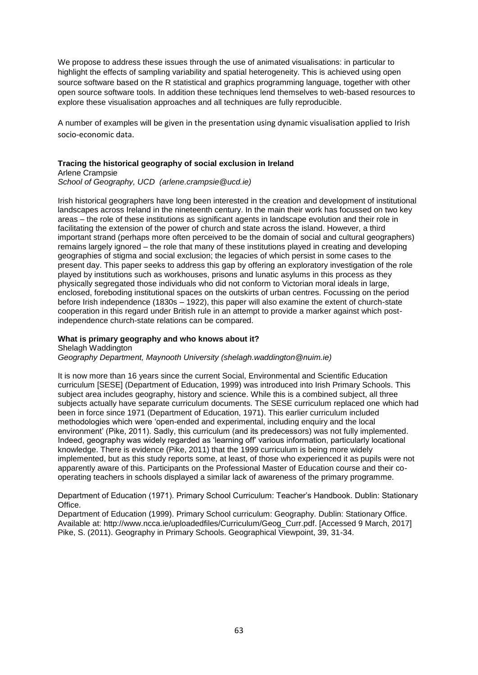We propose to address these issues through the use of animated visualisations: in particular to highlight the effects of sampling variability and spatial heterogeneity. This is achieved using open source software based on the R statistical and graphics programming language, together with other open source software tools. In addition these techniques lend themselves to web-based resources to explore these visualisation approaches and all techniques are fully reproducible.

A number of examples will be given in the presentation using dynamic visualisation applied to Irish socio-economic data.

### **Tracing the historical geography of social exclusion in Ireland**

Arlene Crampsie

*School of Geography, UCD (arlene.crampsie@ucd.ie)*

Irish historical geographers have long been interested in the creation and development of institutional landscapes across Ireland in the nineteenth century. In the main their work has focussed on two key areas – the role of these institutions as significant agents in landscape evolution and their role in facilitating the extension of the power of church and state across the island. However, a third important strand (perhaps more often perceived to be the domain of social and cultural geographers) remains largely ignored – the role that many of these institutions played in creating and developing geographies of stigma and social exclusion; the legacies of which persist in some cases to the present day. This paper seeks to address this gap by offering an exploratory investigation of the role played by institutions such as workhouses, prisons and lunatic asylums in this process as they physically segregated those individuals who did not conform to Victorian moral ideals in large, enclosed, foreboding institutional spaces on the outskirts of urban centres. Focussing on the period before Irish independence (1830s – 1922), this paper will also examine the extent of church-state cooperation in this regard under British rule in an attempt to provide a marker against which postindependence church-state relations can be compared.

#### **What is primary geography and who knows about it?**

Shelagh Waddington *Geography Department, Maynooth University (shelagh.waddington@nuim.ie)*

It is now more than 16 years since the current Social, Environmental and Scientific Education curriculum [SESE] (Department of Education, 1999) was introduced into Irish Primary Schools. This subject area includes geography, history and science. While this is a combined subject, all three subjects actually have separate curriculum documents. The SESE curriculum replaced one which had been in force since 1971 (Department of Education, 1971). This earlier curriculum included methodologies which were 'open-ended and experimental, including enquiry and the local environment' (Pike, 2011). Sadly, this curriculum (and its predecessors) was not fully implemented. Indeed, geography was widely regarded as 'learning off' various information, particularly locational knowledge. There is evidence (Pike, 2011) that the 1999 curriculum is being more widely implemented, but as this study reports some, at least, of those who experienced it as pupils were not apparently aware of this. Participants on the Professional Master of Education course and their cooperating teachers in schools displayed a similar lack of awareness of the primary programme.

Department of Education (1971). Primary School Curriculum: Teacher's Handbook. Dublin: Stationary Office.

Department of Education (1999). Primary School curriculum: Geography. Dublin: Stationary Office. Available at: http://www.ncca.ie/uploadedfiles/Curriculum/Geog\_Curr.pdf. [Accessed 9 March, 2017] Pike, S. (2011). Geography in Primary Schools. Geographical Viewpoint, 39, 31-34.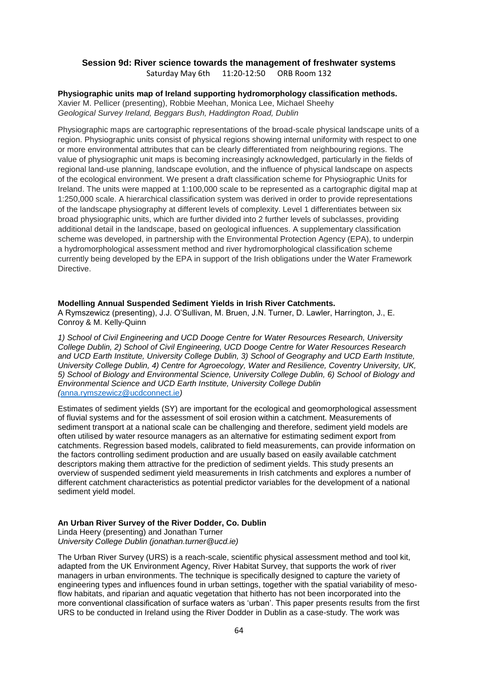### **Session 9d: River science towards the management of freshwater systems** Saturday May 6th 11:20-12:50 ORB Room 132

**Physiographic units map of Ireland supporting hydromorphology classification methods.**  Xavier M. Pellicer (presenting), Robbie Meehan, Monica Lee, Michael Sheehy *Geological Survey Ireland, Beggars Bush, Haddington Road, Dublin*

Physiographic maps are cartographic representations of the broad-scale physical landscape units of a region. Physiographic units consist of physical regions showing internal uniformity with respect to one or more environmental attributes that can be clearly differentiated from neighbouring regions. The value of physiographic unit maps is becoming increasingly acknowledged, particularly in the fields of regional land-use planning, landscape evolution, and the influence of physical landscape on aspects of the ecological environment. We present a draft classification scheme for Physiographic Units for Ireland. The units were mapped at 1:100,000 scale to be represented as a cartographic digital map at 1:250,000 scale. A hierarchical classification system was derived in order to provide representations of the landscape physiography at different levels of complexity. Level 1 differentiates between six broad physiographic units, which are further divided into 2 further levels of subclasses, providing additional detail in the landscape, based on geological influences. A supplementary classification scheme was developed, in partnership with the Environmental Protection Agency (EPA), to underpin a hydromorphological assessment method and river hydromorphological classification scheme currently being developed by the EPA in support of the Irish obligations under the Water Framework **Directive** 

#### **Modelling Annual Suspended Sediment Yields in Irish River Catchments.**

A Rymszewicz (presenting), J.J. O'Sullivan, M. Bruen, J.N. Turner, D. Lawler, Harrington, J., E. Conroy & M. Kelly-Quinn

*1) School of Civil Engineering and UCD Dooge Centre for Water Resources Research, University College Dublin, 2) School of Civil Engineering, UCD Dooge Centre for Water Resources Research and UCD Earth Institute, University College Dublin, 3) School of Geography and UCD Earth Institute, University College Dublin, 4) Centre for Agroecology, Water and Resilience, Coventry University, UK, 5) School of Biology and Environmental Science, University College Dublin, 6) School of Biology and Environmental Science and UCD Earth Institute, University College Dublin (*[anna.rymszewicz@ucdconnect.ie](mailto:anna.rymszewicz@ucdconnect.ie)*)*

Estimates of sediment yields (SY) are important for the ecological and geomorphological assessment of fluvial systems and for the assessment of soil erosion within a catchment. Measurements of sediment transport at a national scale can be challenging and therefore, sediment yield models are often utilised by water resource managers as an alternative for estimating sediment export from catchments. Regression based models, calibrated to field measurements, can provide information on the factors controlling sediment production and are usually based on easily available catchment descriptors making them attractive for the prediction of sediment yields. This study presents an overview of suspended sediment yield measurements in Irish catchments and explores a number of different catchment characteristics as potential predictor variables for the development of a national sediment yield model.

### **An Urban River Survey of the River Dodder, Co. Dublin**

Linda Heery (presenting) and Jonathan Turner *University College Dublin (jonathan.turner@ucd.ie)*

The Urban River Survey (URS) is a reach-scale, scientific physical assessment method and tool kit, adapted from the UK Environment Agency, River Habitat Survey, that supports the work of river managers in urban environments. The technique is specifically designed to capture the variety of engineering types and influences found in urban settings, together with the spatial variability of mesoflow habitats, and riparian and aquatic vegetation that hitherto has not been incorporated into the more conventional classification of surface waters as 'urban'. This paper presents results from the first URS to be conducted in Ireland using the River Dodder in Dublin as a case-study. The work was